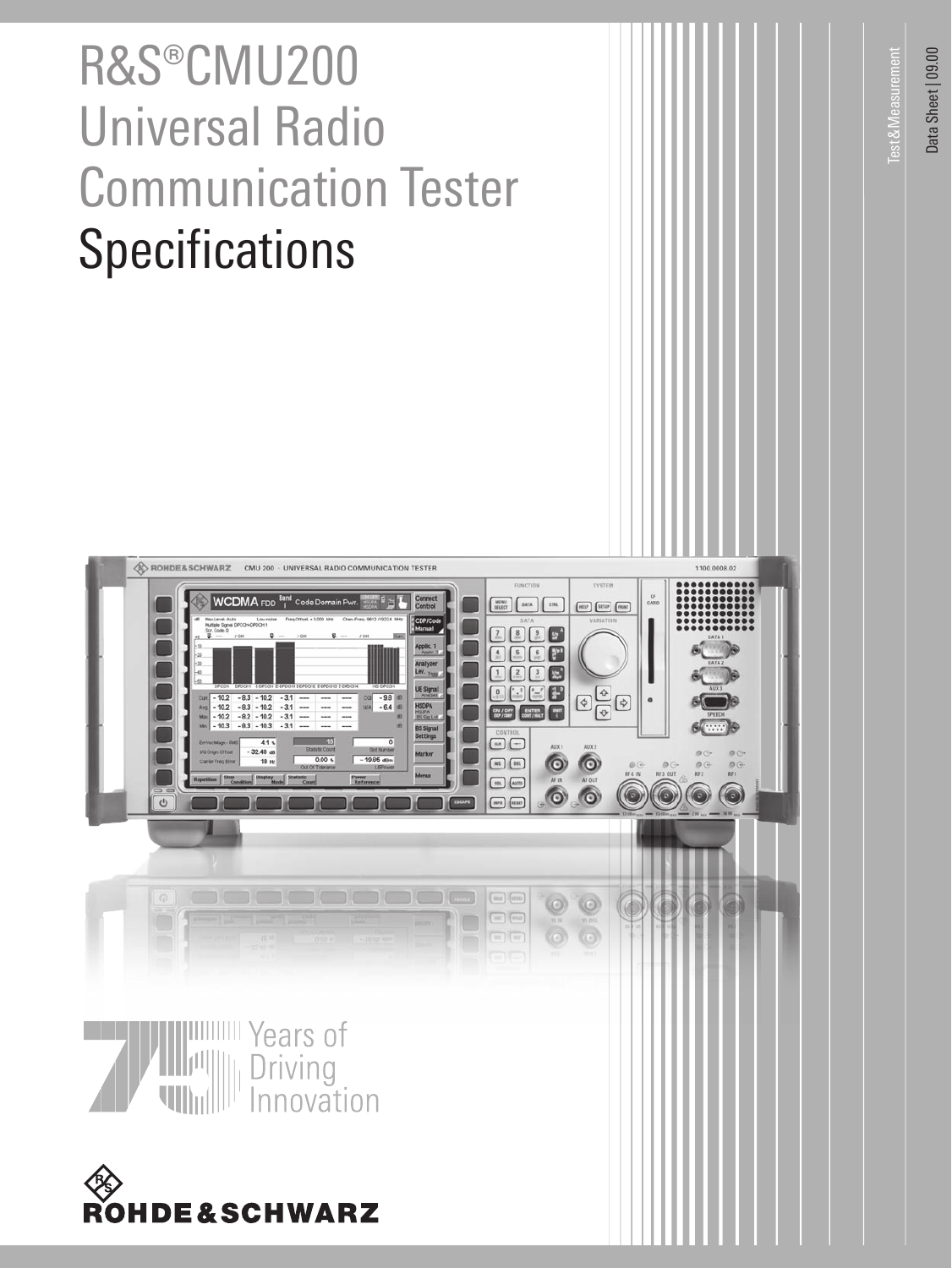# R&S®CMU200 Universal Radio Communication Tester **Specifications**



Test&Measurement

**Test & Measurement**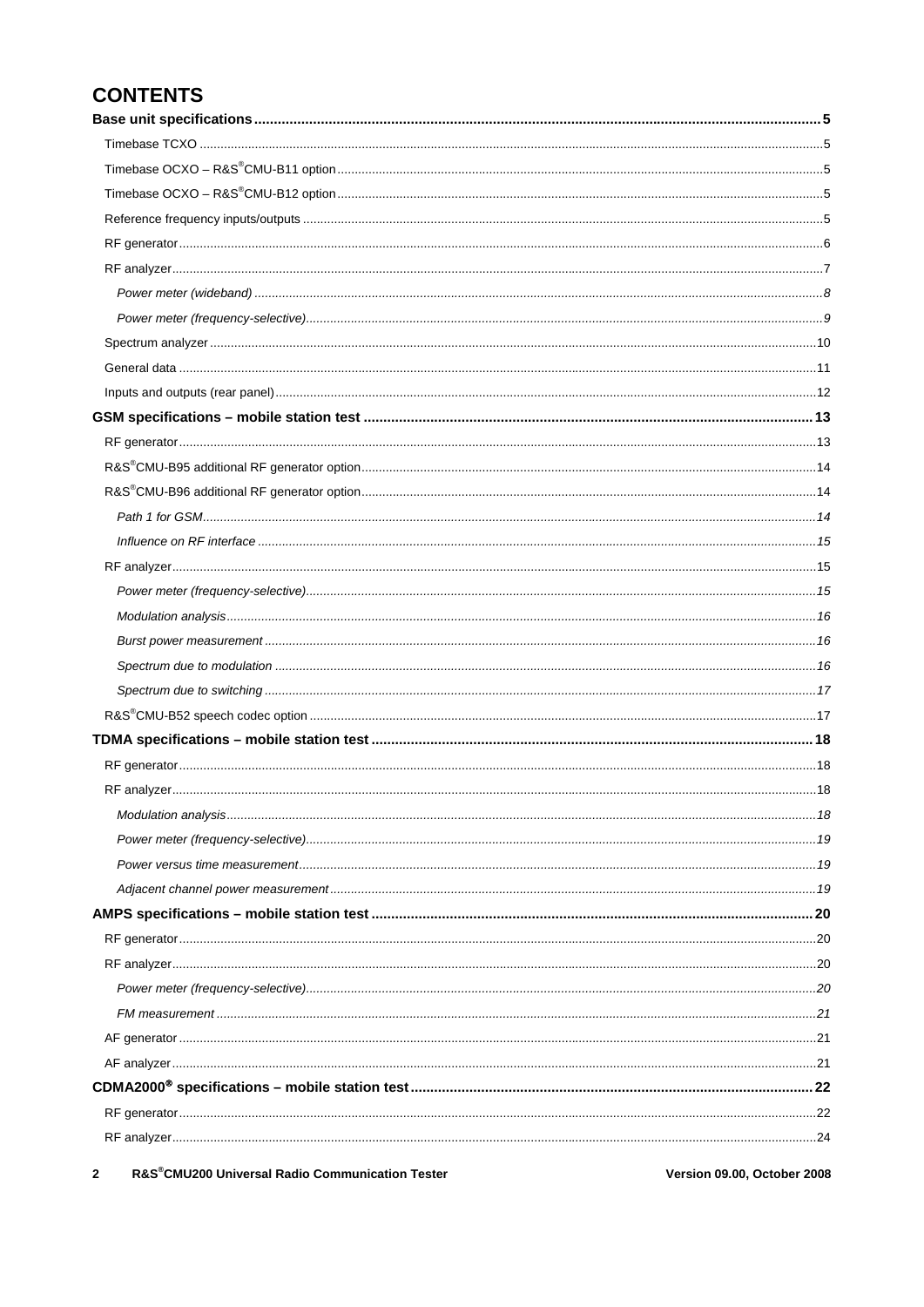# **CONTENTS**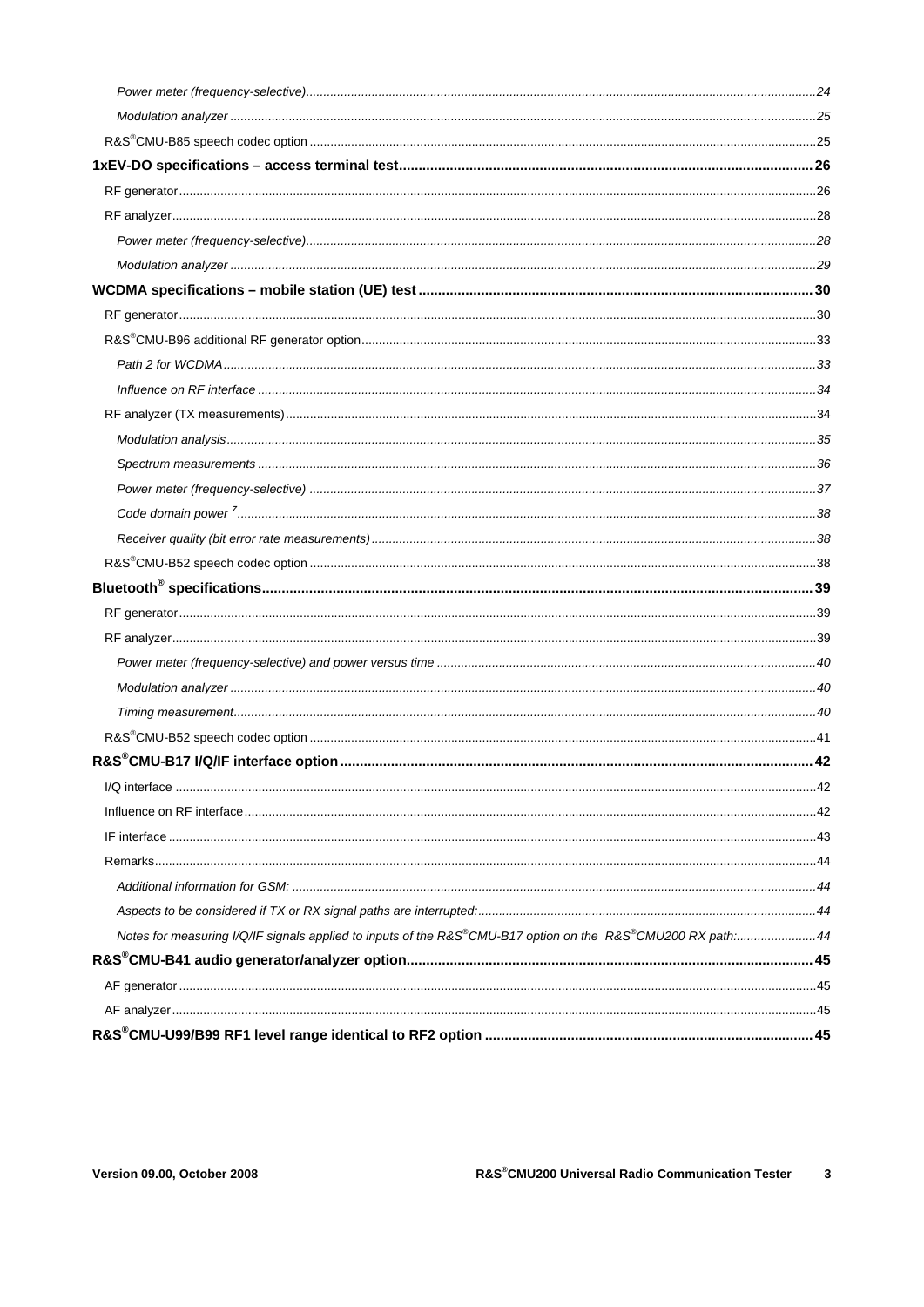| Notes for measuring I/Q/IF signals applied to inputs of the R&S®CMU-B17 option on the R&S®CMU200 RX path:44 |  |
|-------------------------------------------------------------------------------------------------------------|--|
|                                                                                                             |  |
|                                                                                                             |  |
|                                                                                                             |  |
|                                                                                                             |  |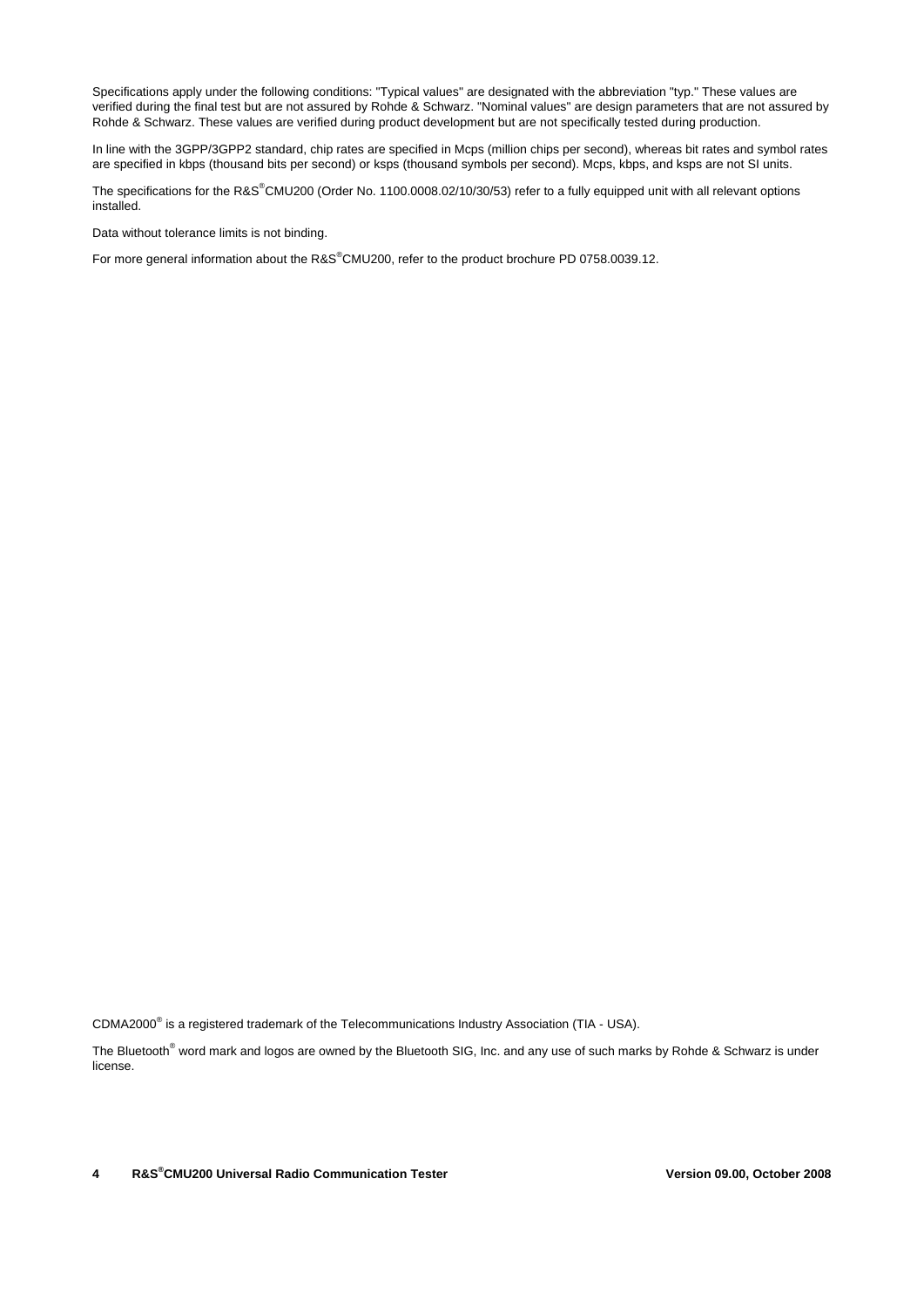Specifications apply under the following conditions: "Typical values" are designated with the abbreviation "typ." These values are verified during the final test but are not assured by Rohde & Schwarz. "Nominal values" are design parameters that are not assured by Rohde & Schwarz. These values are verified during product development but are not specifically tested during production.

In line with the 3GPP/3GPP2 standard, chip rates are specified in Mcps (million chips per second), whereas bit rates and symbol rates are specified in kbps (thousand bits per second) or ksps (thousand symbols per second). Mcps, kbps, and ksps are not SI units.

The specifications for the R&S<sup>®</sup>CMU200 (Order No. 1100.0008.02/10/30/53) refer to a fully equipped unit with all relevant options installed.

Data without tolerance limits is not binding.

For more general information about the R&S®CMU200, refer to the product brochure PD 0758.0039.12.

CDMA2000<sup>®</sup> is a registered trademark of the Telecommunications Industry Association (TIA - USA).

The Bluetooth<sup>®</sup> word mark and logos are owned by the Bluetooth SIG, Inc. and any use of such marks by Rohde & Schwarz is under license.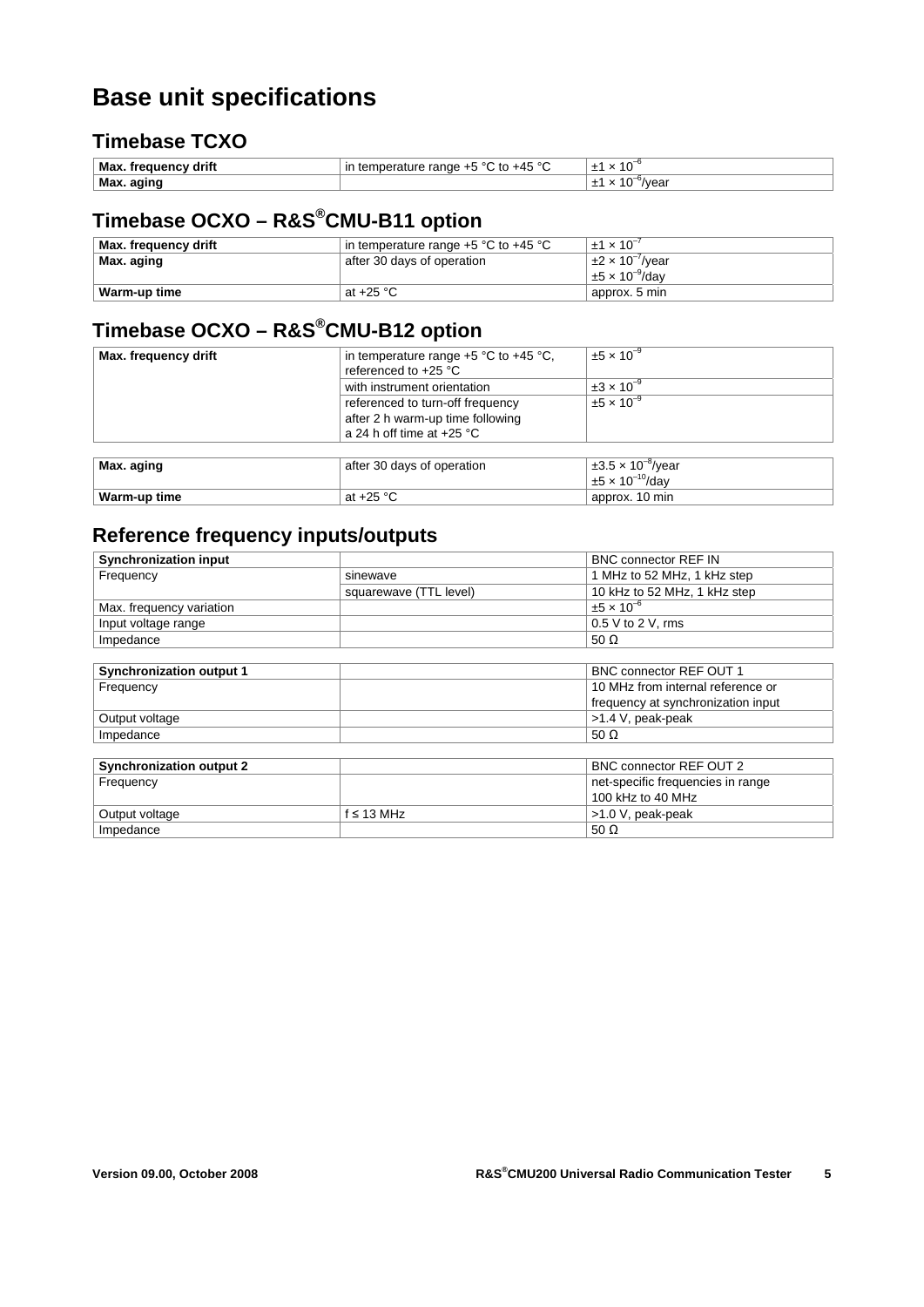# **Base unit specifications**

### **Timebase TCXO**

| Max<br>drift<br>uenc | חס מו<br>$\sim$<br>ില<br>⊺∩ ⊺<br>-⊿∽<br>raı<br>ш | л.             |
|----------------------|--------------------------------------------------|----------------|
| ' Max.               |                                                  | vear<br>u<br>- |

# **Timebase OCXO – R&S®CMU-B11 option**

| Max. frequency drift | in temperature range $+5$ °C to $+45$ °C | $+1 \times 10^{-7}$          |
|----------------------|------------------------------------------|------------------------------|
| Max. aging           | after 30 days of operation               | $\pm 2 \times 10^{-7}$ /year |
|                      |                                          | $\pm 5 \times 10^{-9}$ /dav  |
| Warm-up time         | at +25 $^{\circ}$ C                      | approx. 5 min                |

# **Timebase OCXO – R&S®CMU-B12 option**

| Max. frequency drift | in temperature range $+5$ °C to $+45$ °C.<br>referenced to +25 °C                                   | $\pm 5 \times 10^{-9}$                                     |
|----------------------|-----------------------------------------------------------------------------------------------------|------------------------------------------------------------|
|                      | with instrument orientation                                                                         | $\pm 3 \times 10^{-9}$                                     |
|                      | referenced to turn-off frequency<br>after 2 h warm-up time following<br>a 24 h off time at $+25$ °C | $±5 \times 10^{-9}$                                        |
|                      |                                                                                                     |                                                            |
| Max. aging           | after 30 days of operation                                                                          | $\pm 3.5 \times 10^{-8}$ /year<br>$±5 \times 10^{-10}/day$ |
| Warm-up time         | at $+25$ °C                                                                                         | approx. 10 min                                             |

### **Reference frequency inputs/outputs**

| <b>Synchronization input</b>    |                        | <b>BNC connector REF IN</b>        |
|---------------------------------|------------------------|------------------------------------|
| Frequency                       | sinewave               | 1 MHz to 52 MHz, 1 kHz step        |
|                                 | squarewave (TTL level) | 10 kHz to 52 MHz, 1 kHz step       |
| Max. frequency variation        |                        | $±5 \times 10^{-6}$                |
| Input voltage range             |                        | $0.5$ V to 2 V, rms                |
| Impedance                       |                        | 50 $\Omega$                        |
|                                 |                        |                                    |
| <b>Synchronization output 1</b> |                        | <b>BNC connector REF OUT 1</b>     |
| Frequency                       |                        | 10 MHz from internal reference or  |
|                                 |                        | frequency at synchronization input |
| Output voltage                  |                        | >1.4 V, peak-peak                  |
| Impedance                       |                        | 50 $\Omega$                        |
|                                 |                        |                                    |
| <b>Synchronization output 2</b> |                        | BNC connector REF OUT 2            |
| Frequency                       |                        | net-specific frequencies in range  |
|                                 |                        | 100 kHz to 40 MHz                  |
| Output voltage                  | $f \leq 13$ MHz        | >1.0 V, peak-peak                  |
| Impedance                       |                        | 50 $\Omega$                        |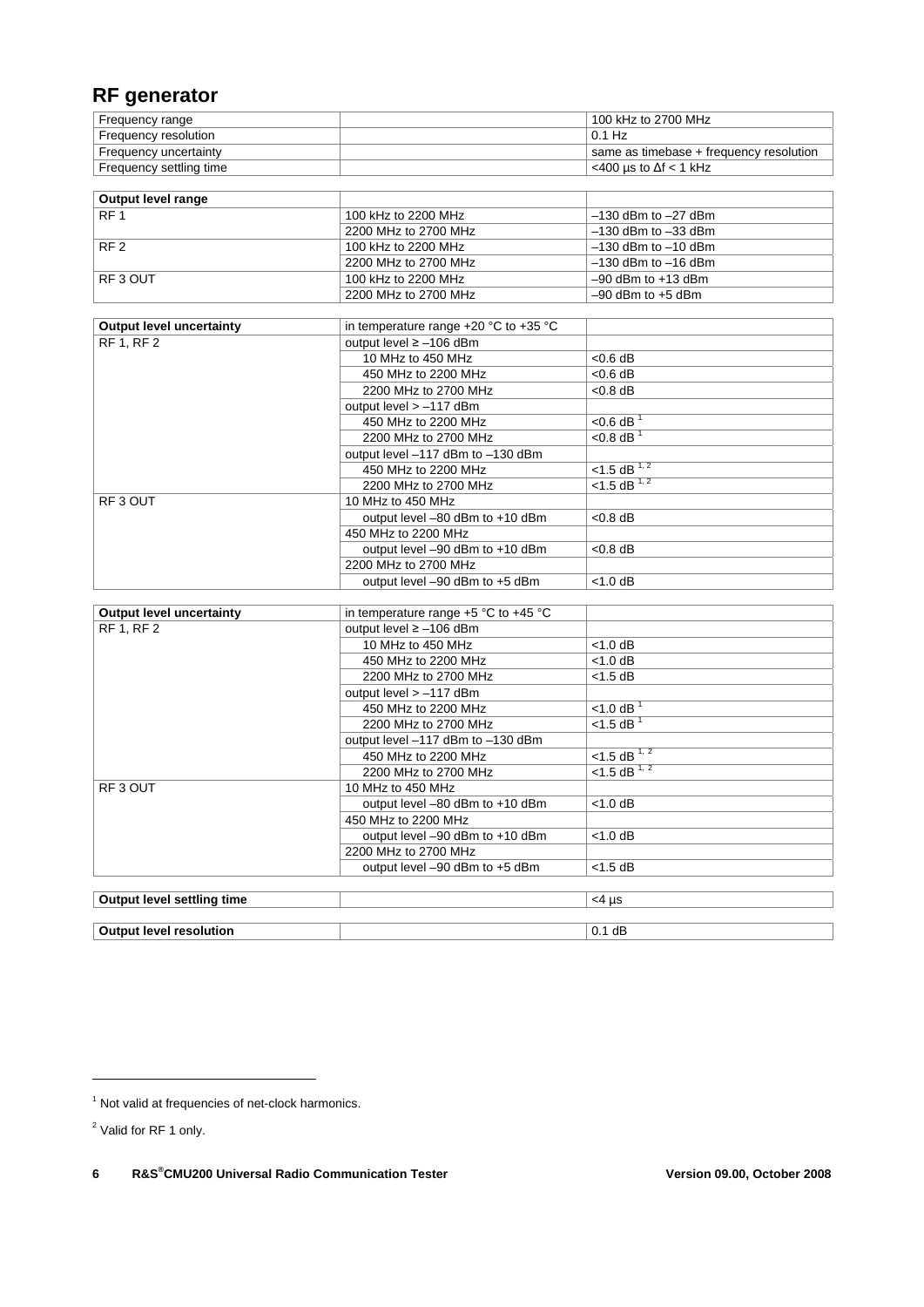### **RF generator**

| Frequency range         | 100 kHz to 2700 MHz                      |
|-------------------------|------------------------------------------|
| Frequency resolution    | $0.1$ Hz                                 |
| Frequency uncertainty   | same as timebase + frequency resolution  |
| Frequency settling time | $^{\circ}$ <400 us to $\Delta f$ < 1 kHz |

| Output level range |                      |                         |
|--------------------|----------------------|-------------------------|
| RF <sub>1</sub>    | 100 kHz to 2200 MHz  | $-130$ dBm to $-27$ dBm |
|                    | 2200 MHz to 2700 MHz | $-130$ dBm to $-33$ dBm |
| RF <sub>2</sub>    | 100 kHz to 2200 MHz  | $-130$ dBm to $-10$ dBm |
|                    | 2200 MHz to 2700 MHz | $-130$ dBm to $-16$ dBm |
| RF3 OUT            | 100 kHz to 2200 MHz  | $-90$ dBm to $+13$ dBm  |
|                    | 2200 MHz to 2700 MHz | $-90$ dBm to $+5$ dBm   |

| <b>Output level uncertainty</b> | in temperature range $+20$ °C to $+35$ °C |                           |
|---------------------------------|-------------------------------------------|---------------------------|
| <b>RF 1, RF 2</b>               | output level ≥ -106 dBm                   |                           |
|                                 | 10 MHz to 450 MHz                         | $< 0.6$ dB                |
|                                 | 450 MHz to 2200 MHz                       | $< 0.6$ dB                |
|                                 | 2200 MHz to 2700 MHz                      | $< 0.8$ dB                |
|                                 | output level > -117 dBm                   |                           |
|                                 | 450 MHz to 2200 MHz                       | $<$ 0.6 dB                |
|                                 | 2200 MHz to 2700 MHz                      | $< 0.8$ dB <sup>1</sup>   |
|                                 | output level -117 dBm to -130 dBm         |                           |
|                                 | 450 MHz to 2200 MHz                       | <1.5 dB $1,2$             |
|                                 | 2200 MHz to 2700 MHz                      | $< 1.5$ dB <sup>1,2</sup> |
| RF3 OUT                         | 10 MHz to 450 MHz                         |                           |
|                                 | output level -80 dBm to +10 dBm           | $< 0.8$ dB                |
|                                 | 450 MHz to 2200 MHz                       |                           |
|                                 | output level -90 dBm to +10 dBm           | $< 0.8$ dB                |
|                                 | 2200 MHz to 2700 MHz                      |                           |
|                                 | output level -90 dBm to +5 dBm            | < 1.0 dB                  |
|                                 |                                           |                           |
| <b>Output level uncertainty</b> | in temperature range $+5$ °C to $+45$ °C  |                           |
| <b>RF 1, RF 2</b>               | output level ≥ -106 dBm                   |                           |
|                                 | 10 MHz to 450 MHz                         | $< 1.0$ dB                |
|                                 | 450 MHz to 2200 MHz                       | $<$ 1.0 dB                |
|                                 | 2200 MHz to 2700 MHz                      | $<$ 1.5 dB                |
|                                 | output level > -117 dBm                   |                           |
|                                 | 450 MHz to 2200 MHz                       | $<$ 1.0 dB $1$            |
|                                 | 2200 MHz to 2700 MHz                      | $<$ 1.5 dB $1$            |
|                                 | output level -117 dBm to -130 dBm         |                           |
|                                 | 450 MHz to 2200 MHz                       | $< 1.5$ dB <sup>1,2</sup> |
|                                 | 2200 MHz to 2700 MHz                      | $< 1.5$ dB <sup>1,2</sup> |
| RF3 OUT                         | 10 MHz to 450 MHz                         |                           |
|                                 | output level -80 dBm to +10 dBm           | $<$ 1.0 dB                |
|                                 | 450 MHz to 2200 MHz                       |                           |
|                                 | output level -90 dBm to +10 dBm           | $<$ 1.0 dB                |
|                                 | 2200 MHz to 2700 MHz                      |                           |
|                                 | output level -90 dBm to +5 dBm            | $<$ 1.5 dB                |
|                                 |                                           |                           |
| Output level settling time      |                                           | $<$ 4 µs                  |
|                                 |                                           |                           |

**Output level resolution 0.1 dB** 

<u>.</u>

<sup>&</sup>lt;sup>1</sup> Not valid at frequencies of net-clock harmonics.

<sup>&</sup>lt;sup>2</sup> Valid for RF 1 only.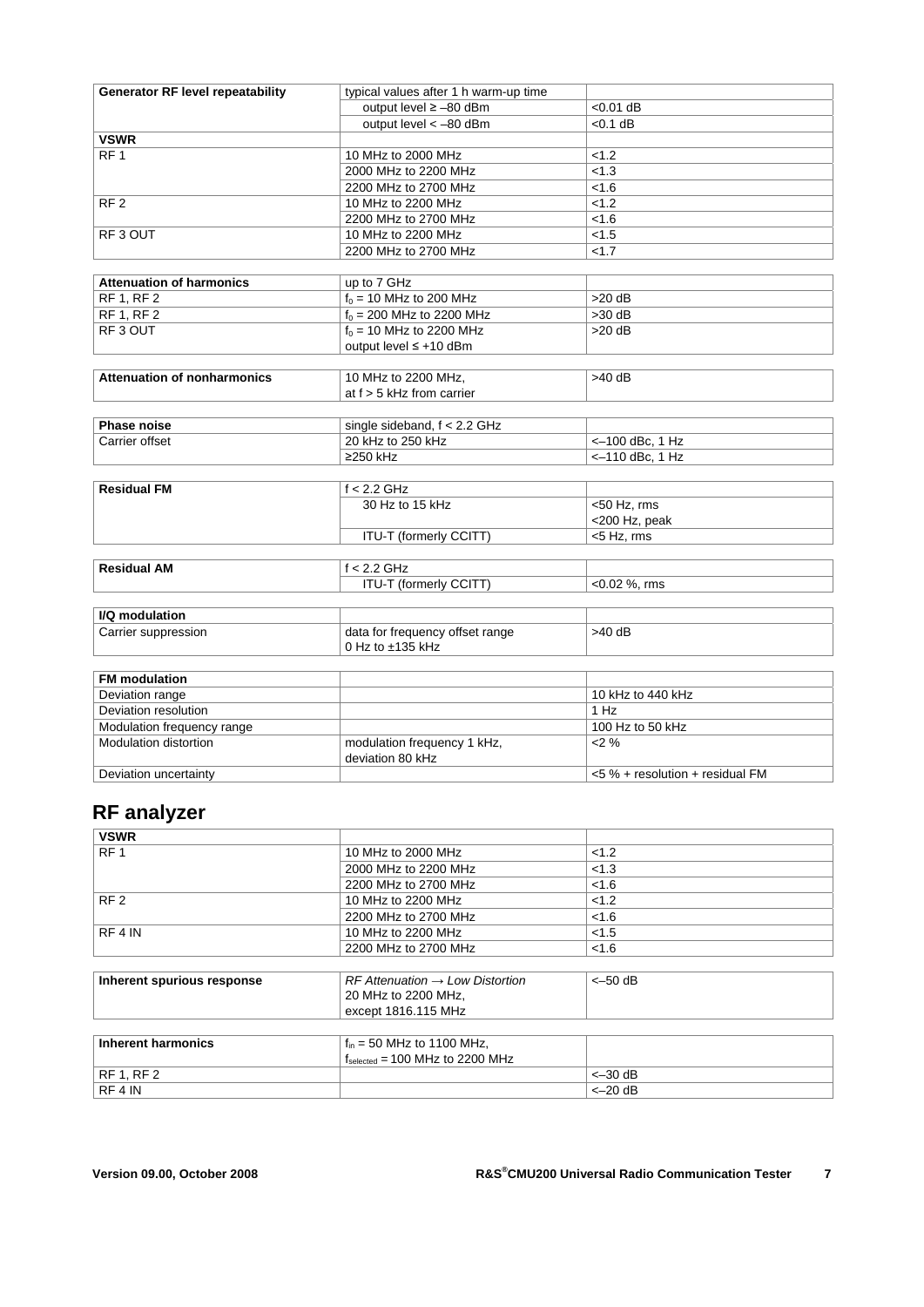| <b>Generator RF level repeatability</b> | typical values after 1 h warm-up time |                                    |
|-----------------------------------------|---------------------------------------|------------------------------------|
|                                         | output level $\ge -80$ dBm            | $< 0.01$ dB                        |
|                                         | output level < - 80 dBm               | $< 0.1$ dB                         |
| <b>VSWR</b>                             |                                       |                                    |
| RF <sub>1</sub>                         | 10 MHz to 2000 MHz                    | < 1.2                              |
|                                         | 2000 MHz to 2200 MHz                  | < 1.3                              |
|                                         | 2200 MHz to 2700 MHz                  | < 1.6                              |
| RF <sub>2</sub>                         | 10 MHz to 2200 MHz                    | < 1.2                              |
|                                         | 2200 MHz to 2700 MHz                  | < 1.6                              |
| RF3 OUT                                 | 10 MHz to 2200 MHz                    | < 1.5                              |
|                                         | 2200 MHz to 2700 MHz                  | < 1.7                              |
|                                         |                                       |                                    |
| <b>Attenuation of harmonics</b>         | up to 7 GHz                           |                                    |
| <b>RF 1. RF 2</b>                       | $f_0 = 10$ MHz to 200 MHz             | $>20$ dB                           |
| RF 1, RF 2                              | $f_0 = 200$ MHz to 2200 MHz           | $>30$ dB                           |
| RF3 OUT                                 | $f_0 = 10$ MHz to 2200 MHz            | $>20$ dB                           |
|                                         | output level ≤ +10 dBm                |                                    |
|                                         |                                       |                                    |
| <b>Attenuation of nonharmonics</b>      | 10 MHz to 2200 MHz,                   | $>40$ dB                           |
|                                         | at $f > 5$ kHz from carrier           |                                    |
|                                         |                                       |                                    |
| Phase noise                             | single sideband, $f < 2.2$ GHz        |                                    |
| Carrier offset                          | 20 kHz to 250 kHz                     | <-100 dBc, 1 Hz                    |
|                                         | ≥250 kHz                              | <- 110 dBc, 1 Hz                   |
|                                         |                                       |                                    |
| <b>Residual FM</b>                      | $f < 2.2$ GHz                         |                                    |
|                                         | 30 Hz to 15 kHz                       | $50$ Hz, rms                       |
|                                         |                                       | <200 Hz, peak                      |
|                                         | ITU-T (formerly CCITT)                | <5 Hz, rms                         |
| <b>Residual AM</b>                      | $f < 2.2$ GHz                         |                                    |
|                                         | ITU-T (formerly CCITT)                | <0.02 %, rms                       |
|                                         |                                       |                                    |
| I/Q modulation                          |                                       |                                    |
| Carrier suppression                     | data for frequency offset range       | $>40$ dB                           |
|                                         | 0 Hz to ±135 kHz                      |                                    |
|                                         |                                       |                                    |
| <b>FM</b> modulation                    |                                       |                                    |
| Deviation range                         |                                       | 10 kHz to 440 kHz                  |
| Deviation resolution                    |                                       | 1 Hz                               |
| Modulation frequency range              |                                       | 100 Hz to 50 kHz                   |
| Modulation distortion                   | modulation frequency 1 kHz,           | 2%                                 |
|                                         | deviation 80 kHz                      |                                    |
| Deviation uncertainty                   |                                       | $<$ 5 % + resolution + residual FM |

# **RF analyzer**

| <b>VSWR</b>     |                      |       |  |
|-----------------|----------------------|-------|--|
| RF <sub>1</sub> | 10 MHz to 2000 MHz   | < 1.2 |  |
|                 | 2000 MHz to 2200 MHz | < 1.3 |  |
|                 | 2200 MHz to 2700 MHz | < 1.6 |  |
| RF <sub>2</sub> | 10 MHz to 2200 MHz   | < 1.2 |  |
|                 | 2200 MHz to 2700 MHz | < 1.6 |  |
| RF 4 IN         | 10 MHz to 2200 MHz   | < 1.5 |  |
|                 | 2200 MHz to 2700 MHz | < 1.6 |  |

| Inherent spurious response | $R$ F Attenuation $\rightarrow$ Low Distortion<br>20 MHz to 2200 MHz, | $<-50$ dB |
|----------------------------|-----------------------------------------------------------------------|-----------|
|                            | except 1816.115 MHz                                                   |           |

| Inherent harmonics | $f_{in}$ = 50 MHz to 1100 MHz,                      |           |
|--------------------|-----------------------------------------------------|-----------|
|                    | $f_{\text{selected}} = 100 \text{ MHz}$ to 2200 MHz |           |
| RF 1. RF 2         |                                                     | $<-30$ dB |
| RF 4 IN            |                                                     | $<-20$ dB |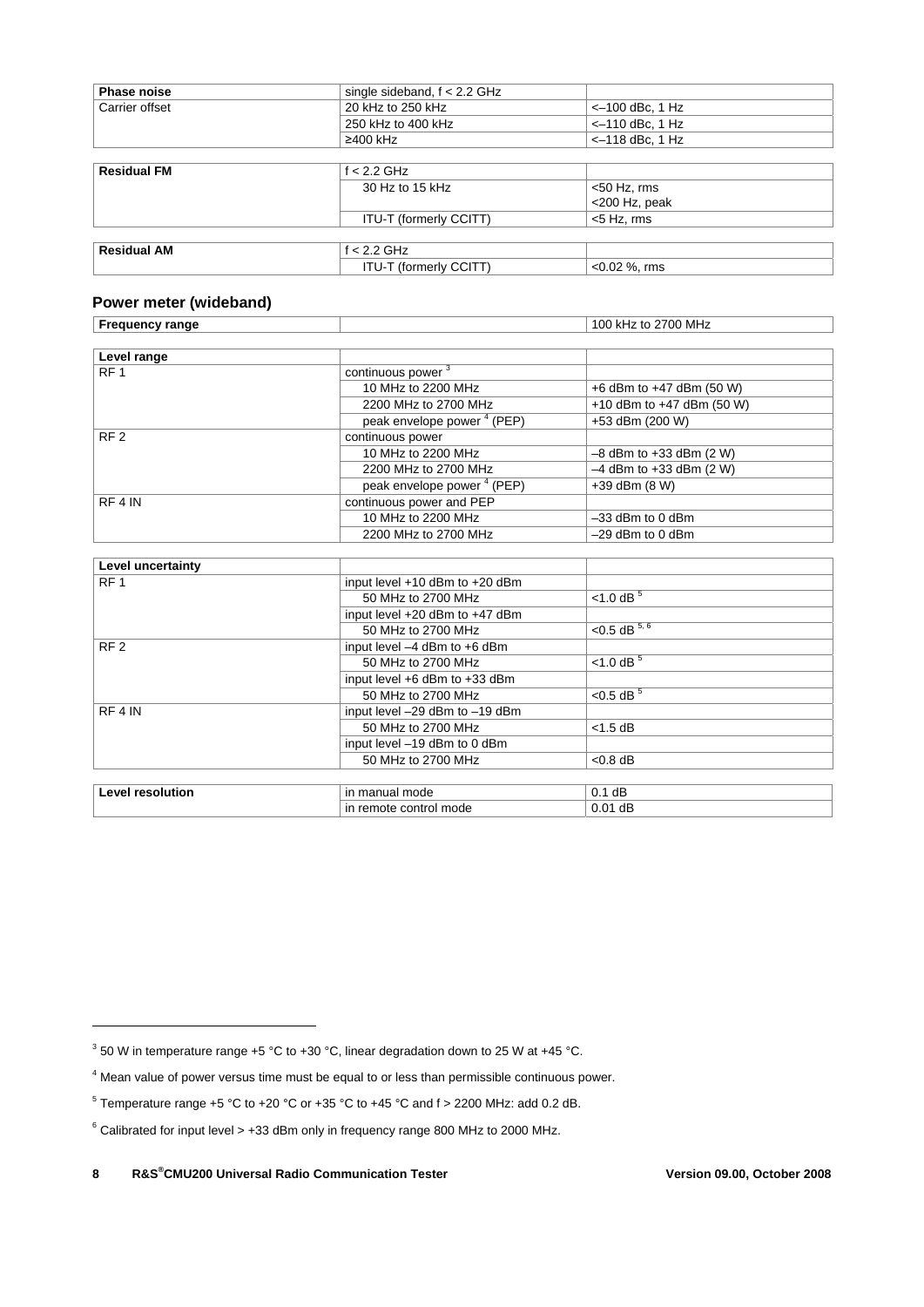| <b>Phase noise</b> | single sideband, $f < 2.2$ GHz |                   |
|--------------------|--------------------------------|-------------------|
| Carrier offset     | 20 kHz to 250 kHz              | $<-100$ dBc, 1 Hz |
|                    | 250 kHz to 400 kHz             | $<-110$ dBc, 1 Hz |
|                    | $\geq$ 400 kHz                 | $<-118$ dBc, 1 Hz |
|                    |                                |                   |
| <b>Residual FM</b> | $f < 2.2$ GHz                  |                   |
|                    | 30 Hz to 15 kHz                | $<$ 50 Hz, rms    |
|                    |                                | <200 Hz, peak     |
|                    | ITU-T (formerly CCITT)         | $<$ 5 Hz, rms     |
|                    |                                |                   |
| <b>Residual AM</b> | $f < 2.2$ GHz                  |                   |
|                    | ITU-T (formerly CCITT)         | $< 0.02$ %, rms   |

#### **Power meter (wideband)**

| <b>Frequency range</b> |                                        | 100 kHz to 2700 MHz         |
|------------------------|----------------------------------------|-----------------------------|
|                        |                                        |                             |
| Level range            |                                        |                             |
| RF <sub>1</sub>        | continuous power <sup>3</sup>          |                             |
|                        | 10 MHz to 2200 MHz                     | +6 dBm to $+47$ dBm (50 W)  |
|                        | 2200 MHz to 2700 MHz                   | +10 dBm to $+47$ dBm (50 W) |
|                        | peak envelope power <sup>4</sup> (PEP) | +53 dBm (200 W)             |
| RF <sub>2</sub>        | continuous power                       |                             |
|                        | 10 MHz to 2200 MHz                     | $-8$ dBm to $+33$ dBm (2 W) |
|                        | 2200 MHz to 2700 MHz                   | $-4$ dBm to $+33$ dBm (2 W) |
|                        | peak envelope power <sup>4</sup> (PEP) | $+39$ dBm $(8 W)$           |
| RF4 IN                 | continuous power and PEP               |                             |
|                        | 10 MHz to 2200 MHz                     | $-33$ dBm to 0 dBm          |
|                        | 2200 MHz to 2700 MHz                   | $-29$ dBm to 0 dBm          |
|                        |                                        |                             |
| Level uncertainty      |                                        |                             |

| LOVOL UNIVOLIGINITY     |                                    |                             |
|-------------------------|------------------------------------|-----------------------------|
| RF <sub>1</sub>         | input level $+10$ dBm to $+20$ dBm |                             |
|                         | 50 MHz to 2700 MHz                 | $<$ 1.0 dB $5$              |
|                         | input level +20 dBm to +47 dBm     |                             |
|                         | 50 MHz to 2700 MHz                 | $< 0.5 \overline{dB^{5,6}}$ |
| RF <sub>2</sub>         | input level -4 dBm to +6 dBm       |                             |
|                         | 50 MHz to 2700 MHz                 | $< 1.0 \text{ dB}^{-5}$     |
|                         | input level +6 dBm to +33 dBm      |                             |
|                         | 50 MHz to 2700 MHz                 | $< 0.5$ dB $5$              |
| RF4 IN                  | input level -29 dBm to -19 dBm     |                             |
|                         | 50 MHz to 2700 MHz                 | $<$ 1.5 dB                  |
|                         | input level -19 dBm to 0 dBm       |                             |
|                         | 50 MHz to 2700 MHz                 | $< 0.8$ dB                  |
|                         |                                    |                             |
| <b>Level resolution</b> | in manual mode                     | $0.1$ dB                    |

in remote control mode 0.01 dB

-

 $3$  50 W in temperature range +5 °C to +30 °C, linear degradation down to 25 W at +45 °C.

<sup>&</sup>lt;sup>4</sup> Mean value of power versus time must be equal to or less than permissible continuous power.

 $5$  Temperature range +5 °C to +20 °C or +35 °C to +45 °C and f > 2200 MHz: add 0.2 dB.

 $6$  Calibrated for input level  $> +33$  dBm only in frequency range 800 MHz to 2000 MHz.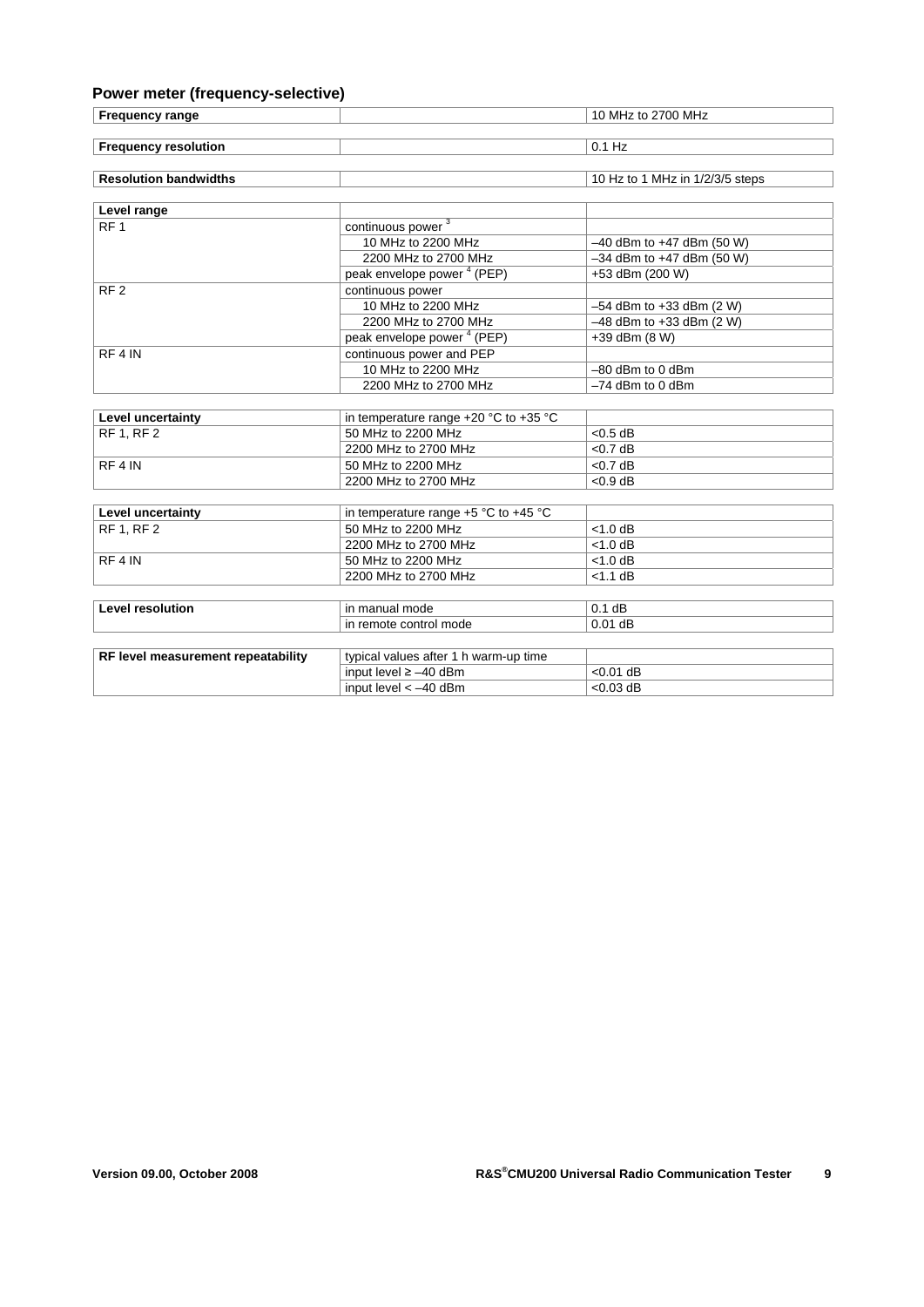#### **Power meter (frequency-selective)**

RF 4 IN

| <b>Frequency range</b>       |                                        | 10 MHz to 2700 MHz              |
|------------------------------|----------------------------------------|---------------------------------|
|                              |                                        |                                 |
| <b>Frequency resolution</b>  |                                        | $0.1$ Hz                        |
|                              |                                        |                                 |
| <b>Resolution bandwidths</b> |                                        | 10 Hz to 1 MHz in 1/2/3/5 steps |
|                              |                                        |                                 |
| Level range                  |                                        |                                 |
| RF <sub>1</sub>              | continuous power <sup>3</sup>          |                                 |
|                              | 10 MHz to 2200 MHz                     | $-40$ dBm to $+47$ dBm (50 W)   |
|                              | 2200 MHz to 2700 MHz                   | $-34$ dBm to $+47$ dBm (50 W)   |
|                              | peak envelope power <sup>4</sup> (PEP) | +53 dBm (200 W)                 |
| RF <sub>2</sub>              | continuous power                       |                                 |
|                              | 10 MHz to 2200 MHz                     | $-54$ dBm to $+33$ dBm (2 W)    |

peak envelope power<sup>4</sup> (PEP)

continuous power and PEP

**Level uncertainty**<br>RF 1, RF 2 50 MHz to 2200 MHz

10 MHz to 2200 MHz<br>
2200 MHz to 2700 MHz<br>  $-54$  dBm to +33 dBm (2 W)<br>  $-48$  dBm to +33 dBm (2 W)

10 MHz to 2200 MHz –80 dBm to 0 dBm

2200 MHz to 2700 MHz –74 dBm to 0 dBm

F 1, 80 MHz to 2200 MHz  $\sim$  20.5 dB

 $-48$  dBm to +33 dBm (2 W)

 $+39$  dBm (8 W)

|                                    | 2200 MHz to 2700 MHz                     | $< 0.7$ dB  |
|------------------------------------|------------------------------------------|-------------|
|                                    |                                          |             |
| RF4 IN                             | 50 MHz to 2200 MHz                       | $<$ 0.7 dB  |
|                                    | 2200 MHz to 2700 MHz                     | $< 0.9$ dB  |
|                                    |                                          |             |
| Level uncertainty                  | in temperature range $+5$ °C to $+45$ °C |             |
| <b>RF 1. RF 2</b>                  | 50 MHz to 2200 MHz                       | $<$ 1.0 dB  |
|                                    | 2200 MHz to 2700 MHz                     | $<$ 1.0 dB  |
| RF4 IN                             | 50 MHz to 2200 MHz                       | $<$ 1.0 dB  |
|                                    | 2200 MHz to 2700 MHz                     | $<$ 1.1 dB  |
|                                    |                                          |             |
| <b>Level resolution</b>            | in manual mode                           | $0.1$ dB    |
|                                    | in remote control mode                   | $0.01$ dB   |
|                                    |                                          |             |
| RF level measurement repeatability | typical values after 1 h warm-up time    |             |
|                                    | input level $\ge$ -40 dBm                | $< 0.01$ dB |
|                                    | input level $< -40$ dBm                  | $< 0.03$ dB |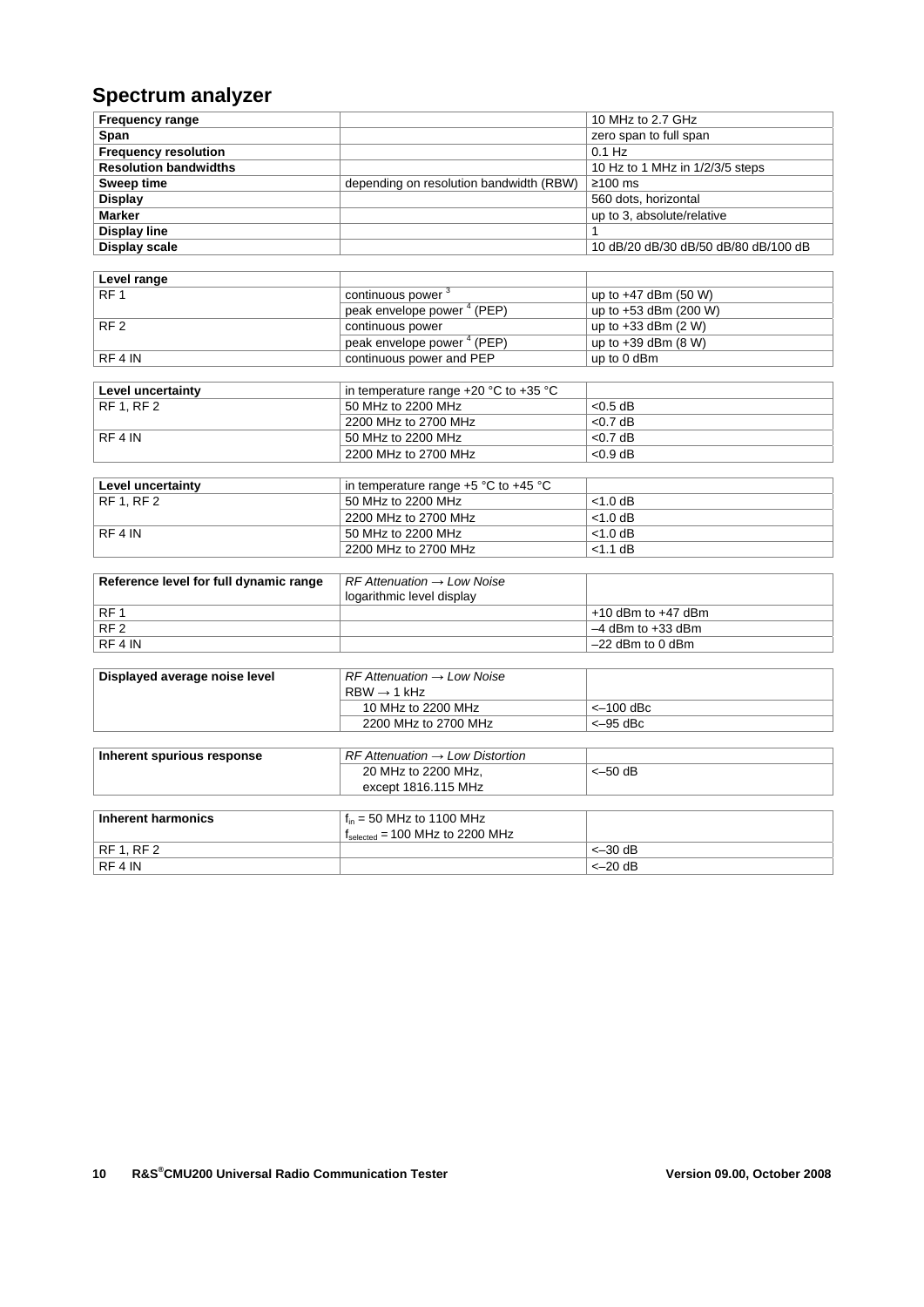# **Spectrum analyzer**

| <b>Frequency range</b>       |                                         | 10 MHz to 2.7 GHz                    |
|------------------------------|-----------------------------------------|--------------------------------------|
| Span                         |                                         | zero span to full span               |
| <b>Frequency resolution</b>  |                                         | $0.1$ Hz                             |
| <b>Resolution bandwidths</b> |                                         | 10 Hz to 1 MHz in 1/2/3/5 steps      |
| Sweep time                   | depending on resolution bandwidth (RBW) | $\geq 100$ ms                        |
| Display                      |                                         | 560 dots, horizontal                 |
| <b>Marker</b>                |                                         | up to 3, absolute/relative           |
| <b>Display line</b>          |                                         |                                      |
| Display scale                |                                         | 10 dB/20 dB/30 dB/50 dB/80 dB/100 dB |

| Level range     |                                        |                         |
|-----------------|----------------------------------------|-------------------------|
| RF <sub>1</sub> | continuous power <sup>3</sup>          | up to $+47$ dBm (50 W)  |
|                 | (PEP)<br>peak envelope power           | up to $+53$ dBm (200 W) |
| RF <sub>2</sub> | continuous power                       | up to $+33$ dBm $(2 W)$ |
|                 | peak envelope power <sup>4</sup> (PEP) | up to $+39$ dBm (8 W)   |
| RF4 IN          | continuous power and PEP               | up to 0 dBm             |

| Level uncertainty | in temperature range $+20$ °C to $+35$ °C |            |
|-------------------|-------------------------------------------|------------|
| RF1.RF2           | 50 MHz to 2200 MHz                        | $< 0.5$ dB |
|                   | 2200 MHz to 2700 MHz                      | $< 0.7$ dB |
| RF4 IN            | 50 MHz to 2200 MHz                        | $< 0.7$ dB |
|                   | 2200 MHz to 2700 MHz                      | $< 0.9$ dB |

| Level uncertainty | in temperature range $+5$ °C to $+45$ °C |            |
|-------------------|------------------------------------------|------------|
| RF 1, RF 2        | 50 MHz to 2200 MHz                       | $<$ 1.0 dB |
|                   | 2200 MHz to 2700 MHz                     | $<$ 1.0 dB |
| RF4 IN            | 50 MHz to 2200 MHz                       | $<$ 1.0 dB |
|                   | 2200 MHz to 2700 MHz                     | $<$ 1.1 dB |

| Reference level for full dynamic range | $RF$ Attenuation $\rightarrow$ Low Noise |                        |
|----------------------------------------|------------------------------------------|------------------------|
|                                        | logarithmic level display                |                        |
| RF <sub>1</sub>                        |                                          | $+10$ dBm to $+47$ dBm |
| RF <sub>2</sub>                        |                                          | $-4$ dBm to $+33$ dBm  |
| RF4 IN                                 |                                          | $-22$ dBm to 0 dBm     |

| Displayed average noise level | $RF$ Attenuation $\rightarrow$ Low Noise<br>$RBW \rightarrow 1 kHz$ |            |
|-------------------------------|---------------------------------------------------------------------|------------|
|                               | 10 MHz to 2200 MHz                                                  | <–100 dBc  |
|                               | 2200 MHz to 2700 MHz                                                | $<-95$ dBc |

| Inherent spurious response | $RF$ Attenuation $\rightarrow$ Low Distortion       |           |
|----------------------------|-----------------------------------------------------|-----------|
|                            | 20 MHz to 2200 MHz,                                 | $<-50$ dB |
|                            | except 1816.115 MHz                                 |           |
|                            |                                                     |           |
| Inherent harmonics         | $f_{in}$ = 50 MHz to 1100 MHz                       |           |
|                            | $f_{\text{selected}} = 100 \text{ MHz}$ to 2200 MHz |           |
| <b>RF 1. RF 2</b>          |                                                     | $<-30$ dB |
| RF 4 IN                    |                                                     | $<-20$ dB |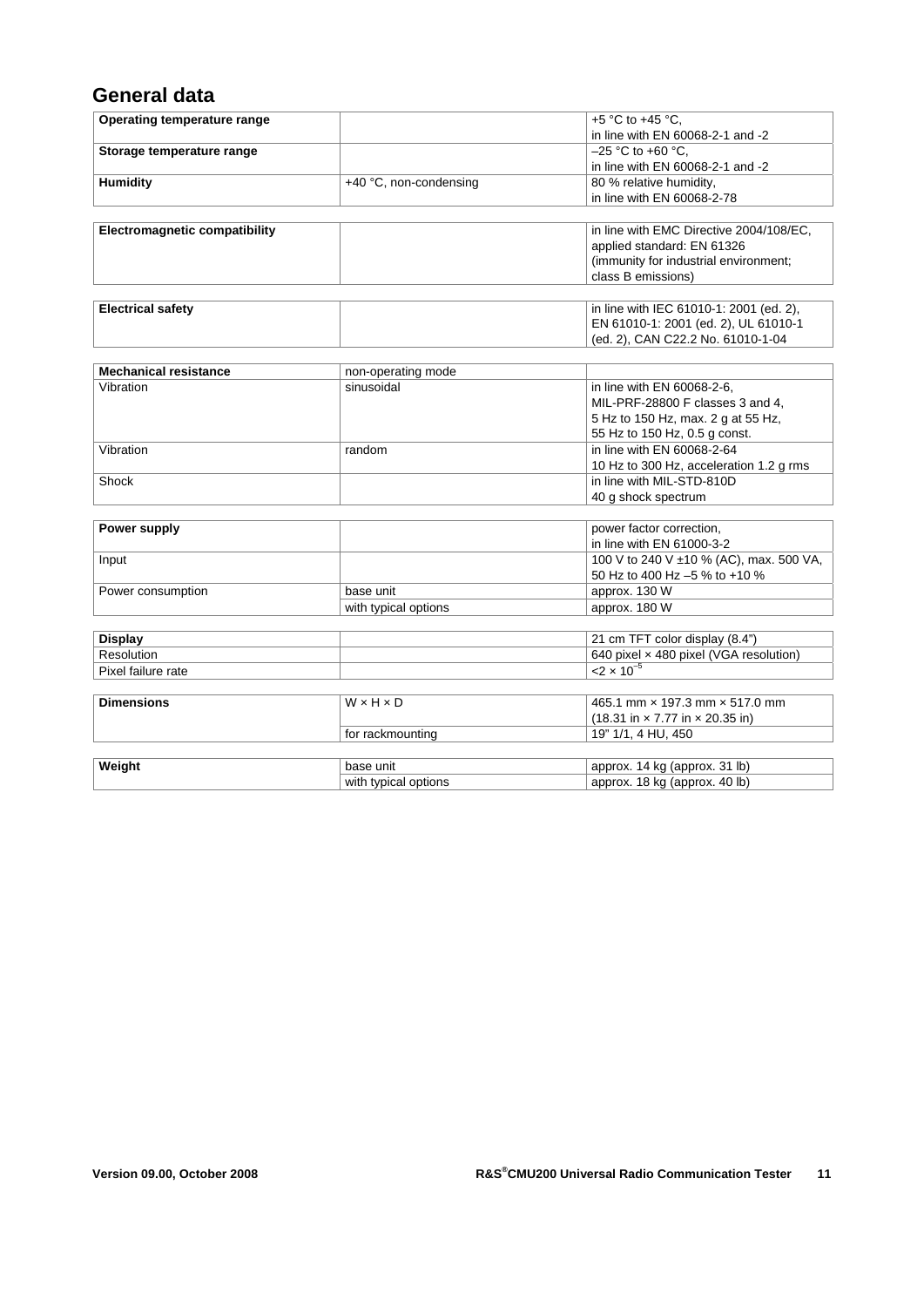### **General data**

| Operating temperature range          |                        | +5 °C to +45 °C,                                                    |
|--------------------------------------|------------------------|---------------------------------------------------------------------|
|                                      |                        | in line with EN 60068-2-1 and -2                                    |
| Storage temperature range            |                        | $-25$ °C to +60 °C.                                                 |
|                                      |                        | in line with EN 60068-2-1 and -2                                    |
| <b>Humidity</b>                      | +40 °C, non-condensing | 80 % relative humidity,                                             |
|                                      |                        | in line with EN 60068-2-78                                          |
|                                      |                        |                                                                     |
| <b>Electromagnetic compatibility</b> |                        | in line with EMC Directive 2004/108/EC,                             |
|                                      |                        | applied standard: EN 61326                                          |
|                                      |                        | (immunity for industrial environment;                               |
|                                      |                        | class B emissions)                                                  |
|                                      |                        |                                                                     |
| <b>Electrical safety</b>             |                        | in line with IEC 61010-1: 2001 (ed. 2),                             |
|                                      |                        | EN 61010-1: 2001 (ed. 2), UL 61010-1                                |
|                                      |                        | (ed. 2), CAN C22.2 No. 61010-1-04                                   |
|                                      |                        |                                                                     |
| <b>Mechanical resistance</b>         | non-operating mode     |                                                                     |
| Vibration                            | sinusoidal             | in line with EN 60068-2-6,                                          |
|                                      |                        | MIL-PRF-28800 F classes 3 and 4,                                    |
|                                      |                        | 5 Hz to 150 Hz, max. 2 g at 55 Hz,                                  |
|                                      |                        | 55 Hz to 150 Hz, 0.5 g const.                                       |
| Vibration                            | random                 | in line with EN 60068-2-64                                          |
|                                      |                        | 10 Hz to 300 Hz, acceleration 1.2 g rms                             |
| Shock                                |                        | in line with MIL-STD-810D                                           |
|                                      |                        | 40 g shock spectrum                                                 |
|                                      |                        |                                                                     |
| Power supply                         |                        | power factor correction,                                            |
|                                      |                        | in line with EN 61000-3-2                                           |
| Input                                |                        | 100 V to 240 V ±10 % (AC), max. 500 VA,                             |
|                                      |                        | 50 Hz to 400 Hz -5 % to +10 %                                       |
| Power consumption                    | base unit              | approx. 130 W                                                       |
|                                      | with typical options   | approx. 180 W                                                       |
|                                      |                        |                                                                     |
| <b>Display</b>                       |                        | 21 cm TFT color display (8.4")                                      |
| Resolution                           |                        | 640 pixel x 480 pixel (VGA resolution)                              |
| Pixel failure rate                   |                        | $< 2 \times 10^{-5}$                                                |
|                                      |                        |                                                                     |
| <b>Dimensions</b>                    | $W \times H \times D$  | 465.1 mm × 197.3 mm × 517.0 mm                                      |
|                                      |                        | $(18.31 \text{ in} \times 7.77 \text{ in} \times 20.35 \text{ in})$ |
|                                      | for rackmounting       | 19" 1/1, 4 HU, 450                                                  |
|                                      |                        |                                                                     |
| Weight                               | base unit              | approx. 14 kg (approx. 31 lb)                                       |
|                                      | with typical options   | approx. 18 kg (approx. 40 lb)                                       |
|                                      |                        |                                                                     |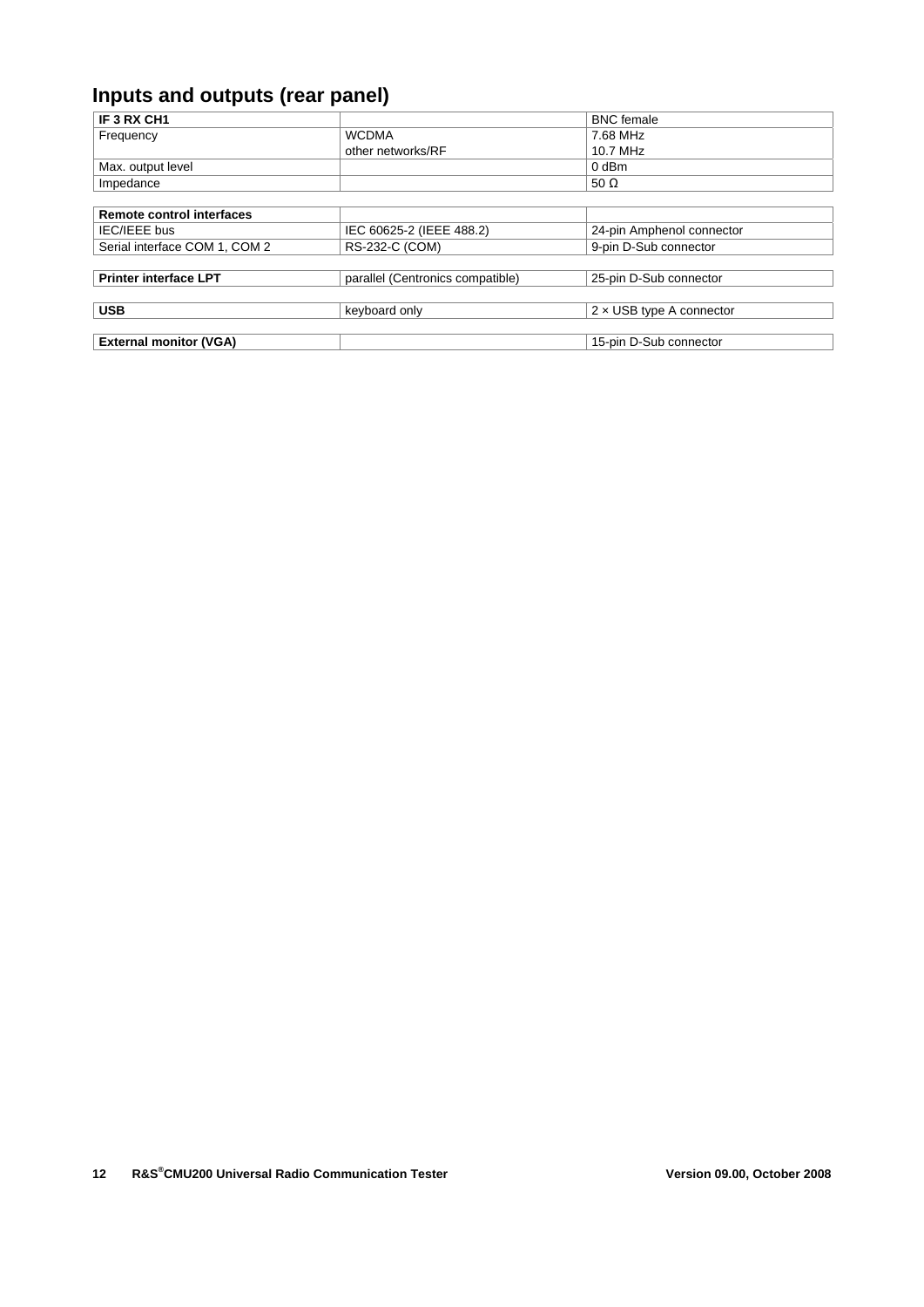# **Inputs and outputs (rear panel)**

| IF 3 RX CH1                      |                                  | <b>BNC</b> female               |
|----------------------------------|----------------------------------|---------------------------------|
| Frequency                        | <b>WCDMA</b>                     | 7.68 MHz                        |
|                                  | other networks/RF                | 10.7 MHz                        |
| Max. output level                |                                  | 0 dBm                           |
| Impedance                        |                                  | 50 $\Omega$                     |
|                                  |                                  |                                 |
| <b>Remote control interfaces</b> |                                  |                                 |
| IEC/IEEE bus                     | IEC 60625-2 (IEEE 488.2)         | 24-pin Amphenol connector       |
| Serial interface COM 1, COM 2    | RS-232-C (COM)                   | 9-pin D-Sub connector           |
|                                  |                                  |                                 |
| <b>Printer interface LPT</b>     | parallel (Centronics compatible) | 25-pin D-Sub connector          |
|                                  |                                  |                                 |
| <b>USB</b>                       | keyboard only                    | $2 \times$ USB type A connector |
|                                  |                                  |                                 |
| <b>External monitor (VGA)</b>    |                                  | 15-pin D-Sub connector          |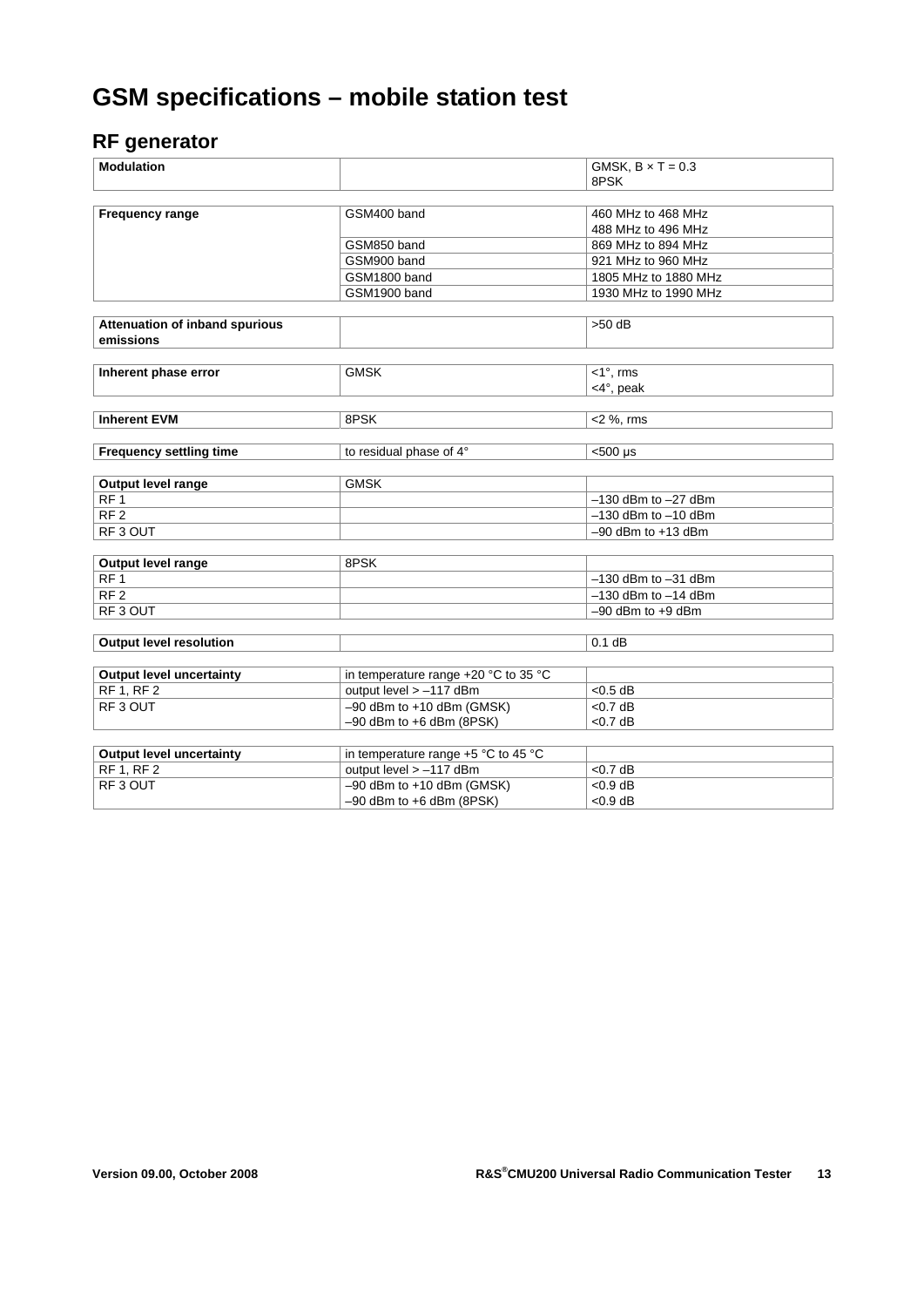# **GSM specifications – mobile station test**

### **RF generator**

| <b>Modulation</b>                     |                                      | GMSK, $B \times T = 0.3$ |
|---------------------------------------|--------------------------------------|--------------------------|
|                                       |                                      | 8PSK                     |
|                                       |                                      |                          |
| <b>Frequency range</b>                | GSM400 band                          | 460 MHz to 468 MHz       |
|                                       |                                      | 488 MHz to 496 MHz       |
|                                       | GSM850 band                          | 869 MHz to 894 MHz       |
|                                       | GSM900 band                          | 921 MHz to 960 MHz       |
|                                       | GSM1800 band                         | 1805 MHz to 1880 MHz     |
|                                       | GSM1900 band                         | 1930 MHz to 1990 MHz     |
|                                       |                                      |                          |
| <b>Attenuation of inband spurious</b> |                                      | $>50$ dB                 |
| emissions                             |                                      |                          |
|                                       |                                      |                          |
| Inherent phase error                  | <b>GMSK</b>                          | $<$ 1 $^{\circ}$ , rms   |
|                                       |                                      | <4°, peak                |
|                                       |                                      |                          |
| <b>Inherent EVM</b>                   | 8PSK                                 | $<$ 2 %, rms             |
|                                       |                                      |                          |
| <b>Frequency settling time</b>        | to residual phase of 4°              | $<$ 500 µs               |
|                                       |                                      |                          |
| Output level range                    | <b>GMSK</b>                          |                          |
| RF <sub>1</sub>                       |                                      | $-130$ dBm to $-27$ dBm  |
| RF <sub>2</sub>                       |                                      | $-130$ dBm to $-10$ dBm  |
| RF3 OUT                               |                                      | $-90$ dBm to $+13$ dBm   |
|                                       |                                      |                          |
| <b>Output level range</b>             | 8PSK                                 |                          |
| RF 1                                  |                                      | $-130$ dBm to $-31$ dBm  |
| RF <sub>2</sub>                       |                                      | $-130$ dBm to $-14$ dBm  |
| RF <sub>3</sub> OUT                   |                                      | $-90$ dBm to $+9$ dBm    |
|                                       |                                      |                          |
| <b>Output level resolution</b>        |                                      | $0.1$ dB                 |
|                                       |                                      |                          |
| <b>Output level uncertainty</b>       | in temperature range +20 °C to 35 °C |                          |
| RF 1, RF 2                            | output level > -117 dBm              | $< 0.5$ dB               |
| RF <sub>3</sub> OUT                   | $-90$ dBm to $+10$ dBm (GMSK)        | $<$ 0.7 dB               |
|                                       | $-90$ dBm to $+6$ dBm (8PSK)         | $<$ 0.7 dB               |
|                                       |                                      |                          |
| <b>Output level uncertainty</b>       | in temperature range +5 °C to 45 °C  |                          |
| <b>RF 1, RF 2</b>                     | output level > -117 dBm              | < 0.7 dB                 |
| RF3 OUT                               | $-90$ dBm to $+10$ dBm (GMSK)        | $< 0.9$ dB               |
|                                       | $-90$ dBm to $+6$ dBm (8PSK)         | $< 0.9$ dB               |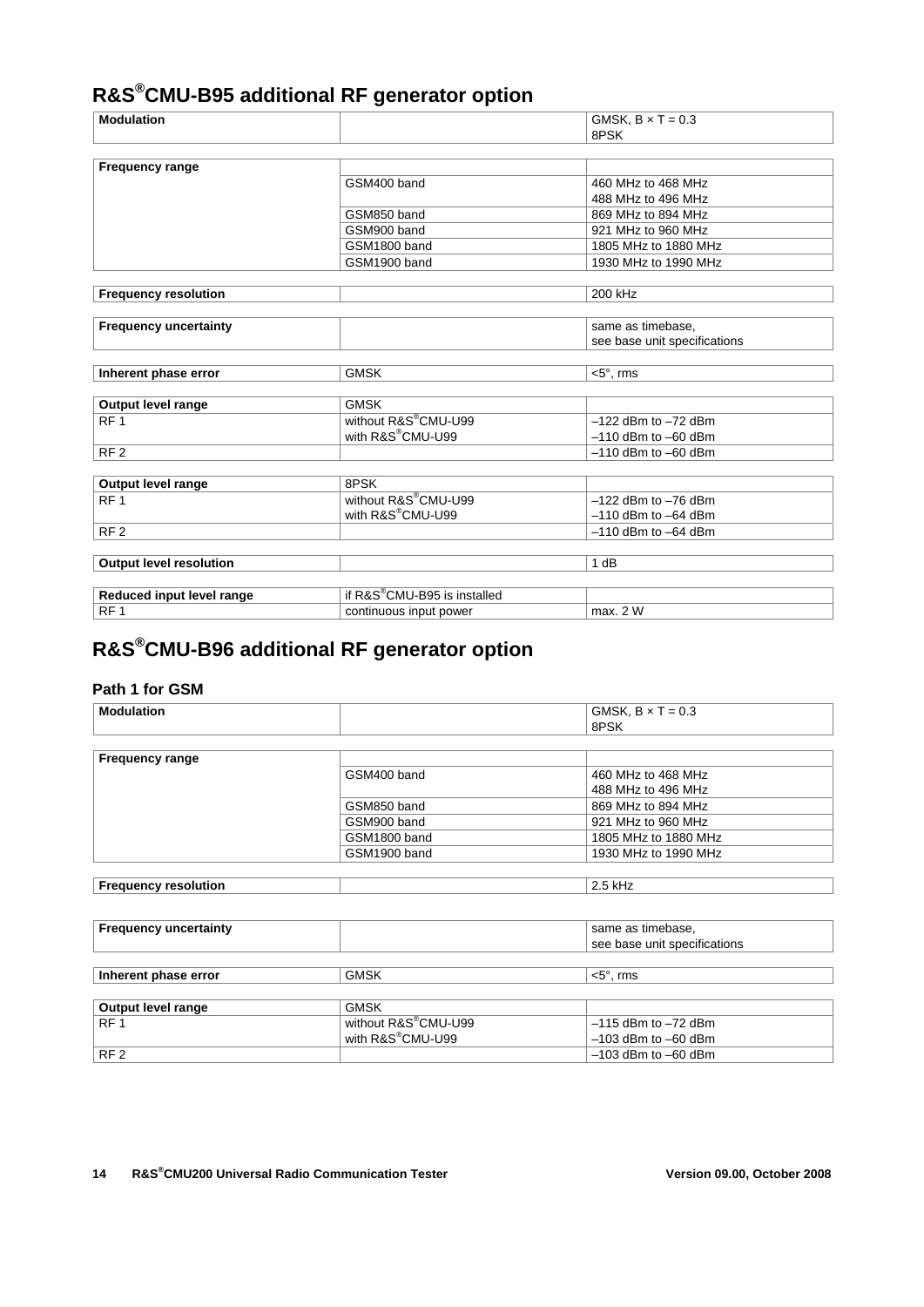# **R&S®CMU-B95 additional RF generator option**

| <b>Modulation</b>              |                                          | GMSK, $B \times T = 0.3$     |
|--------------------------------|------------------------------------------|------------------------------|
|                                |                                          | 8PSK                         |
|                                |                                          |                              |
| Frequency range                |                                          |                              |
|                                | GSM400 band                              | 460 MHz to 468 MHz           |
|                                |                                          | 488 MHz to 496 MHz           |
|                                | GSM850 band                              | 869 MHz to 894 MHz           |
|                                | GSM900 band                              | 921 MHz to 960 MHz           |
|                                | GSM1800 band                             | 1805 MHz to 1880 MHz         |
|                                | GSM1900 band                             | 1930 MHz to 1990 MHz         |
|                                |                                          |                              |
| <b>Frequency resolution</b>    |                                          | 200 kHz                      |
|                                |                                          |                              |
| <b>Frequency uncertainty</b>   |                                          | same as timebase,            |
|                                |                                          | see base unit specifications |
|                                |                                          |                              |
| Inherent phase error           | <b>GMSK</b>                              | $<$ 5 $^{\circ}$ , rms       |
|                                |                                          |                              |
| Output level range             | <b>GMSK</b>                              |                              |
| RF <sub>1</sub>                | without R&S®CMU-U99                      | $-122$ dBm to $-72$ dBm      |
|                                | with R&S®CMU-U99                         | $-110$ dBm to $-60$ dBm      |
| RF <sub>2</sub>                |                                          | $-110$ dBm to $-60$ dBm      |
|                                |                                          |                              |
| Output level range             | 8PSK                                     |                              |
| RF <sub>1</sub>                | without R&S®CMU-U99                      | $-122$ dBm to $-76$ dBm      |
|                                | with R&S®CMU-U99                         | $-110$ dBm to $-64$ dBm      |
| RF <sub>2</sub>                |                                          | $-110$ dBm to $-64$ dBm      |
|                                |                                          |                              |
| <b>Output level resolution</b> |                                          | 1 dB                         |
|                                |                                          |                              |
| Reduced input level range      | if R&S <sup>®</sup> CMU-B95 is installed |                              |
| RF <sub>1</sub>                | continuous input power                   | max. 2 W                     |

# **R&S®CMU-B96 additional RF generator option**

#### **Path 1 for GSM**

| Modulation             |              | GMSK, $B \times T = 0.3$<br>8PSK |
|------------------------|--------------|----------------------------------|
|                        |              |                                  |
| <b>Frequency range</b> |              |                                  |
|                        | GSM400 band  | 460 MHz to 468 MHz               |
|                        |              | 488 MHz to 496 MHz               |
|                        | GSM850 band  | 869 MHz to 894 MHz               |
|                        | GSM900 band  | 921 MHz to 960 MHz               |
|                        | GSM1800 band | 1805 MHz to 1880 MHz             |
|                        | GSM1900 band | 1930 MHz to 1990 MHz             |

| ∣ Frequenc∨ resolution | "<br>או וגו<br>___ |
|------------------------|--------------------|
|                        |                    |

| <b>Frequency uncertainty</b> |                                            | same as timebase,                                            |
|------------------------------|--------------------------------------------|--------------------------------------------------------------|
|                              |                                            | see base unit specifications                                 |
|                              |                                            |                                                              |
| Inherent phase error         | <b>GMSK</b>                                | $<$ 5 $^{\circ}$ . rms                                       |
|                              |                                            |                                                              |
| Output level range           | <b>GMSK</b>                                |                                                              |
| DE 4                         | $\sim$ 11. $\sim$ DOO <sup>®</sup> OMILIOO | $A \overline{A} = 10 \times 10^{-1}$ $B = 70 \times 10^{-1}$ |

| <b>Output level range</b> | uwon                             |                         |
|---------------------------|----------------------------------|-------------------------|
| RF <sub>1</sub>           | without R&S <sup>®</sup> CMU-U99 | $-115$ dBm to $-72$ dBm |
|                           | with R&S <sup>®</sup> CMU-U99    | $-103$ dBm to $-60$ dBm |
| RF <sub>2</sub>           |                                  | $-103$ dBm to $-60$ dBm |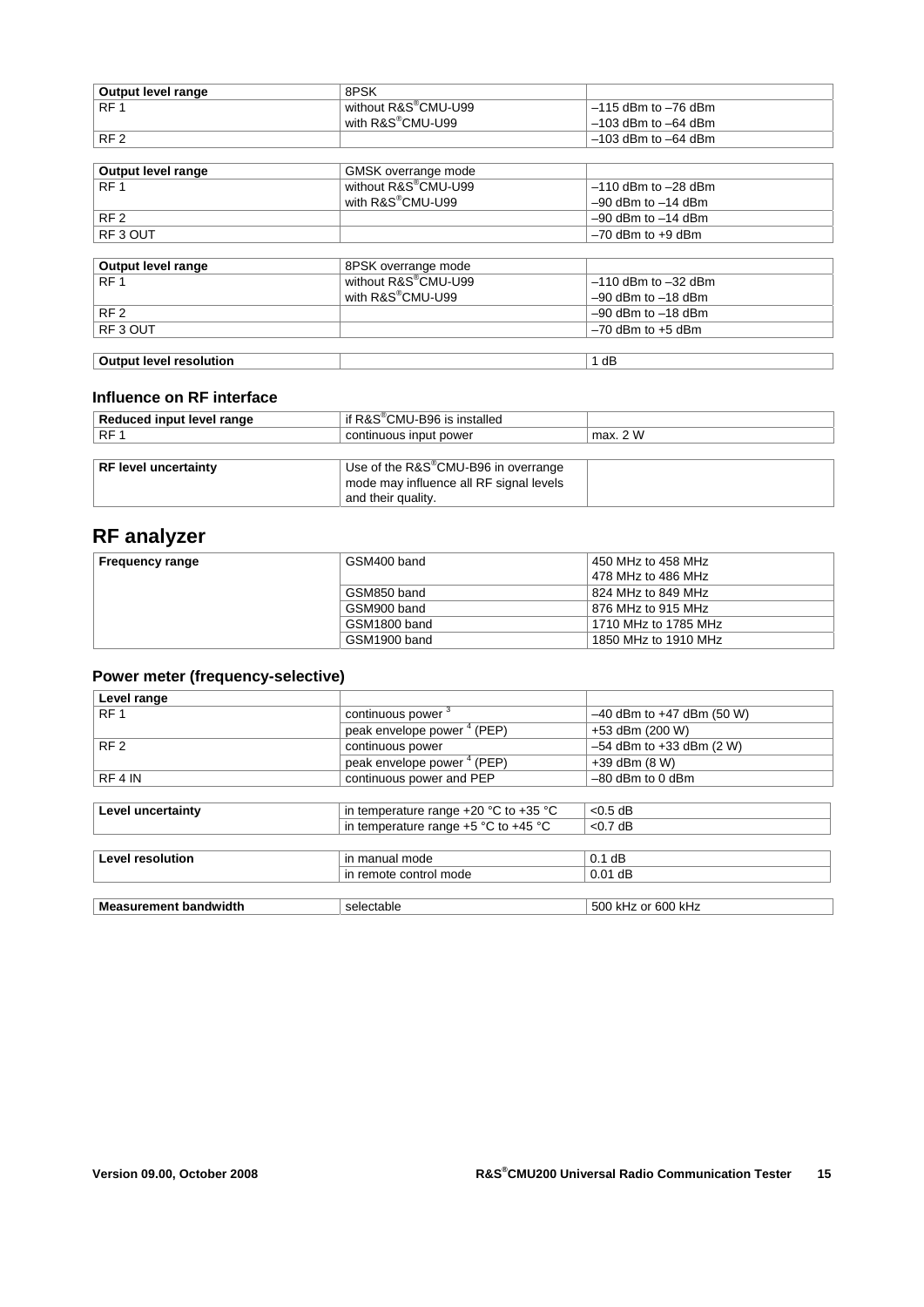| Output level range | 8PSK                             |                       |
|--------------------|----------------------------------|-----------------------|
| $R$ F $^{\prime}$  | without R&S <sup>®</sup> CMU-U99 | l −115 dBm to −76 dBm |
|                    | with R&S <sup>®</sup> CMU-U99    | l –103 dBm to –64 dBm |
| RF <sub>2</sub>    |                                  | . –103 dBm to –64 dBm |

| Output level range             | GMSK overrange mode           |                         |
|--------------------------------|-------------------------------|-------------------------|
| RF <sub>1</sub>                | without R&S®CMU-U99           | $-110$ dBm to $-28$ dBm |
|                                | with R&S <sup>®</sup> CMU-U99 | $-90$ dBm to $-14$ dBm  |
| RF <sub>2</sub>                |                               | $-90$ dBm to $-14$ dBm  |
| RF3 OUT                        |                               | $-70$ dBm to $+9$ dBm   |
|                                |                               |                         |
| Output level range             | 8PSK overrange mode           |                         |
| RF <sub>1</sub>                | without R&S®CMU-U99           | $-110$ dBm to $-32$ dBm |
|                                | with R&S <sup>®</sup> CMU-U99 | $-90$ dBm to $-18$ dBm  |
| RF <sub>2</sub>                |                               | $-90$ dBm to $-18$ dBm  |
| RF3 OUT                        |                               | $-70$ dBm to $+5$ dBm   |
|                                |                               |                         |
| <b>Output level resolution</b> |                               | 1 dB                    |

#### **Influence on RF interface**

| Reduced input level range | if $R\&S^{\circledast}$ CMU-B96 is installed     |          |  |
|---------------------------|--------------------------------------------------|----------|--|
| RF <sub>1</sub>           | continuous input power                           | max. 2 W |  |
|                           |                                                  |          |  |
| RF level uncertainty      | Use of the R&S <sup>®</sup> CMU-B96 in overrange |          |  |
|                           | mode may influence all RF signal levels          |          |  |
|                           | and their quality.                               |          |  |

### **RF analyzer**

| Frequency range | GSM400 band  | 450 MHz to 458 MHz   |
|-----------------|--------------|----------------------|
|                 |              | 478 MHz to 486 MHz   |
|                 | GSM850 band  | 824 MHz to 849 MHz   |
|                 | GSM900 band  | 876 MHz to 915 MHz   |
|                 | GSM1800 band | 1710 MHz to 1785 MHz |
|                 | GSM1900 band | 1850 MHz to 1910 MHz |

### **Power meter (frequency-selective)**

| Level range                  |                                           |                               |
|------------------------------|-------------------------------------------|-------------------------------|
| RF <sub>1</sub>              | continuous power <sup>3</sup>             | $-40$ dBm to $+47$ dBm (50 W) |
|                              | peak envelope power <sup>4</sup> (PEP)    | +53 dBm (200 W)               |
| RF <sub>2</sub>              | continuous power                          | $-54$ dBm to $+33$ dBm (2 W)  |
|                              | peak envelope power <sup>4</sup> (PEP)    | $+39$ dBm $(8 W)$             |
| RF4 IN                       | continuous power and PEP                  | $-80$ dBm to 0 dBm            |
|                              |                                           |                               |
| Level uncertainty            | in temperature range $+20$ °C to $+35$ °C | $< 0.5$ dB                    |
|                              | in temperature range $+5$ °C to $+45$ °C  | $<$ 0.7 dB                    |
|                              |                                           |                               |
| <b>Level resolution</b>      | in manual mode                            | $0.1$ dB                      |
|                              | in remote control mode                    | $0.01$ dB                     |
|                              |                                           |                               |
| <b>Measurement bandwidth</b> | selectable                                | 500 kHz or 600 kHz            |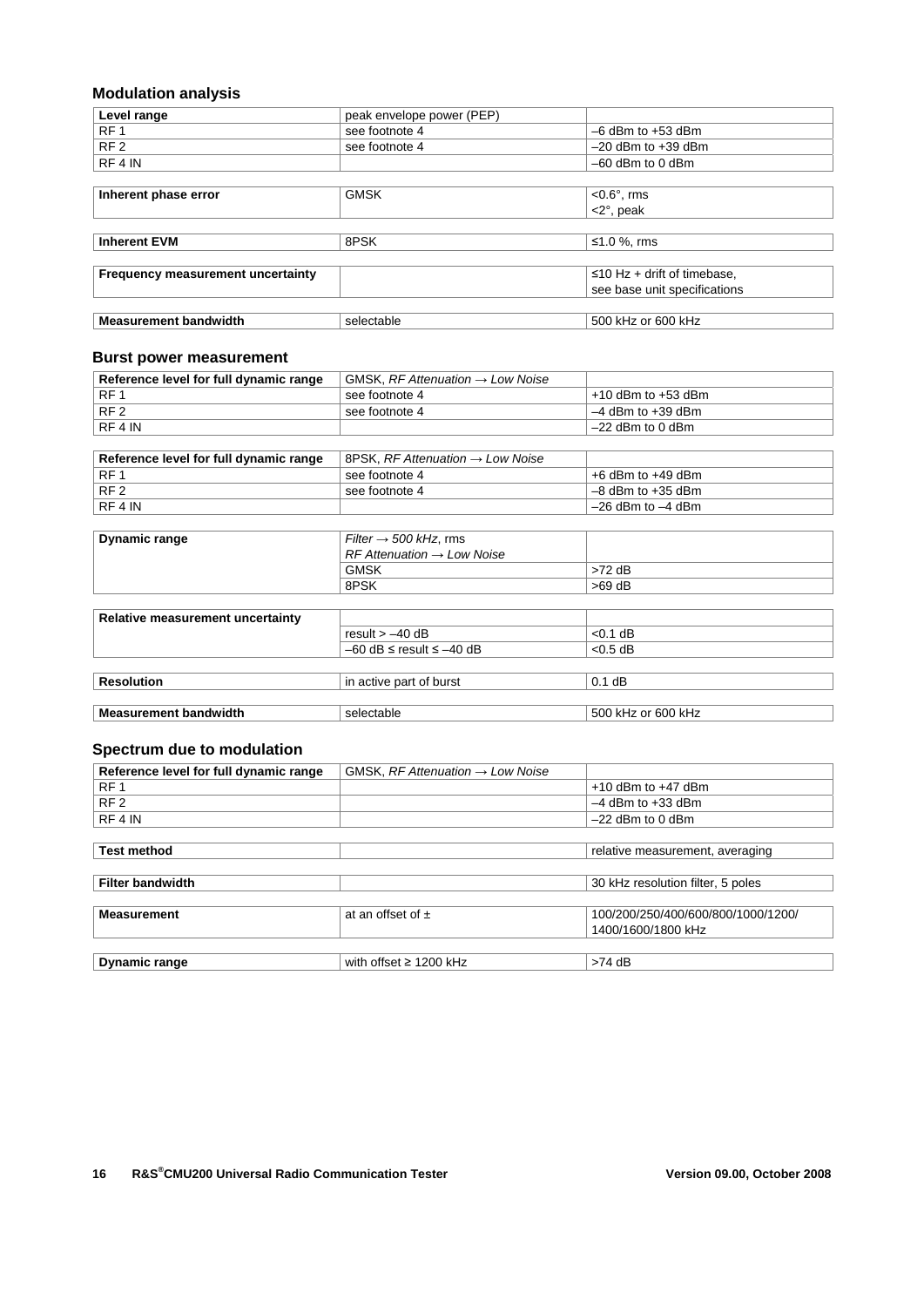### **Modulation analysis**

| Level range                              | peak envelope power (PEP) |                                   |
|------------------------------------------|---------------------------|-----------------------------------|
| RF <sub>1</sub>                          | see footnote 4            | $-6$ dBm to $+53$ dBm             |
| RF <sub>2</sub>                          | see footnote 4            | $-20$ dBm to $+39$ dBm            |
| RF4 IN                                   |                           | $-60$ dBm to 0 dBm                |
|                                          |                           |                                   |
| Inherent phase error                     | <b>GMSK</b>               | $< 0.6^\circ$ , rms               |
|                                          |                           | $<$ 2 $^{\circ}$ , peak           |
|                                          |                           |                                   |
| <b>Inherent EVM</b>                      | 8PSK                      | ≤1.0 %, rms                       |
|                                          |                           |                                   |
| <b>Frequency measurement uncertainty</b> |                           | $\leq$ 10 Hz + drift of timebase, |
|                                          |                           | see base unit specifications      |
|                                          |                           |                                   |
| <b>Measurement bandwidth</b>             | selectable                | 500 kHz or 600 kHz                |

#### **Burst power measurement**

| Reference level for full dynamic range | GMSK, RF Attenuation $\rightarrow$ Low Noise |                        |
|----------------------------------------|----------------------------------------------|------------------------|
| ⊩RF 1                                  | see footnote 4                               | $+10$ dBm to $+53$ dBm |
| $\overline{R}$ RF 2                    | see footnote 4                               | $-4$ dBm to $+39$ dBm  |
| RE4IN                                  |                                              | ∣ –22 dBm to 0 dBm     |

| Reference level for full dynamic range | $\overline{AB}$ 8PSK, RF Attenuation $\rightarrow$ Low Noise |                       |
|----------------------------------------|--------------------------------------------------------------|-----------------------|
| ∣RF 1                                  | see footnote 4                                               | $+6$ dBm to $+49$ dBm |
| RF <sub>2</sub>                        | see footnote 4                                               | $-8$ dBm to $+35$ dBm |
| RFAIN                                  |                                                              | $-26$ dBm to $-4$ dBm |

| Dynamic range                    | Filter $\rightarrow$ 500 kHz, rms        |                    |
|----------------------------------|------------------------------------------|--------------------|
|                                  | $RF$ Attenuation $\rightarrow$ Low Noise |                    |
|                                  | <b>GMSK</b>                              | $>72$ dB           |
|                                  | 8PSK                                     | $>69$ dB           |
|                                  |                                          |                    |
| Relative measurement uncertainty |                                          |                    |
|                                  | result $> -40$ dB                        | $< 0.1$ dB         |
|                                  | $-60$ dB $\le$ result $\le$ $-40$ dB     | $< 0.5$ dB         |
|                                  |                                          |                    |
| <b>Resolution</b>                | in active part of burst                  | $0.1$ dB           |
|                                  |                                          |                    |
| <b>Measurement bandwidth</b>     | selectable                               | 500 kHz or 600 kHz |

#### **Spectrum due to modulation**

| Reference level for full dynamic range | GMSK, $RF$ Attenuation $\rightarrow$ Low Noise |                                    |
|----------------------------------------|------------------------------------------------|------------------------------------|
| RF <sub>1</sub>                        |                                                | $+10$ dBm to $+47$ dBm             |
| RF <sub>2</sub>                        |                                                | $-4$ dBm to $+33$ dBm              |
| RF4 IN                                 |                                                | $-22$ dBm to 0 dBm                 |
|                                        |                                                |                                    |
| <b>Test method</b>                     |                                                | relative measurement, averaging    |
|                                        |                                                |                                    |
| <b>Filter bandwidth</b>                |                                                | 30 kHz resolution filter, 5 poles  |
|                                        |                                                |                                    |
| <b>Measurement</b>                     | at an offset of $\pm$                          | 100/200/250/400/600/800/1000/1200/ |
|                                        |                                                | 1400/1600/1800 kHz                 |
|                                        |                                                |                                    |
| <b>Dynamic range</b>                   | with offset $\geq$ 1200 kHz                    | $>74$ dB                           |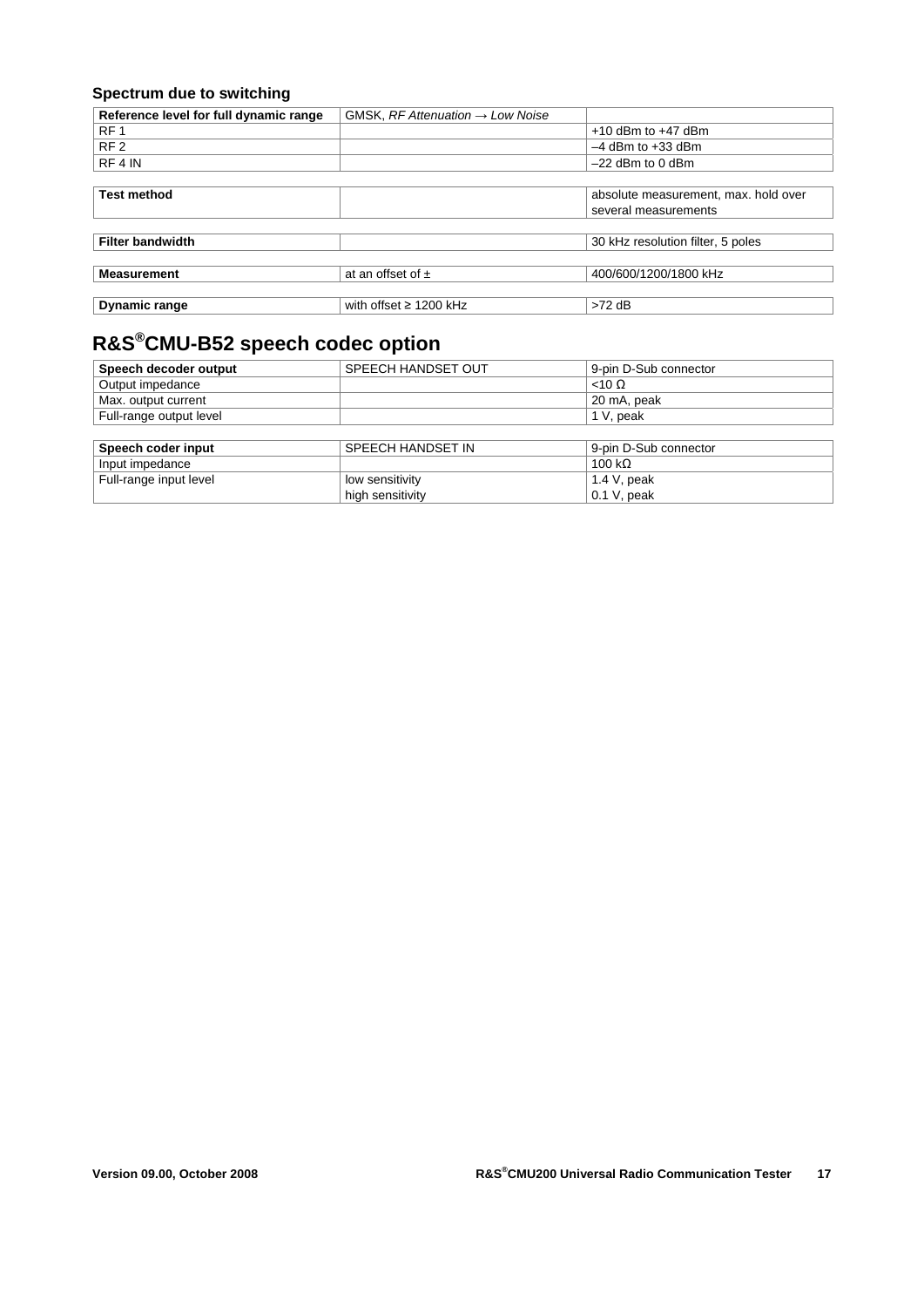### **Spectrum due to switching**

| Reference level for full dynamic range | GMSK, $RF$ Attenuation $\rightarrow$ Low Noise |                                      |
|----------------------------------------|------------------------------------------------|--------------------------------------|
| RF <sub>1</sub>                        |                                                | $+10$ dBm to $+47$ dBm               |
| RF <sub>2</sub>                        |                                                | $-4$ dBm to $+33$ dBm                |
| RF 4 IN                                |                                                | $-22$ dBm to 0 dBm                   |
|                                        |                                                |                                      |
| <b>Test method</b>                     |                                                | absolute measurement, max. hold over |
|                                        |                                                | several measurements                 |
|                                        |                                                |                                      |
| <b>Filter bandwidth</b>                |                                                | 30 kHz resolution filter, 5 poles    |
|                                        |                                                |                                      |
| <b>Measurement</b>                     | at an offset of $\pm$                          | 400/600/1200/1800 kHz                |
|                                        |                                                |                                      |
| Dynamic range                          | with offset $\geq$ 1200 kHz                    | $>72$ dB                             |

# **R&S®CMU-B52 speech codec option**

| Speech decoder output   | SPEECH HANDSET OUT | 9-pin D-Sub connector |
|-------------------------|--------------------|-----------------------|
| Output impedance        |                    | $<$ 10 $\Omega$       |
| Max. output current     |                    | 20 mA, peak           |
| Full-range output level |                    | 1 V, peak             |
|                         |                    |                       |
| Speech coder input      | SPEECH HANDSET IN  | 9-pin D-Sub connector |
| Input impedance         |                    | 100 k $\Omega$        |
| Full-range input level  | low sensitivity    | 1.4 V, peak           |
|                         | high sensitivity   | $0.1$ V, peak         |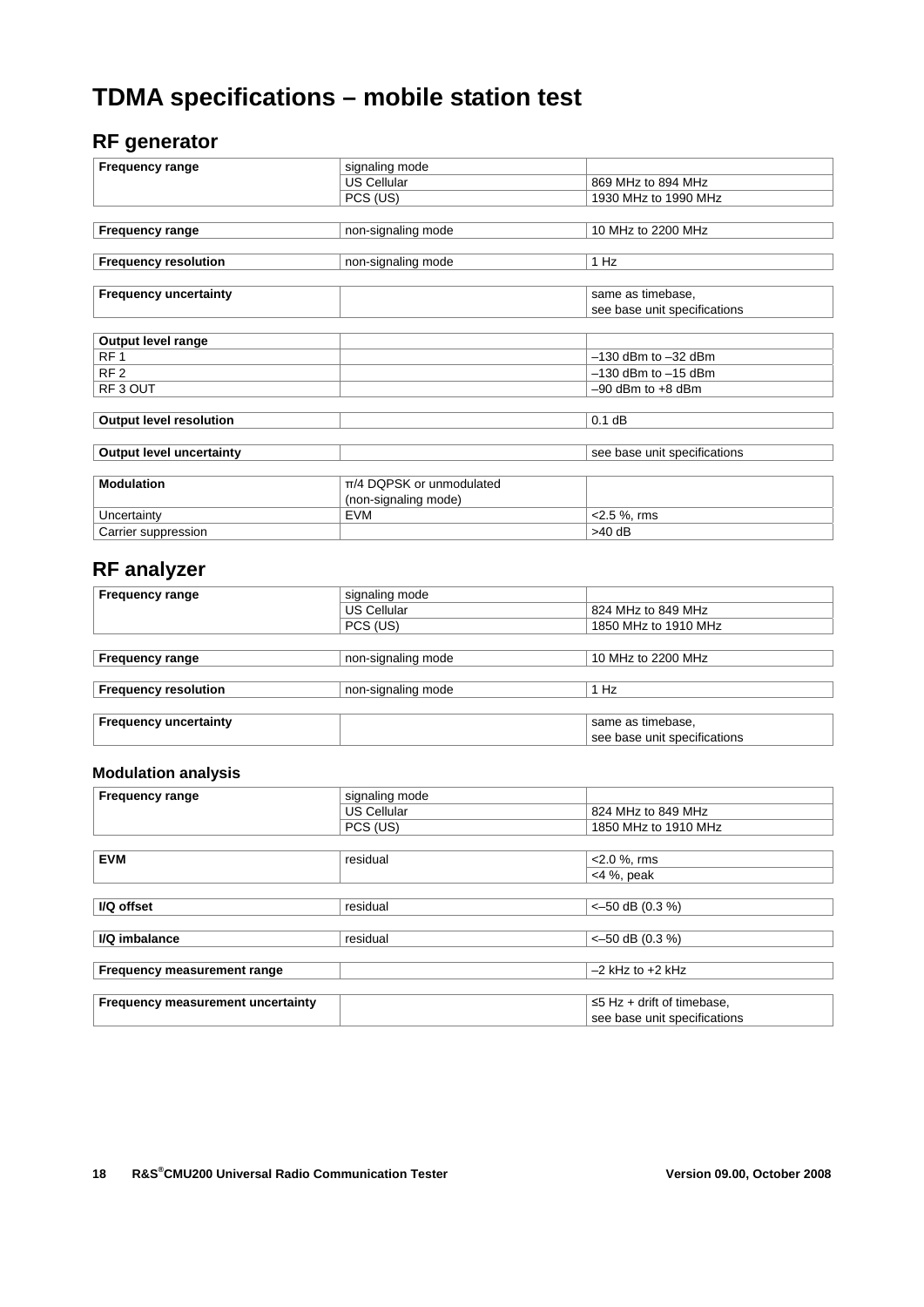# **TDMA specifications – mobile station test**

### **RF generator**

| <b>Frequency range</b>          | signaling mode           |                              |
|---------------------------------|--------------------------|------------------------------|
|                                 |                          |                              |
|                                 | <b>US Cellular</b>       | 869 MHz to 894 MHz           |
|                                 | PCS (US)                 | 1930 MHz to 1990 MHz         |
|                                 |                          |                              |
| <b>Frequency range</b>          | non-signaling mode       | 10 MHz to 2200 MHz           |
|                                 |                          |                              |
| <b>Frequency resolution</b>     | non-signaling mode       | 1 Hz                         |
|                                 |                          |                              |
| <b>Frequency uncertainty</b>    |                          | same as timebase,            |
|                                 |                          | see base unit specifications |
|                                 |                          |                              |
| Output level range              |                          |                              |
| RF <sub>1</sub>                 |                          | $-130$ dBm to $-32$ dBm      |
| RF <sub>2</sub>                 |                          | $-130$ dBm to $-15$ dBm      |
| RF3 OUT                         |                          | $-90$ dBm to $+8$ dBm        |
|                                 |                          |                              |
| <b>Output level resolution</b>  |                          | $0.1$ dB                     |
|                                 |                          |                              |
| <b>Output level uncertainty</b> |                          | see base unit specifications |
|                                 |                          |                              |
| <b>Modulation</b>               | π/4 DQPSK or unmodulated |                              |
|                                 | (non-signaling mode)     |                              |
| Uncertainty                     | <b>EVM</b>               | $<$ 2.5 %, rms               |
| Carrier suppression             |                          | $>40$ dB                     |

### **RF analyzer**

| <b>Frequency range</b>       | signaling mode     |                              |
|------------------------------|--------------------|------------------------------|
|                              | <b>US Cellular</b> | 824 MHz to 849 MHz           |
|                              | PCS (US)           | 1850 MHz to 1910 MHz         |
|                              |                    |                              |
| <b>Frequency range</b>       | non-signaling mode | 10 MHz to 2200 MHz           |
|                              |                    |                              |
| <b>Frequency resolution</b>  | non-signaling mode | 1 Hz                         |
|                              |                    |                              |
| <b>Frequency uncertainty</b> |                    | same as timebase.            |
|                              |                    | see base unit specifications |

#### **Modulation analysis**

| <b>Frequency range</b>            | signaling mode     |                                  |
|-----------------------------------|--------------------|----------------------------------|
|                                   | <b>US Cellular</b> | 824 MHz to 849 MHz               |
|                                   | PCS (US)           | 1850 MHz to 1910 MHz             |
|                                   |                    |                                  |
| <b>EVM</b>                        | residual           | $<$ 2.0 %, rms                   |
|                                   |                    | $<$ 4 %, peak                    |
|                                   |                    |                                  |
| I/Q offset                        | residual           | $<-50$ dB (0.3 %)                |
|                                   |                    |                                  |
| I/Q imbalance                     | residual           | $<-50$ dB (0.3 %)                |
|                                   |                    |                                  |
| Frequency measurement range       |                    | $-2$ kHz to $+2$ kHz             |
|                                   |                    |                                  |
| Frequency measurement uncertainty |                    | $\leq$ 5 Hz + drift of timebase, |
|                                   |                    | see base unit specifications     |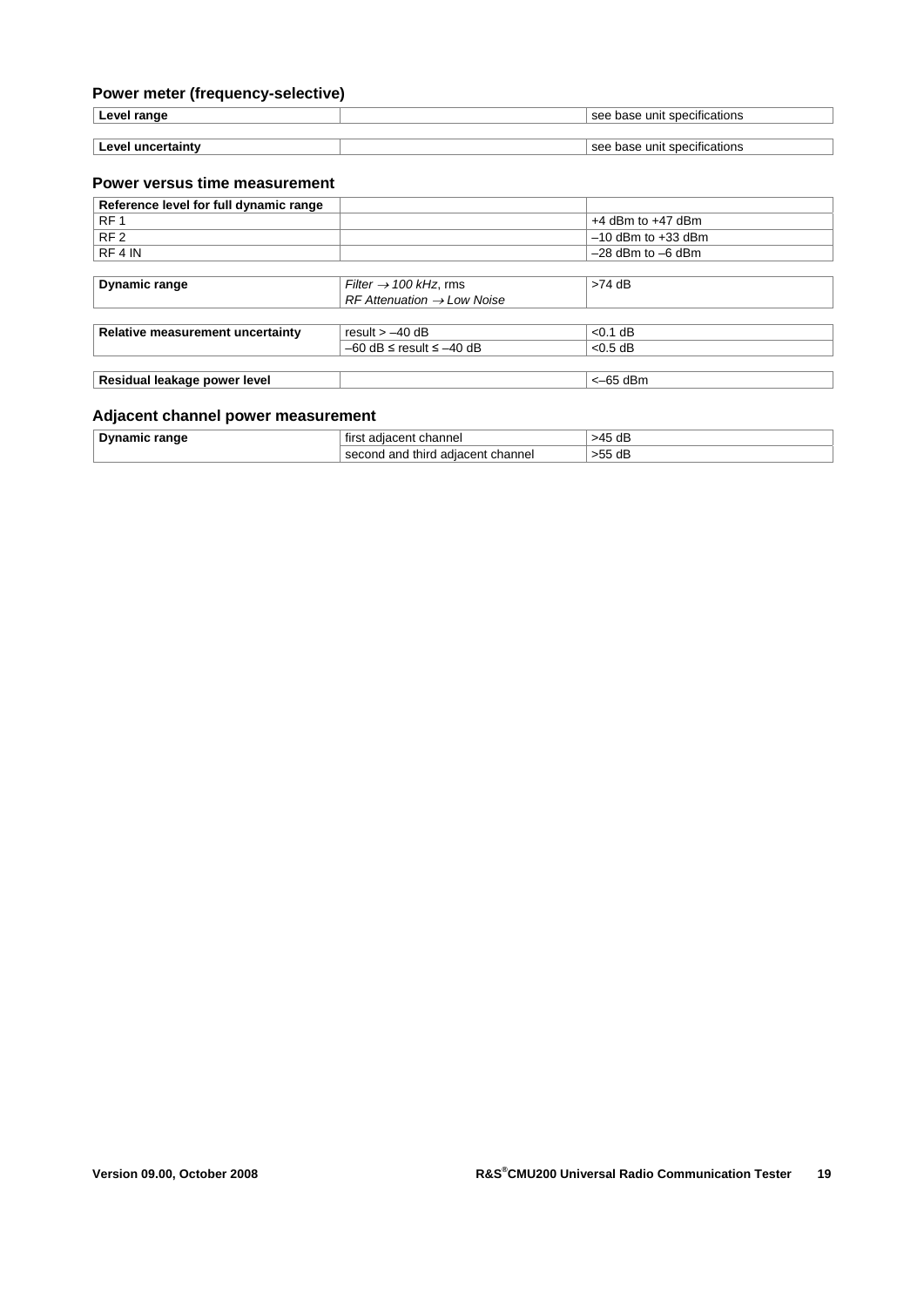### **Power meter (frequency-selective)**

| ∟eve'<br>range      | .<br>specifications<br>base<br>$c^{\alpha}$<br>unit        |
|---------------------|------------------------------------------------------------|
|                     |                                                            |
| امسه<br>uncertainty | .<br>base unit<br>specifications<br>$\mathbf{c}\mathbf{a}$ |

#### **Power versus time measurement**

| Reference level for full dynamic range |                                          |                        |
|----------------------------------------|------------------------------------------|------------------------|
| RF <sub>1</sub>                        |                                          | $+4$ dBm to $+47$ dBm  |
| RF <sub>2</sub>                        |                                          | $-10$ dBm to $+33$ dBm |
| RF4 IN                                 |                                          | $-28$ dBm to $-6$ dBm  |
|                                        |                                          |                        |
| Dynamic range                          | Filter $\rightarrow$ 100 kHz, rms        | $>74$ dB               |
|                                        | $RF$ Attenuation $\rightarrow$ Low Noise |                        |
|                                        |                                          |                        |
| Relative measurement uncertainty       | result $> -40$ dB                        | $< 0.1$ dB             |
|                                        | $-60$ dB $\le$ result $\le$ $-40$ dB     | $< 0.5$ dB             |
|                                        |                                          |                        |
| Residual leakage power level           |                                          | $<-65$ dBm             |

#### **Adjacent channel power measurement**

| <b>Dynamic range</b> | channel<br>adiacent<br>first                   | 45 dB<br>54 |
|----------------------|------------------------------------------------|-------------|
|                      | third<br>1 adiacent channel<br>l and<br>second | >55 dB      |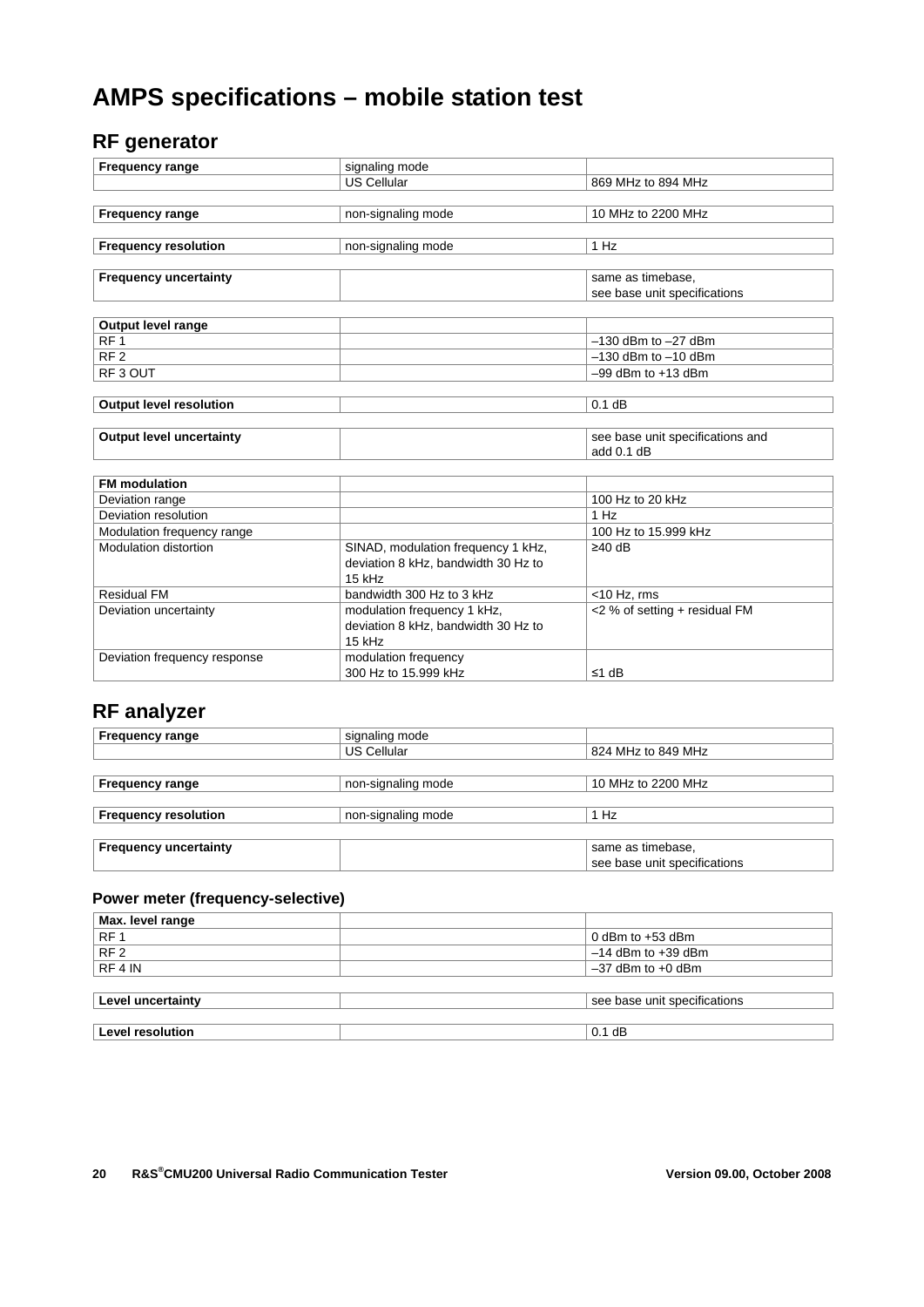# **AMPS specifications – mobile station test**

### **RF generator**

| <b>Frequency range</b>          | signaling mode                      |                                  |
|---------------------------------|-------------------------------------|----------------------------------|
|                                 | US Cellular                         | 869 MHz to 894 MHz               |
|                                 |                                     |                                  |
| <b>Frequency range</b>          | non-signaling mode                  | 10 MHz to 2200 MHz               |
|                                 |                                     |                                  |
| <b>Frequency resolution</b>     | non-signaling mode                  | 1 Hz                             |
|                                 |                                     |                                  |
| <b>Frequency uncertainty</b>    |                                     | same as timebase.                |
|                                 |                                     | see base unit specifications     |
|                                 |                                     |                                  |
| Output level range              |                                     |                                  |
| RF <sub>1</sub>                 |                                     | $-130$ dBm to $-27$ dBm          |
| RF <sub>2</sub>                 |                                     | $-130$ dBm to $-10$ dBm          |
| RF <sub>3</sub> OUT             |                                     | $-99$ dBm to $+13$ dBm           |
|                                 |                                     |                                  |
| <b>Output level resolution</b>  |                                     | $0.1$ dB                         |
|                                 |                                     |                                  |
| <b>Output level uncertainty</b> |                                     | see base unit specifications and |
|                                 |                                     | add $0.1$ dB                     |
|                                 |                                     |                                  |
| <b>FM</b> modulation            |                                     |                                  |
| Deviation range                 |                                     | 100 Hz to 20 kHz                 |
| Deviation resolution            |                                     | 1 Hz                             |
| Modulation frequency range      |                                     | 100 Hz to 15.999 kHz             |
| Modulation distortion           | SINAD, modulation frequency 1 kHz,  | $\geq$ 40 dB                     |
|                                 | deviation 8 kHz, bandwidth 30 Hz to |                                  |
|                                 | 15 kHz                              |                                  |
| <b>Residual FM</b>              | bandwidth 300 Hz to 3 kHz           | $<$ 10 Hz. rms                   |
| Deviation uncertainty           | modulation frequency 1 kHz,         | <2 % of setting + residual FM    |
|                                 | deviation 8 kHz, bandwidth 30 Hz to |                                  |
|                                 | 15 kHz                              |                                  |
| Deviation frequency response    | modulation frequency                |                                  |
|                                 | 300 Hz to 15.999 kHz                | ≤1 dB                            |

# **RF analyzer**

| <b>Frequency range</b>       | signaling mode     |                              |
|------------------------------|--------------------|------------------------------|
|                              | <b>US Cellular</b> | 824 MHz to 849 MHz           |
|                              |                    |                              |
| <b>Frequency range</b>       | non-signaling mode | 10 MHz to 2200 MHz           |
|                              |                    |                              |
| <b>Frequency resolution</b>  | non-signaling mode | 1 Hz                         |
|                              |                    |                              |
| <b>Frequency uncertainty</b> |                    | same as timebase.            |
|                              |                    | see base unit specifications |

### **Power meter (frequency-selective)**

| Max. level range        |                              |
|-------------------------|------------------------------|
| RF <sub>1</sub>         | 0 dBm to $+53$ dBm           |
| RF <sub>2</sub>         | $-14$ dBm to $+39$ dBm       |
| RF4 IN                  | $-37$ dBm to $+0$ dBm        |
|                         |                              |
| Level uncertainty       | see base unit specifications |
|                         |                              |
| <b>Level resolution</b> | $0.1$ dB                     |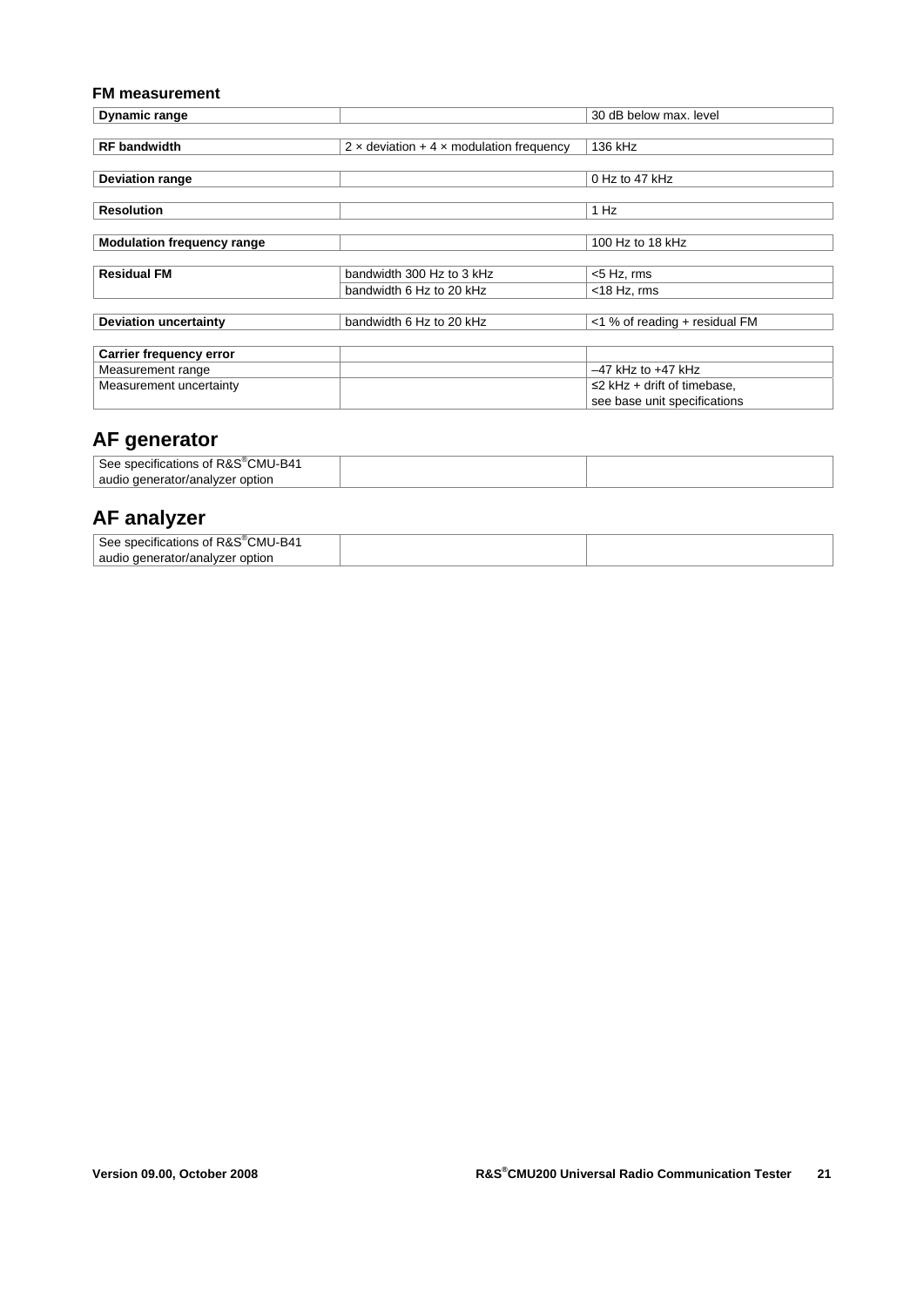#### **FM measurement**

| Dynamic range                     |                                                        | 30 dB below max. level          |
|-----------------------------------|--------------------------------------------------------|---------------------------------|
|                                   |                                                        |                                 |
| <b>RF</b> bandwidth               | $2 \times$ deviation + 4 $\times$ modulation frequency | 136 kHz                         |
|                                   |                                                        |                                 |
| <b>Deviation range</b>            |                                                        | $0$ Hz to 47 kHz                |
|                                   |                                                        |                                 |
| <b>Resolution</b>                 |                                                        | 1 Hz                            |
|                                   |                                                        |                                 |
| <b>Modulation frequency range</b> |                                                        | 100 Hz to 18 kHz                |
|                                   |                                                        |                                 |
| <b>Residual FM</b>                | bandwidth 300 Hz to 3 kHz                              | <5 Hz, rms                      |
|                                   | bandwidth 6 Hz to 20 kHz                               | $<$ 18 Hz, rms                  |
|                                   |                                                        |                                 |
| <b>Deviation uncertainty</b>      | bandwidth 6 Hz to 20 kHz                               | <1 % of reading + residual FM   |
|                                   |                                                        |                                 |
| <b>Carrier frequency error</b>    |                                                        |                                 |
| Measurement range                 |                                                        | $-47$ kHz to $+47$ kHz          |
| Measurement uncertainty           |                                                        | $\leq$ kHz + drift of timebase, |
|                                   |                                                        | see base unit specifications    |

# **AF generator**

| ' R&S®CMU-B41<br>See:<br>specifications<br>Οt |  |
|-----------------------------------------------|--|
| audio<br>qenerator/analyzer<br>option         |  |

### **AF analyzer**

| 'CMU-B41<br>See<br>specifications of<br>' ικα⇔ |  |
|------------------------------------------------|--|
| audio<br>./analvzer<br>option<br>≧ denerato⊯   |  |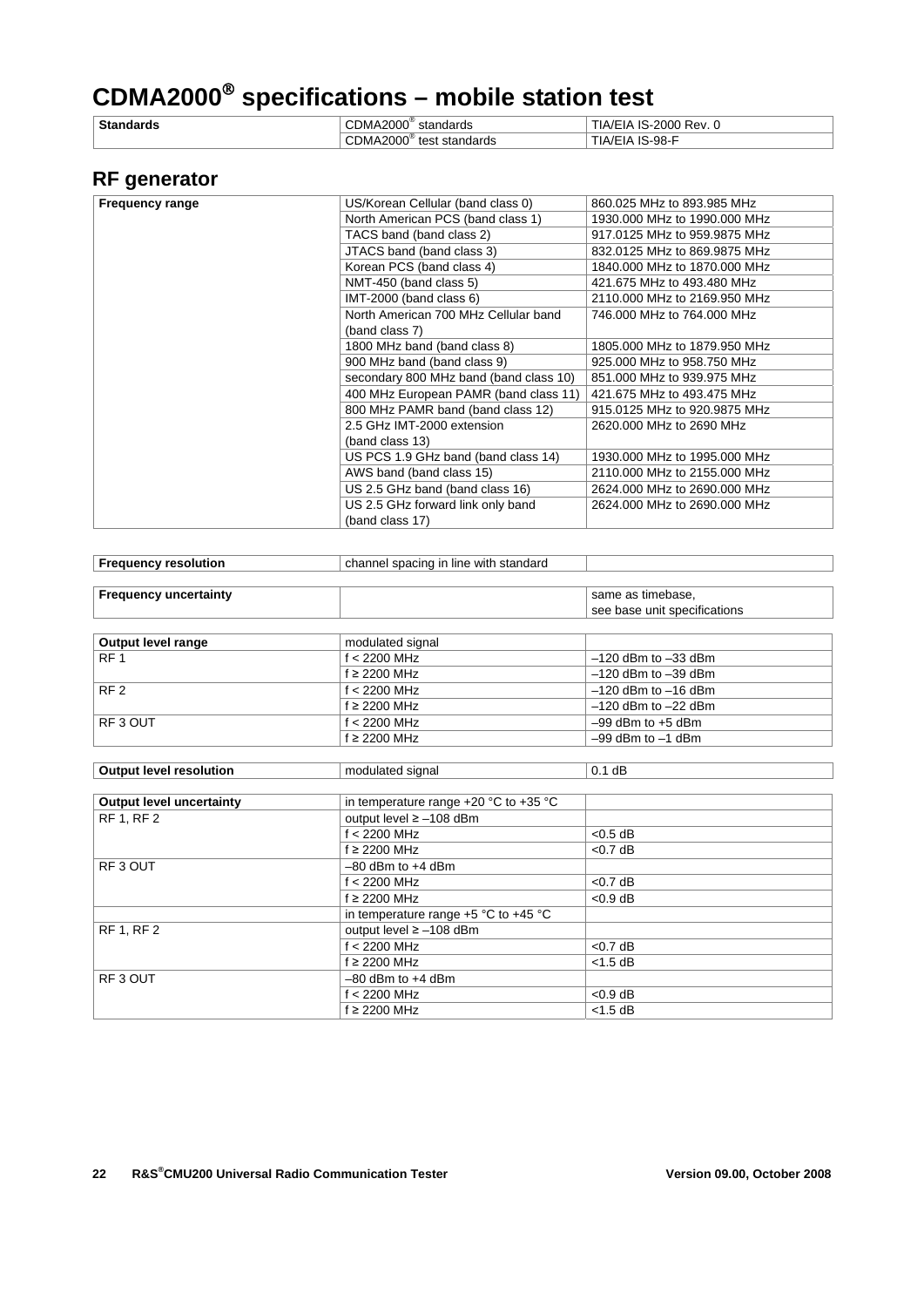# **CDMA2000 specifications – mobile station test**

| <b>Stan</b> | $CDMA2000^{\circ}$         | IS-2000 Rev.                      |
|-------------|----------------------------|-----------------------------------|
| .           | standards                  | IA/EIA                            |
|             | CDMA2000<br>test standards | . IS-98- <sup>г</sup><br>. IA/EIA |

# **RF generator**

| <b>Frequency range</b> | US/Korean Cellular (band class 0)      | 860.025 MHz to 893.985 MHz   |
|------------------------|----------------------------------------|------------------------------|
|                        | North American PCS (band class 1)      | 1930,000 MHz to 1990,000 MHz |
|                        | TACS band (band class 2)               | 917.0125 MHz to 959.9875 MHz |
|                        | JTACS band (band class 3)              | 832.0125 MHz to 869.9875 MHz |
|                        | Korean PCS (band class 4)              | 1840,000 MHz to 1870,000 MHz |
|                        | NMT-450 (band class 5)                 | 421.675 MHz to 493.480 MHz   |
|                        | IMT-2000 (band class 6)                | 2110,000 MHz to 2169,950 MHz |
|                        | North American 700 MHz Cellular band   | 746,000 MHz to 764,000 MHz   |
|                        | (band class 7)                         |                              |
|                        | 1800 MHz band (band class 8)           | 1805,000 MHz to 1879,950 MHz |
|                        | 900 MHz band (band class 9)            | 925,000 MHz to 958,750 MHz   |
|                        | secondary 800 MHz band (band class 10) | 851,000 MHz to 939,975 MHz   |
|                        | 400 MHz European PAMR (band class 11)  | 421.675 MHz to 493.475 MHz   |
|                        | 800 MHz PAMR band (band class 12)      | 915.0125 MHz to 920.9875 MHz |
|                        | 2.5 GHz IMT-2000 extension             | 2620,000 MHz to 2690 MHz     |
|                        | (band class 13)                        |                              |
|                        | US PCS 1.9 GHz band (band class 14)    | 1930,000 MHz to 1995,000 MHz |
|                        | AWS band (band class 15)               | 2110.000 MHz to 2155.000 MHz |
|                        | US 2.5 GHz band (band class 16)        | 2624,000 MHz to 2690,000 MHz |
|                        | US 2.5 GHz forward link only band      | 2624,000 MHz to 2690,000 MHz |
|                        | (band class 17)                        |                              |
|                        |                                        |                              |

| <b>Frequency resolution</b>     | channel spacing in line with standard |                              |
|---------------------------------|---------------------------------------|------------------------------|
|                                 |                                       |                              |
| <b>Frequency uncertainty</b>    |                                       | same as timebase.            |
|                                 |                                       | see base unit specifications |
|                                 |                                       |                              |
| Output level range              | modulated signal                      |                              |
| RF <sub>1</sub>                 | $f < 2200$ MHz                        | $-120$ dBm to $-33$ dBm      |
|                                 | f ≥ 2200 MHz                          | $-120$ dBm to $-39$ dBm      |
| RF <sub>2</sub>                 | $f < 2200$ MHz                        | $-120$ dBm to $-16$ dBm      |
|                                 | $f \geq 2200$ MHz                     | $-120$ dBm to $-22$ dBm      |
| RF3 OUT                         | $f < 2200$ MHz                        | $-99$ dBm to $+5$ dBm        |
|                                 | f ≥ 2200 MHz                          | $-99$ dBm to $-1$ dBm        |
|                                 |                                       |                              |
| <b>Output level resolution</b>  | modulated signal                      | $0.1$ dB                     |
|                                 |                                       |                              |
| <b>Output level uncertainty</b> | in temperature range +20 °C to +35 °C |                              |
| <b>RF 1, RF 2</b>               | output level ≥ -108 dBm               |                              |
|                                 | $f < 2200$ MHz                        | $< 0.5$ dB                   |
|                                 | $f \geq 2200$ MHz                     | $<$ 0.7 dB                   |
| RF <sub>3</sub> OUT             | $-80$ dBm to $+4$ dBm                 |                              |
|                                 | $f < 2200$ MHz                        | < 0.7 dB                     |
|                                 | $f \geq 2200$ MHz                     | $< 0.9$ dB                   |
|                                 | in temperature range +5 °C to +45 °C  |                              |
| <b>RF 1, RF 2</b>               | output level ≥ -108 dBm               |                              |
|                                 | $f < 2200$ MHz                        | $<$ 0.7 dB                   |
|                                 | $f \geq 2200$ MHz                     | $<$ 1.5 dB                   |
| RF3 OUT                         | $-80$ dBm to $+4$ dBm                 |                              |
|                                 | $f < 2200$ MHz                        | $< 0.9$ dB                   |
|                                 | $f \geq 2200$ MHz                     | $<$ 1.5 dB                   |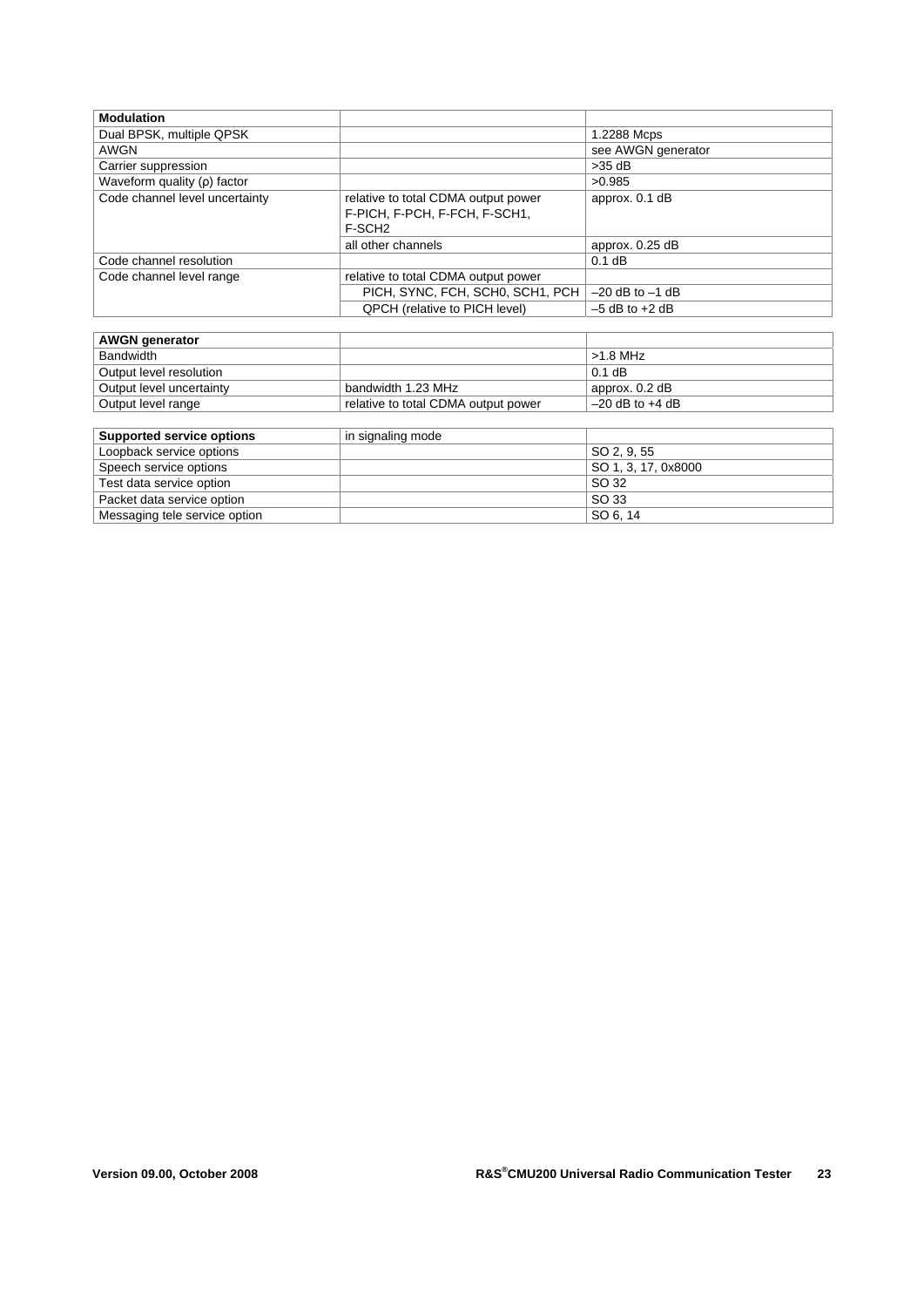| <b>Modulation</b>              |                                                                                            |                     |
|--------------------------------|--------------------------------------------------------------------------------------------|---------------------|
| Dual BPSK, multiple QPSK       |                                                                                            | 1.2288 Mcps         |
| <b>AWGN</b>                    |                                                                                            | see AWGN generator  |
| Carrier suppression            |                                                                                            | $>35$ dB            |
| Waveform quality $(p)$ factor  |                                                                                            | >0.985              |
| Code channel level uncertainty | relative to total CDMA output power<br>F-PICH, F-PCH, F-FCH, F-SCH1,<br>F-SCH <sub>2</sub> | approx. 0.1 dB      |
|                                | all other channels                                                                         | approx. 0.25 dB     |
| Code channel resolution        |                                                                                            | $0.1$ dB            |
| Code channel level range       | relative to total CDMA output power                                                        |                     |
|                                | PICH, SYNC, FCH, SCH0, SCH1, PCH                                                           | $-20$ dB to $-1$ dB |
|                                | <b>QPCH</b> (relative to PICH level)                                                       | $-5$ dB to $+2$ dB  |

| <b>AWGN</b> generator                                                                                                                                                                                                          |                                     |                     |
|--------------------------------------------------------------------------------------------------------------------------------------------------------------------------------------------------------------------------------|-------------------------------------|---------------------|
| Bandwidth                                                                                                                                                                                                                      |                                     | $>1.8$ MHz          |
| Output level resolution                                                                                                                                                                                                        |                                     | $0.1$ dB            |
| Output level uncertainty                                                                                                                                                                                                       | bandwidth 1.23 MHz                  | approx. 0.2 dB      |
| Output level range                                                                                                                                                                                                             | relative to total CDMA output power | $-20$ dB to $+4$ dB |
|                                                                                                                                                                                                                                |                                     |                     |
| <b>Supported service options</b>                                                                                                                                                                                               | in signaling mode                   |                     |
| the construction of the construction of the construction of the construction of the construction of the construction of the construction of the construction of the construction of the construction of the construction of th |                                     | 00000000            |

| Loopback service options      | SO 2, 9, 55         |
|-------------------------------|---------------------|
| Speech service options        | SO 1, 3, 17, 0x8000 |
| Test data service option      | SO 32               |
| Packet data service option    | SO 33               |
| Messaging tele service option | SO 6.14             |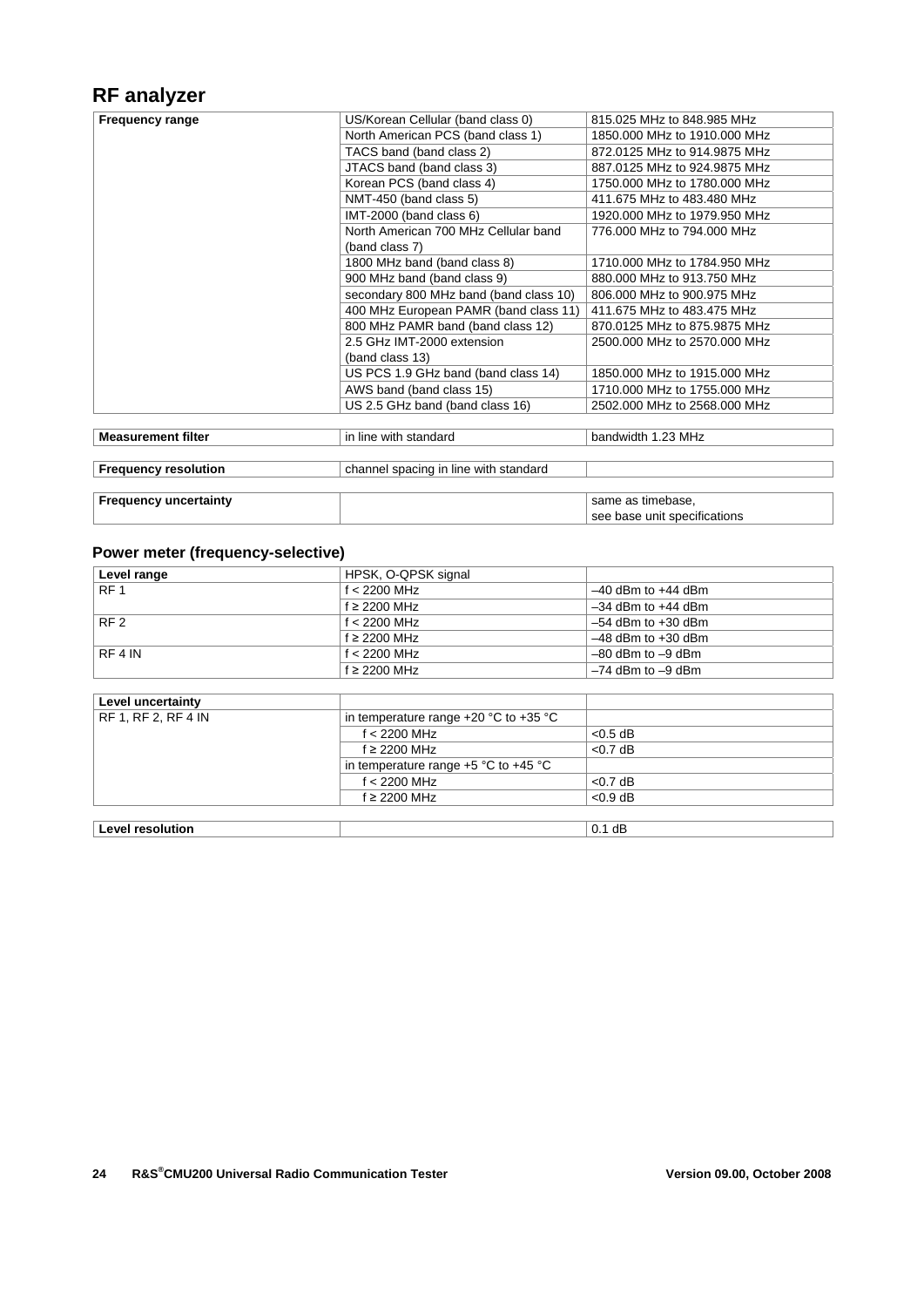# **RF analyzer**

| <b>Frequency range</b>       | US/Korean Cellular (band class 0)      | 815.025 MHz to 848.985 MHz   |
|------------------------------|----------------------------------------|------------------------------|
|                              | North American PCS (band class 1)      | 1850,000 MHz to 1910,000 MHz |
|                              | TACS band (band class 2)               | 872.0125 MHz to 914.9875 MHz |
|                              | JTACS band (band class 3)              | 887.0125 MHz to 924.9875 MHz |
|                              | Korean PCS (band class 4)              | 1750.000 MHz to 1780.000 MHz |
|                              | NMT-450 (band class 5)                 | 411.675 MHz to 483.480 MHz   |
|                              | IMT-2000 (band class 6)                | 1920,000 MHz to 1979,950 MHz |
|                              | North American 700 MHz Cellular band   | 776,000 MHz to 794,000 MHz   |
|                              | (band class 7)                         |                              |
|                              | 1800 MHz band (band class 8)           | 1710,000 MHz to 1784,950 MHz |
|                              | 900 MHz band (band class 9)            | 880,000 MHz to 913,750 MHz   |
|                              | secondary 800 MHz band (band class 10) | 806,000 MHz to 900,975 MHz   |
|                              | 400 MHz European PAMR (band class 11)  | 411,675 MHz to 483,475 MHz   |
|                              | 800 MHz PAMR band (band class 12)      | 870.0125 MHz to 875.9875 MHz |
|                              | 2.5 GHz IMT-2000 extension             | 2500,000 MHz to 2570,000 MHz |
|                              | (band class 13)                        |                              |
|                              | US PCS 1.9 GHz band (band class 14)    | 1850,000 MHz to 1915,000 MHz |
|                              | AWS band (band class 15)               | 1710,000 MHz to 1755,000 MHz |
|                              | US 2.5 GHz band (band class 16)        | 2502,000 MHz to 2568,000 MHz |
|                              |                                        |                              |
| <b>Measurement filter</b>    | in line with standard                  | bandwidth 1.23 MHz           |
|                              |                                        |                              |
| <b>Frequency resolution</b>  | channel spacing in line with standard  |                              |
|                              |                                        |                              |
| <b>Frequency uncertainty</b> |                                        | same as timebase.            |
|                              |                                        | see base unit specifications |
|                              |                                        |                              |

### **Power meter (frequency-selective)**

| Level range     | HPSK, O-QPSK signal |                        |
|-----------------|---------------------|------------------------|
| RF <sub>1</sub> | $f < 2200$ MHz      | $-40$ dBm to $+44$ dBm |
|                 | $f \geq 2200$ MHz   | $-34$ dBm to $+44$ dBm |
| RF <sub>2</sub> | f $<$ 2200 MHz      | $-54$ dBm to $+30$ dBm |
|                 | $f \geq 2200$ MHz   | $-48$ dBm to $+30$ dBm |
| RF 4 IN         | f $< 2200$ MHz      | $-80$ dBm to $-9$ dBm  |
|                 | $f \geq 2200$ MHz   | $-74$ dBm to $-9$ dBm  |

| Level uncertainty       |                                           |            |
|-------------------------|-------------------------------------------|------------|
| RF 1, RF 2, RF 4 IN     | in temperature range $+20$ °C to $+35$ °C |            |
|                         | $f < 2200$ MHz                            | $< 0.5$ dB |
|                         | $f \geq 2200$ MHz                         | $< 0.7$ dB |
|                         | in temperature range $+5$ °C to $+45$ °C  |            |
|                         | $f < 2200$ MHz                            | $<$ 0.7 dB |
|                         | $f \geq 2200$ MHz                         | $< 0.9$ dB |
|                         |                                           |            |
| <b>Level resolution</b> |                                           | $0.1$ dB   |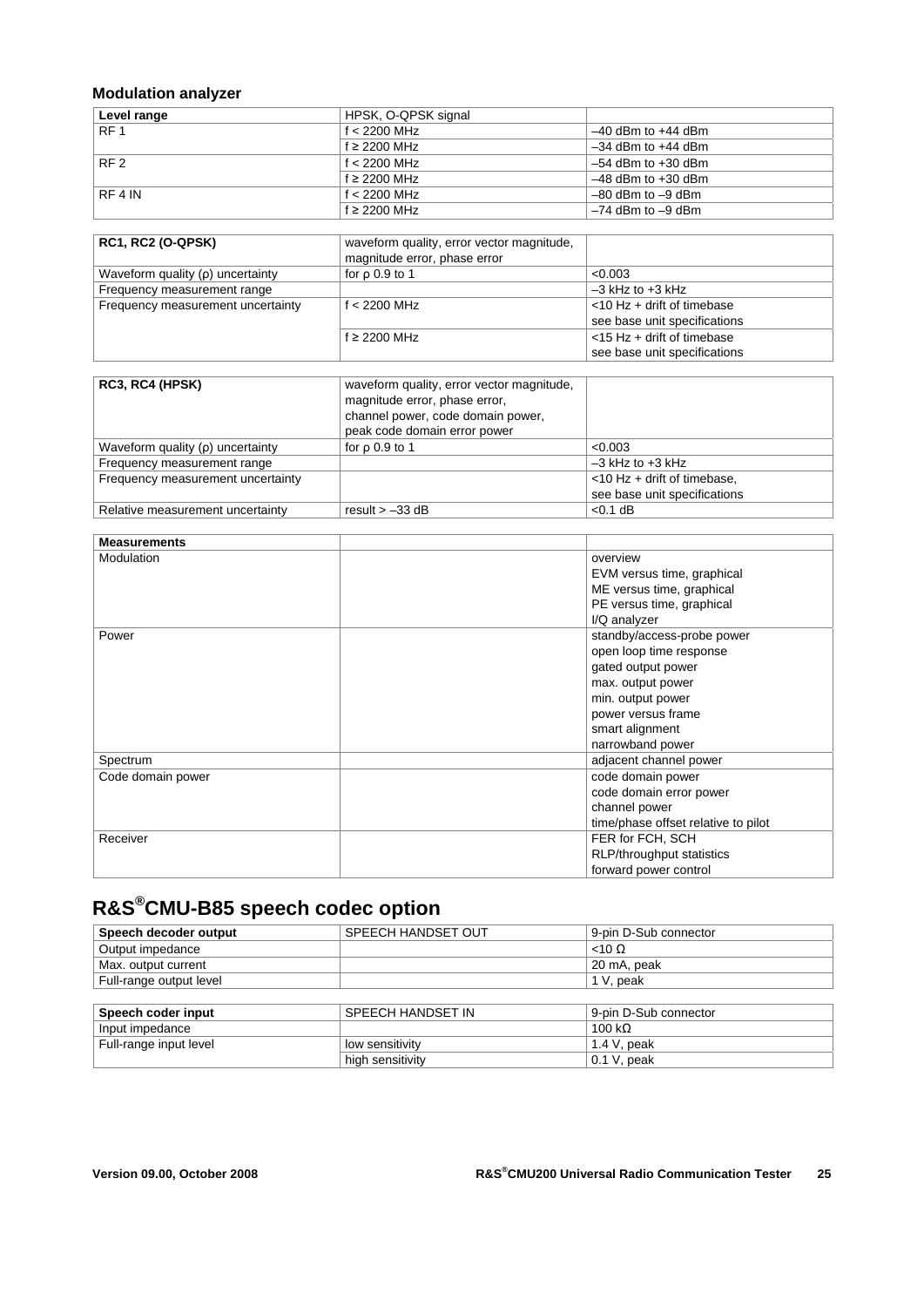### **Modulation analyzer**

| Level range     | HPSK, O-QPSK signal |                        |
|-----------------|---------------------|------------------------|
| RF <sub>1</sub> | $f < 2200$ MHz      | $-40$ dBm to $+44$ dBm |
|                 | $f \geq 2200$ MHz   | $-34$ dBm to $+44$ dBm |
| RF <sub>2</sub> | f $<$ 2200 MHz      | $-54$ dBm to $+30$ dBm |
|                 | $f \geq 2200$ MHz   | $-48$ dBm to $+30$ dBm |
| RF 4 IN         | $f < 2200$ MHz      | $-80$ dBm to $-9$ dBm  |
|                 | $f \geq 2200$ MHz   | $-74$ dBm to $-9$ dBm  |

| <b>RC1, RC2 (O-QPSK)</b>              | waveform quality, error vector magnitude,<br>magnitude error, phase error |                               |
|---------------------------------------|---------------------------------------------------------------------------|-------------------------------|
| Waveform quality $(\rho)$ uncertainty | for $\rho$ 0.9 to 1                                                       | < 0.003                       |
| Frequency measurement range           |                                                                           | $-3$ kHz to $+3$ kHz          |
| Frequency measurement uncertainty     | $f < 2200$ MHz                                                            | $<$ 10 Hz + drift of timebase |
|                                       |                                                                           | see base unit specifications  |
|                                       | $f \geq 2200$ MHz                                                         | $<$ 15 Hz + drift of timebase |
|                                       |                                                                           | see base unit specifications  |

| RC3, RC4 (HPSK)                       | waveform quality, error vector magnitude,<br>magnitude error, phase error,<br>channel power, code domain power,<br>peak code domain error power |                                |
|---------------------------------------|-------------------------------------------------------------------------------------------------------------------------------------------------|--------------------------------|
| Waveform quality $(\rho)$ uncertainty | for $\rho$ 0.9 to 1                                                                                                                             | < 0.003                        |
| Frequency measurement range           |                                                                                                                                                 | $-3$ kHz to $+3$ kHz           |
| Frequency measurement uncertainty     |                                                                                                                                                 | $<$ 10 Hz + drift of timebase. |
|                                       |                                                                                                                                                 | see base unit specifications   |
| Relative measurement uncertainty      | result $> -33$ dB                                                                                                                               | $< 0.1$ dB                     |

| <b>Measurements</b> |                                     |  |
|---------------------|-------------------------------------|--|
| Modulation          | overview                            |  |
|                     | EVM versus time, graphical          |  |
|                     | ME versus time, graphical           |  |
|                     | PE versus time, graphical           |  |
|                     | I/Q analyzer                        |  |
| Power               | standby/access-probe power          |  |
|                     | open loop time response             |  |
|                     | gated output power                  |  |
|                     | max. output power                   |  |
|                     | min. output power                   |  |
|                     | power versus frame                  |  |
|                     | smart alignment                     |  |
|                     | narrowband power                    |  |
| Spectrum            | adjacent channel power              |  |
| Code domain power   | code domain power                   |  |
|                     | code domain error power             |  |
|                     | channel power                       |  |
|                     | time/phase offset relative to pilot |  |
| Receiver            | FER for FCH, SCH                    |  |
|                     | RLP/throughput statistics           |  |
|                     | forward power control               |  |

# **R&S®CMU-B85 speech codec option**

| Speech decoder output   | SPEECH HANDSET OUT | 9-pin D-Sub connector |
|-------------------------|--------------------|-----------------------|
| Output impedance        |                    | $<$ 10 $\Omega$       |
| Max. output current     |                    | 20 mA, peak           |
| Full-range output level |                    | 1 V, peak             |
|                         |                    |                       |
| Speech coder input      | SPEECH HANDSET IN  | 9-pin D-Sub connector |
| Input impedance         |                    | 100 k $\Omega$        |
| Full-range input level  | low sensitivity    | 1.4 V, peak           |
|                         | high sensitivity   | $0.1$ V, peak         |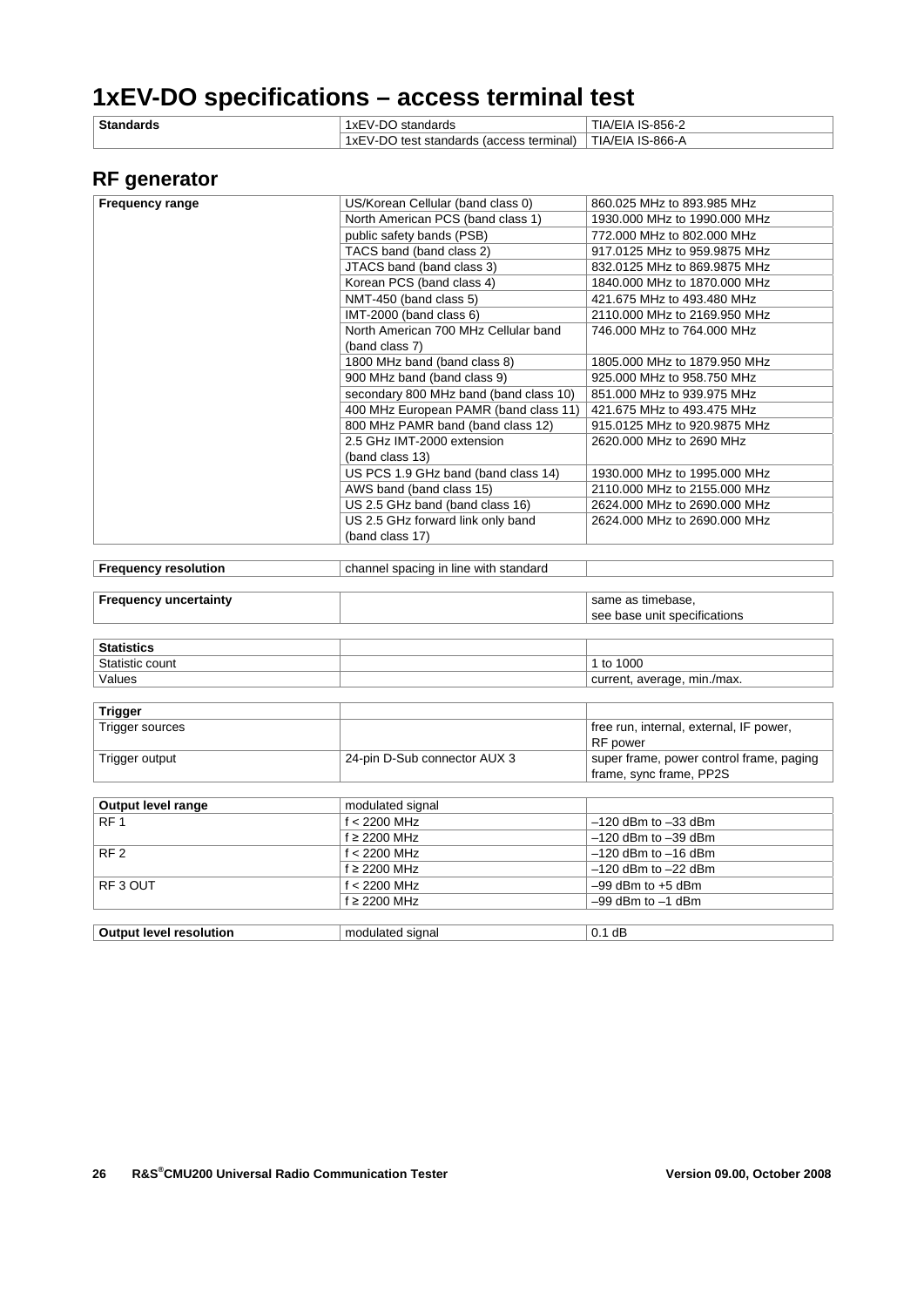# **1xEV-DO specifications – access terminal test**

| <b>Standards</b> | 1xEV-DO standards                        | TIA/EIA IS-856-2 |
|------------------|------------------------------------------|------------------|
|                  | 1xEV-DO test standards (access terminal) | TIA/EIA IS-866-A |

### **RF generator**

| <b>Frequency range</b>       | US/Korean Cellular (band class 0)      | 860.025 MHz to 893.985 MHz               |
|------------------------------|----------------------------------------|------------------------------------------|
|                              | North American PCS (band class 1)      | 1930,000 MHz to 1990,000 MHz             |
|                              | public safety bands (PSB)              | 772.000 MHz to 802.000 MHz               |
|                              | TACS band (band class 2)               | 917.0125 MHz to 959.9875 MHz             |
|                              | JTACS band (band class 3)              | 832.0125 MHz to 869.9875 MHz             |
|                              | Korean PCS (band class 4)              | 1840,000 MHz to 1870,000 MHz             |
|                              | NMT-450 (band class 5)                 | 421.675 MHz to 493.480 MHz               |
|                              | IMT-2000 (band class 6)                | 2110.000 MHz to 2169.950 MHz             |
|                              | North American 700 MHz Cellular band   | 746,000 MHz to 764,000 MHz               |
|                              | (band class 7)                         |                                          |
|                              | 1800 MHz band (band class 8)           | 1805,000 MHz to 1879,950 MHz             |
|                              | 900 MHz band (band class 9)            | 925,000 MHz to 958,750 MHz               |
|                              | secondary 800 MHz band (band class 10) | 851.000 MHz to 939.975 MHz               |
|                              | 400 MHz European PAMR (band class 11)  | 421.675 MHz to 493.475 MHz               |
|                              | 800 MHz PAMR band (band class 12)      | 915.0125 MHz to 920.9875 MHz             |
|                              | 2.5 GHz IMT-2000 extension             | 2620.000 MHz to 2690 MHz                 |
|                              | (band class 13)                        |                                          |
|                              | US PCS 1.9 GHz band (band class 14)    | 1930.000 MHz to 1995.000 MHz             |
|                              | AWS band (band class 15)               | 2110.000 MHz to 2155.000 MHz             |
|                              | US 2.5 GHz band (band class 16)        | 2624,000 MHz to 2690,000 MHz             |
|                              | US 2.5 GHz forward link only band      | 2624,000 MHz to 2690,000 MHz             |
|                              | (band class 17)                        |                                          |
|                              |                                        |                                          |
| <b>Frequency resolution</b>  | channel spacing in line with standard  |                                          |
|                              |                                        |                                          |
| <b>Frequency uncertainty</b> |                                        | same as timebase.                        |
|                              |                                        | see base unit specifications             |
|                              |                                        |                                          |
| <b>Statistics</b>            |                                        |                                          |
| Statistic count              |                                        | 1 to 1000                                |
| Values                       |                                        | current, average, min./max.              |
|                              |                                        |                                          |
| <b>Trigger</b>               |                                        |                                          |
| Trigger sources              |                                        | free run, internal, external, IF power,  |
|                              |                                        | RF power                                 |
| Trigger output               | 24-pin D-Sub connector AUX 3           | super frame, power control frame, paging |

| <b>Output level range</b> | modulated signal  |                         |
|---------------------------|-------------------|-------------------------|
| RF <sub>1</sub>           | f < 2200 MHz      | $-120$ dBm to $-33$ dBm |
|                           | $f \geq 2200$ MHz | $-120$ dBm to $-39$ dBm |
| RF <sub>2</sub>           | $f < 2200$ MHz    | $-120$ dBm to $-16$ dBm |
|                           | $f \geq 2200$ MHz | $-120$ dBm to $-22$ dBm |
| RF3 OUT                   | $f < 2200$ MHz    | $-99$ dBm to $+5$ dBm   |
|                           | $f \geq 2200$ MHz | $-99$ dBm to $-1$ dBm   |
|                           |                   |                         |
|                           |                   |                         |

| -<br>signal<br>- 11195<br>. resolutior<br>اعتما<br>וור<br>$-1$ | dE<br>$\cdot$ |
|----------------------------------------------------------------|---------------|
|----------------------------------------------------------------|---------------|

frame, sync frame, PP2S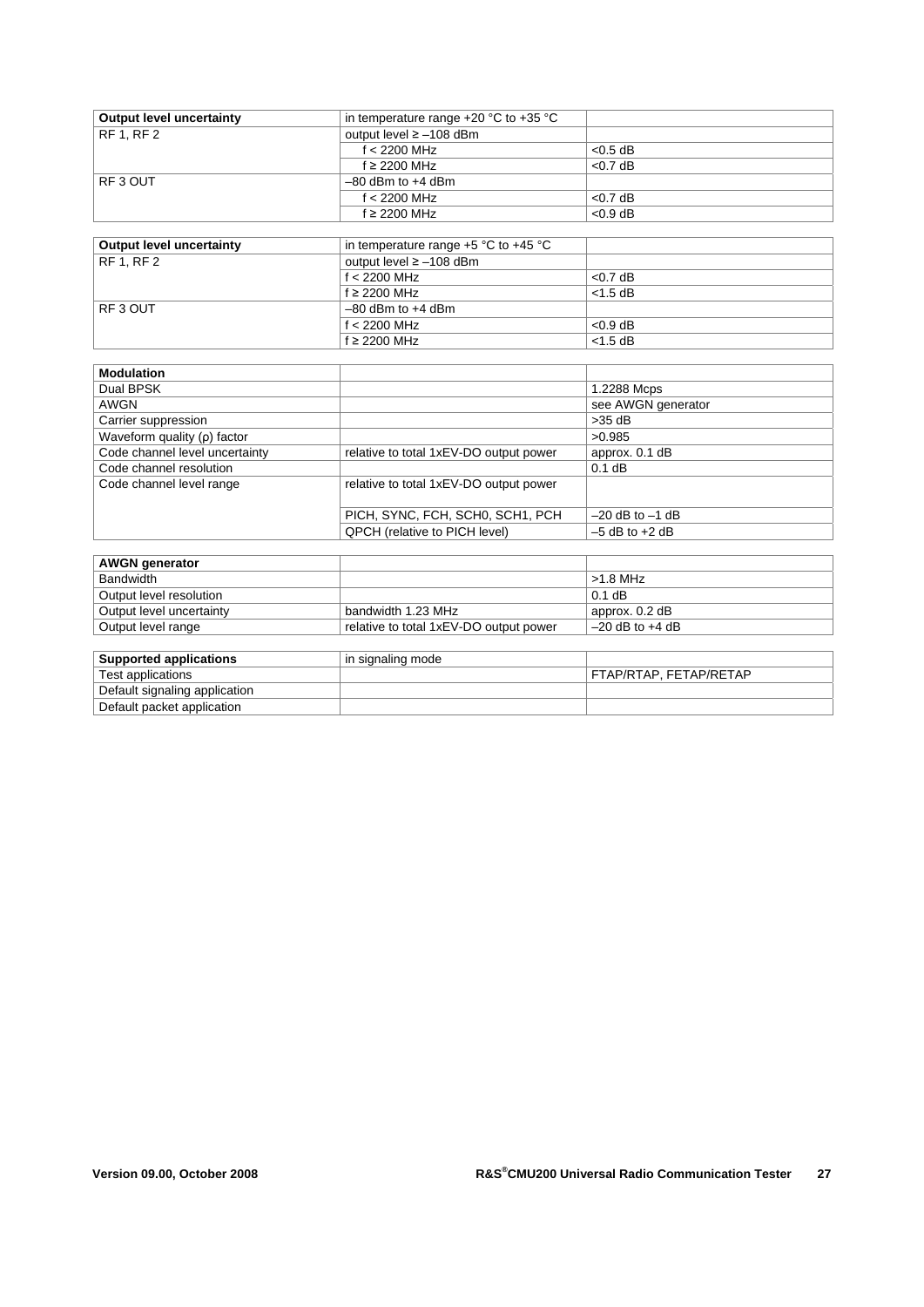| <b>Output level uncertainty</b> | in temperature range $+20$ °C to $+35$ °C |            |
|---------------------------------|-------------------------------------------|------------|
| <b>RF 1, RF 2</b>               | output level $\ge$ -108 dBm               |            |
|                                 | $f < 2200$ MHz                            | $< 0.5$ dB |
|                                 | $f \geq 2200$ MHz                         | $<$ 0.7 dB |
| RF3 OUT                         | $-80$ dBm to $+4$ dBm                     |            |
|                                 | $f < 2200$ MHz                            | $< 0.7$ dB |
|                                 | $f \geq 2200$ MHz                         | $< 0.9$ dB |
|                                 |                                           |            |
| <b>Output level uncertainty</b> | in temperature range $+5$ °C to $+45$ °C  |            |
| <b>RF 1. RF 2</b>               | output level $\ge$ -108 dBm               |            |
|                                 | $f < 2200$ MHz                            | $<$ 0.7 dB |
|                                 | $f \geq 2200$ MHz                         | $<$ 1.5 dB |
| RF3 OUT                         | $-80$ dBm to $+4$ dBm                     |            |

| <b>Modulation</b>              |                                        |                     |
|--------------------------------|----------------------------------------|---------------------|
| Dual BPSK                      |                                        | 1.2288 Mcps         |
| AWGN                           |                                        | see AWGN generator  |
| Carrier suppression            |                                        | $>35$ dB            |
| Waveform quality (p) factor    |                                        | >0.985              |
| Code channel level uncertainty | relative to total 1xEV-DO output power | approx. 0.1 dB      |
| Code channel resolution        |                                        | $0.1$ dB            |
| Code channel level range       | relative to total 1xEV-DO output power |                     |
|                                | PICH, SYNC, FCH, SCH0, SCH1, PCH       | $-20$ dB to $-1$ dB |
|                                | <b>QPCH</b> (relative to PICH level)   | $-5$ dB to $+2$ dB  |

 $f \geq 2200$  MHz

 $f < 2200$  MHz  $\leq 0.9$  dB<br> $f \geq 2200$  MHz  $\leq 1.5$  dB

| <b>AWGN</b> generator    |                                        |                     |
|--------------------------|----------------------------------------|---------------------|
| Bandwidth                |                                        | $>1.8$ MHz          |
| Output level resolution  |                                        | $0.1$ dB            |
| Output level uncertainty | bandwidth 1.23 MHz                     | approx. 0.2 dB      |
| Output level range       | relative to total 1xEV-DO output power | $-20$ dB to $+4$ dB |

| <b>Supported applications</b> | in signaling mode |                        |
|-------------------------------|-------------------|------------------------|
| Test applications             |                   | FTAP/RTAP, FETAP/RETAP |
| Default signaling application |                   |                        |
| Default packet application    |                   |                        |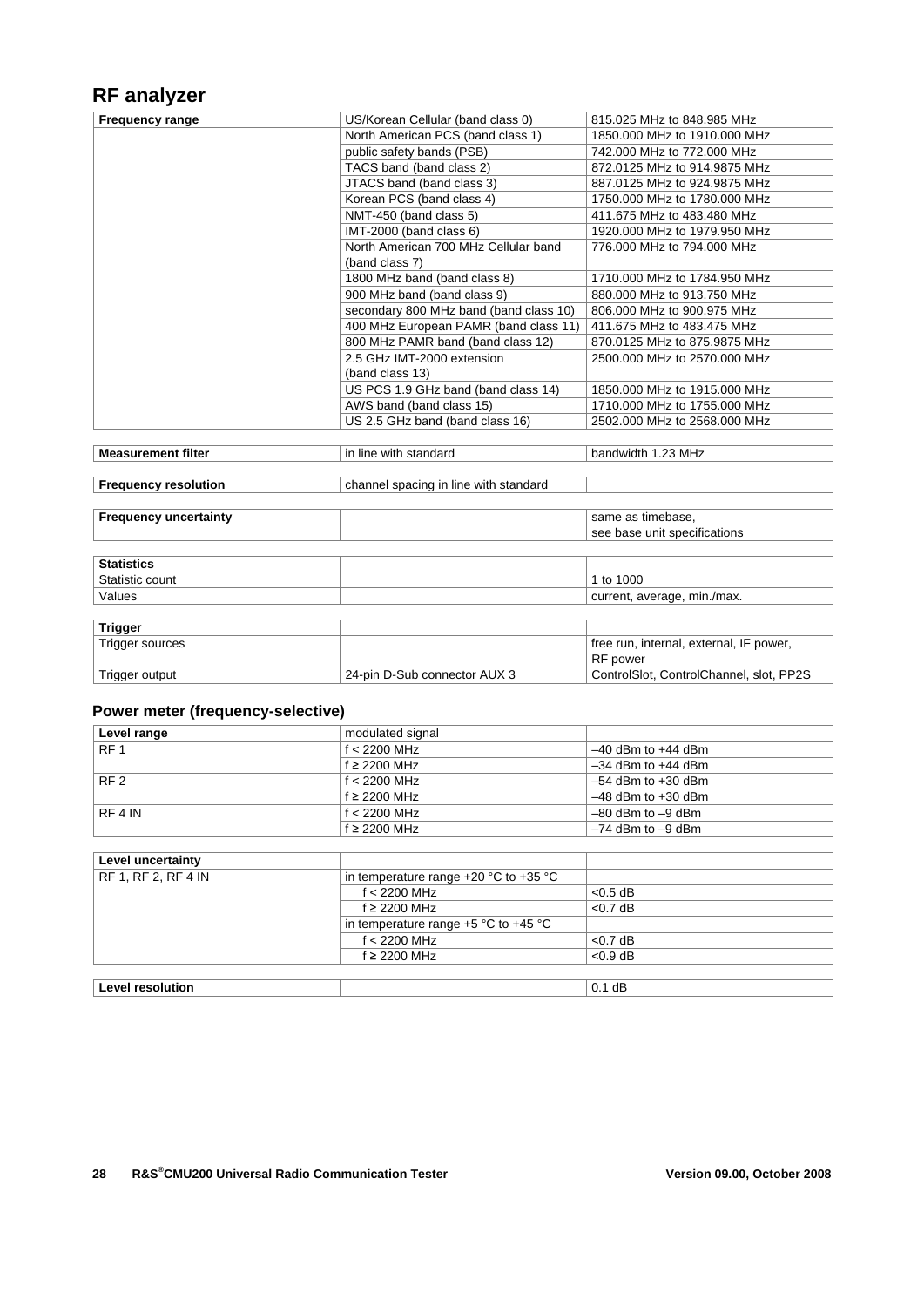### **RF analyzer**

| <b>Frequency range</b> | US/Korean Cellular (band class 0)      | 815,025 MHz to 848,985 MHz   |
|------------------------|----------------------------------------|------------------------------|
|                        | North American PCS (band class 1)      | 1850,000 MHz to 1910,000 MHz |
|                        | public safety bands (PSB)              | 742,000 MHz to 772,000 MHz   |
|                        | TACS band (band class 2)               | 872.0125 MHz to 914.9875 MHz |
|                        | JTACS band (band class 3)              | 887.0125 MHz to 924.9875 MHz |
|                        | Korean PCS (band class 4)              | 1750,000 MHz to 1780,000 MHz |
|                        | NMT-450 (band class 5)                 | 411.675 MHz to 483.480 MHz   |
|                        | IMT-2000 (band class 6)                | 1920,000 MHz to 1979.950 MHz |
|                        | North American 700 MHz Cellular band   | 776.000 MHz to 794.000 MHz   |
|                        | (band class 7)                         |                              |
|                        | 1800 MHz band (band class 8)           | 1710,000 MHz to 1784,950 MHz |
|                        | 900 MHz band (band class 9)            | 880,000 MHz to 913,750 MHz   |
|                        | secondary 800 MHz band (band class 10) | 806,000 MHz to 900.975 MHz   |
|                        | 400 MHz European PAMR (band class 11)  | 411.675 MHz to 483.475 MHz   |
|                        | 800 MHz PAMR band (band class 12)      | 870.0125 MHz to 875.9875 MHz |
|                        | 2.5 GHz IMT-2000 extension             | 2500,000 MHz to 2570,000 MHz |
|                        | (band class 13)                        |                              |
|                        | US PCS 1.9 GHz band (band class 14)    | 1850,000 MHz to 1915,000 MHz |
|                        | AWS band (band class 15)               | 1710,000 MHz to 1755,000 MHz |
|                        | US 2.5 GHz band (band class 16)        | 2502.000 MHz to 2568.000 MHz |
|                        |                                        |                              |

| filte<br>Мe | ır<br>with<br>standard<br>line | MHz<br>nai<br>пт |
|-------------|--------------------------------|------------------|
|             |                                |                  |

**Frequency resolution channel spacing in line with standard** 

| <b>Frequency uncertainty</b> | same as timebase,<br>see base unit specifications |
|------------------------------|---------------------------------------------------|
| <b>Statistics</b>            |                                                   |
| Statistic count              | 1 to 1000                                         |
| Values                       | current, average, min./max.                       |
|                              |                                                   |
| <b>Trigger</b>               |                                                   |

| Tugger          |                              |                                         |
|-----------------|------------------------------|-----------------------------------------|
| Trigger sources |                              | free run, internal, external, IF power, |
|                 |                              | RF power                                |
| Trigger output  | 24-pin D-Sub connector AUX 3 | ControlSlot, ControlChannel, slot, PP2S |

#### **Power meter (frequency-selective)**

| Level range     | modulated signal  |                        |
|-----------------|-------------------|------------------------|
| RF <sub>1</sub> | $f < 2200$ MHz    | $-40$ dBm to $+44$ dBm |
|                 | $f \geq 2200$ MHz | $-34$ dBm to $+44$ dBm |
| RF <sub>2</sub> | f $<$ 2200 MHz    | $-54$ dBm to $+30$ dBm |
|                 | $f \geq 2200$ MHz | $-48$ dBm to $+30$ dBm |
| RF 4 IN         | $f < 2200$ MHz    | $-80$ dBm to $-9$ dBm  |
|                 | $f \geq 2200$ MHz | $-74$ dBm to $-9$ dBm  |

| Level uncertainty       |                                           |            |
|-------------------------|-------------------------------------------|------------|
| RF 1, RF 2, RF 4 IN     | in temperature range $+20$ °C to $+35$ °C |            |
|                         | $f < 2200$ MHz                            | $< 0.5$ dB |
|                         | $f \geq 2200$ MHz                         | $< 0.7$ dB |
|                         | in temperature range $+5$ °C to $+45$ °C  |            |
|                         | $f < 2200$ MHz                            | $<$ 0.7 dB |
|                         | $f \geq 2200$ MHz                         | $< 0.9$ dB |
|                         |                                           |            |
| <b>Level resolution</b> |                                           | $0.1$ dB   |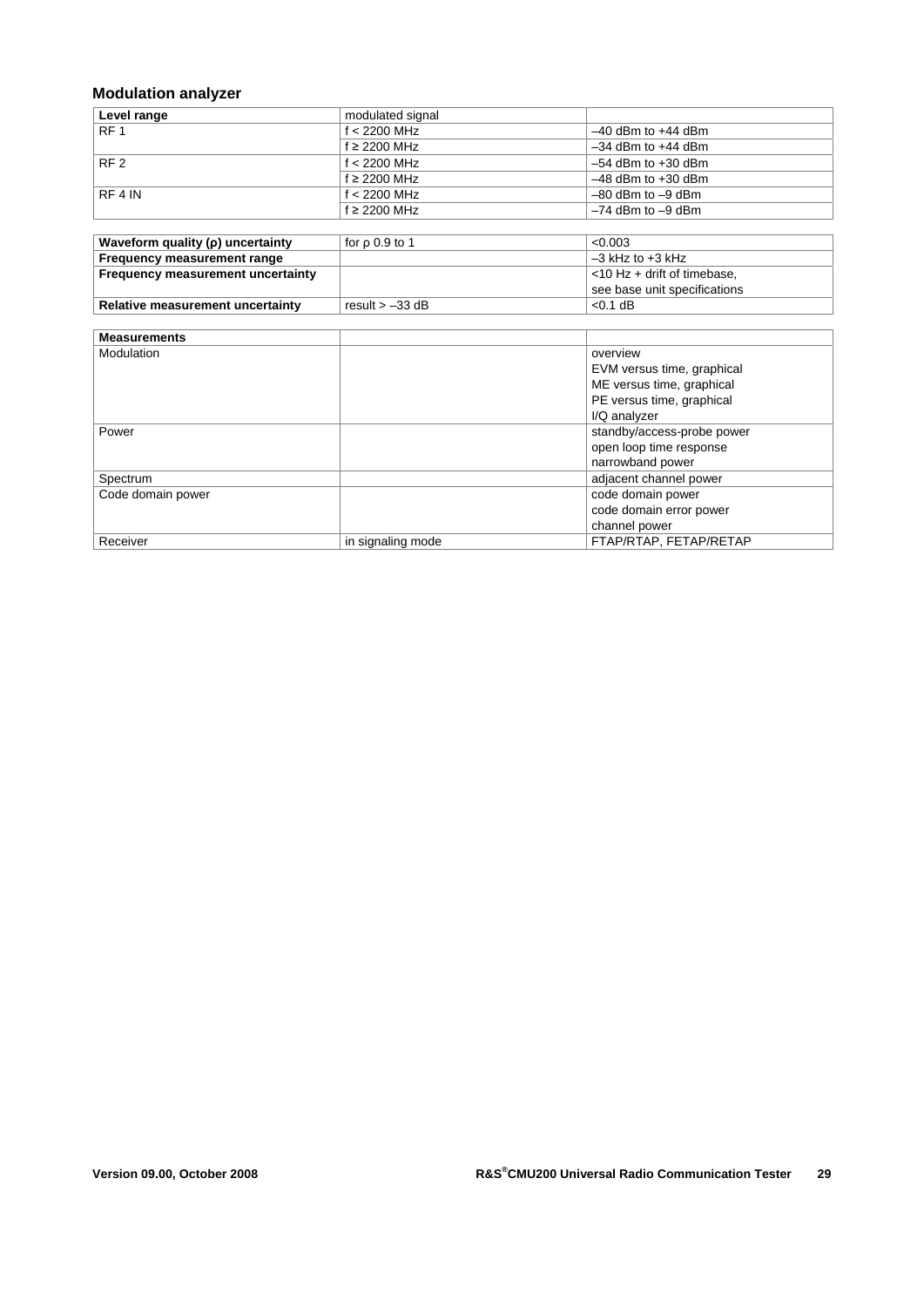### **Modulation analyzer**

| Level range     | modulated signal  |                        |
|-----------------|-------------------|------------------------|
| RF <sub>1</sub> | $f < 2200$ MHz    | $-40$ dBm to $+44$ dBm |
|                 | $f \geq 2200$ MHz | $-34$ dBm to $+44$ dBm |
| RF <sub>2</sub> | $f < 2200$ MHz    | $-54$ dBm to $+30$ dBm |
|                 | $f \geq 2200$ MHz | $-48$ dBm to $+30$ dBm |
| RF 4 IN         | $f < 2200$ MHz    | $-80$ dBm to $-9$ dBm  |
|                 | $f \geq 2200$ MHz | $-74$ dBm to $-9$ dBm  |

| Waveform quality $(\rho)$ uncertainty | for $\rho$ 0.9 to 1 | < 0.003                        |
|---------------------------------------|---------------------|--------------------------------|
| Frequency measurement range           |                     | $-3$ kHz to $+3$ kHz           |
| Frequency measurement uncertainty     |                     | $<$ 10 Hz + drift of timebase, |
|                                       |                     | see base unit specifications   |
| Relative measurement uncertainty      | result $> -33$ dB   | $< 0.1$ dB                     |

| <b>Measurements</b> |                   |                            |
|---------------------|-------------------|----------------------------|
| Modulation          |                   | overview                   |
|                     |                   | EVM versus time, graphical |
|                     |                   | ME versus time, graphical  |
|                     |                   | PE versus time, graphical  |
|                     |                   | I/Q analyzer               |
| Power               |                   | standby/access-probe power |
|                     |                   | open loop time response    |
|                     |                   | narrowband power           |
| Spectrum            |                   | adjacent channel power     |
| Code domain power   |                   | code domain power          |
|                     |                   | code domain error power    |
|                     |                   | channel power              |
| Receiver            | in signaling mode | FTAP/RTAP, FETAP/RETAP     |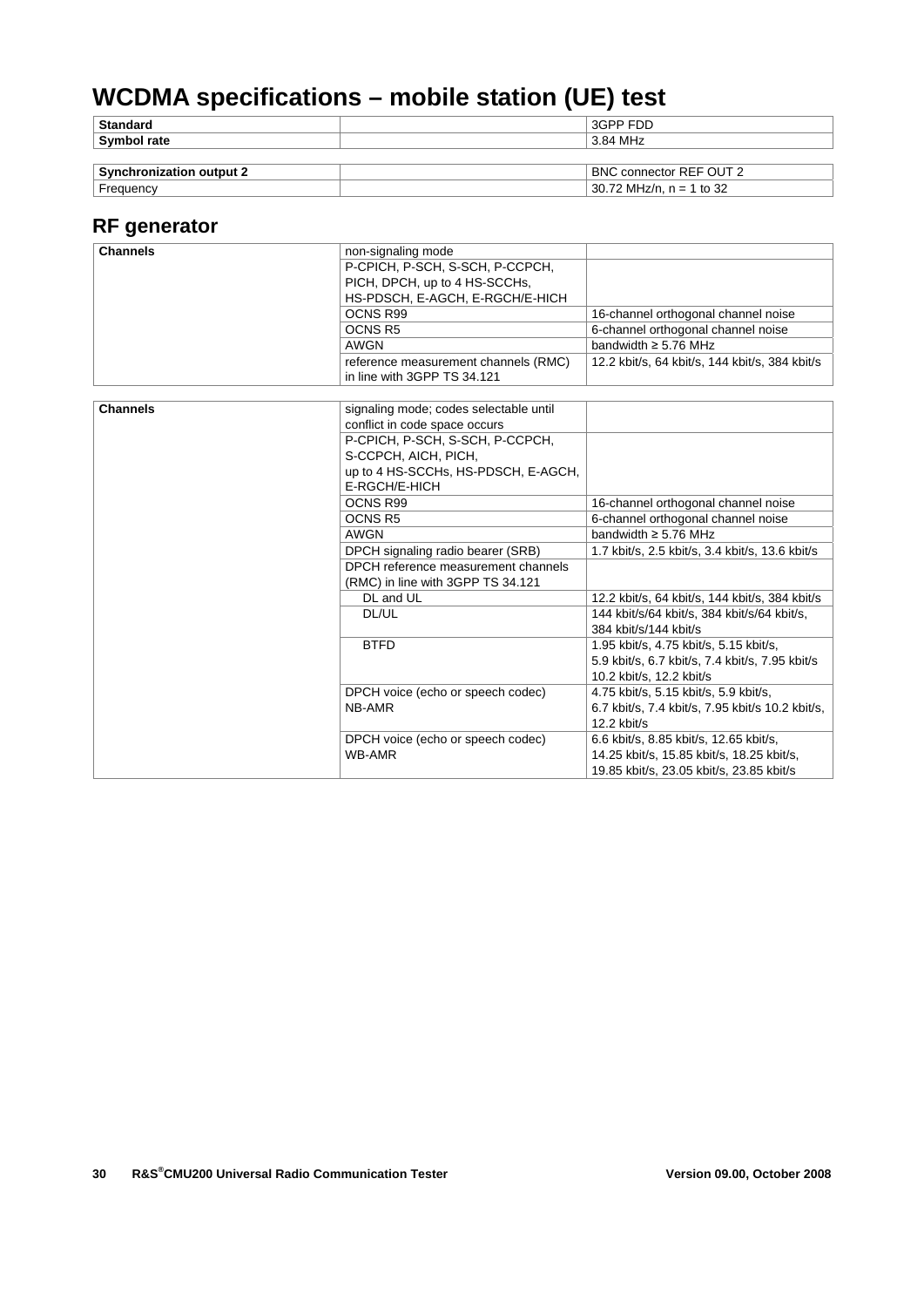# **WCDMA specifications – mobile station (UE) test**

| Symbol rate     | 3.84 MHz |
|-----------------|----------|
| <b>Standard</b> | 3GPP FDD |

| <b>C.</b> .<br>output .<br>' י<br><br>'NL | $\bigcap$ IT :<br>BNO<br>connector<br>' – –     |  |
|-------------------------------------------|-------------------------------------------------|--|
| .roc<br>iuenc\                            | $\sim$<br>30<br>МF<br>711<br>-<br>ے د<br>-<br>w |  |
|                                           |                                                 |  |

### **RF generator**

| <b>Channels</b> | non-signaling mode                     |                                                  |
|-----------------|----------------------------------------|--------------------------------------------------|
|                 | P-CPICH, P-SCH, S-SCH, P-CCPCH,        |                                                  |
|                 | PICH, DPCH, up to 4 HS-SCCHs,          |                                                  |
|                 | HS-PDSCH, E-AGCH, E-RGCH/E-HICH        |                                                  |
|                 | OCNS R99                               | 16-channel orthogonal channel noise              |
|                 | <b>OCNS R5</b>                         | 6-channel orthogonal channel noise               |
|                 | <b>AWGN</b>                            | bandwidth $\geq$ 5.76 MHz                        |
|                 | reference measurement channels (RMC)   | 12.2 kbit/s, 64 kbit/s, 144 kbit/s, 384 kbit/s   |
|                 | in line with 3GPP TS 34.121            |                                                  |
|                 |                                        |                                                  |
| <b>Channels</b> | signaling mode; codes selectable until |                                                  |
|                 | conflict in code space occurs          |                                                  |
|                 | P-CPICH, P-SCH, S-SCH, P-CCPCH,        |                                                  |
|                 | S-CCPCH, AICH, PICH,                   |                                                  |
|                 | up to 4 HS-SCCHs, HS-PDSCH, E-AGCH,    |                                                  |
|                 | E-RGCH/E-HICH                          |                                                  |
|                 | OCNS R99                               | 16-channel orthogonal channel noise              |
|                 | <b>OCNS R5</b>                         | 6-channel orthogonal channel noise               |
|                 | <b>AWGN</b>                            | bandwidth $\geq$ 5.76 MHz                        |
|                 | DPCH signaling radio bearer (SRB)      | 1.7 kbit/s, 2.5 kbit/s, 3.4 kbit/s, 13.6 kbit/s  |
|                 | DPCH reference measurement channels    |                                                  |
|                 | (RMC) in line with 3GPP TS 34.121      |                                                  |
|                 | DL and UL                              | 12.2 kbit/s, 64 kbit/s, 144 kbit/s, 384 kbit/s   |
|                 | DL/UL                                  | 144 kbit/s/64 kbit/s, 384 kbit/s/64 kbit/s,      |
|                 |                                        | 384 kbit/s/144 kbit/s                            |
|                 | <b>BTFD</b>                            | 1.95 kbit/s, 4.75 kbit/s, 5.15 kbit/s,           |
|                 |                                        | 5.9 kbit/s, 6.7 kbit/s, 7.4 kbit/s, 7.95 kbit/s  |
|                 |                                        | 10.2 kbit/s, 12.2 kbit/s                         |
|                 | DPCH voice (echo or speech codec)      | 4.75 kbit/s, 5.15 kbit/s, 5.9 kbit/s,            |
|                 | NB-AMR                                 | 6.7 kbit/s, 7.4 kbit/s, 7.95 kbit/s 10.2 kbit/s, |
|                 |                                        | 12.2 kbit/s                                      |
|                 | DPCH voice (echo or speech codec)      | 6.6 kbit/s, 8.85 kbit/s, 12.65 kbit/s,           |
|                 | WB-AMR                                 | 14.25 kbit/s, 15.85 kbit/s, 18.25 kbit/s,        |
|                 |                                        | 19.85 kbit/s, 23.05 kbit/s, 23.85 kbit/s         |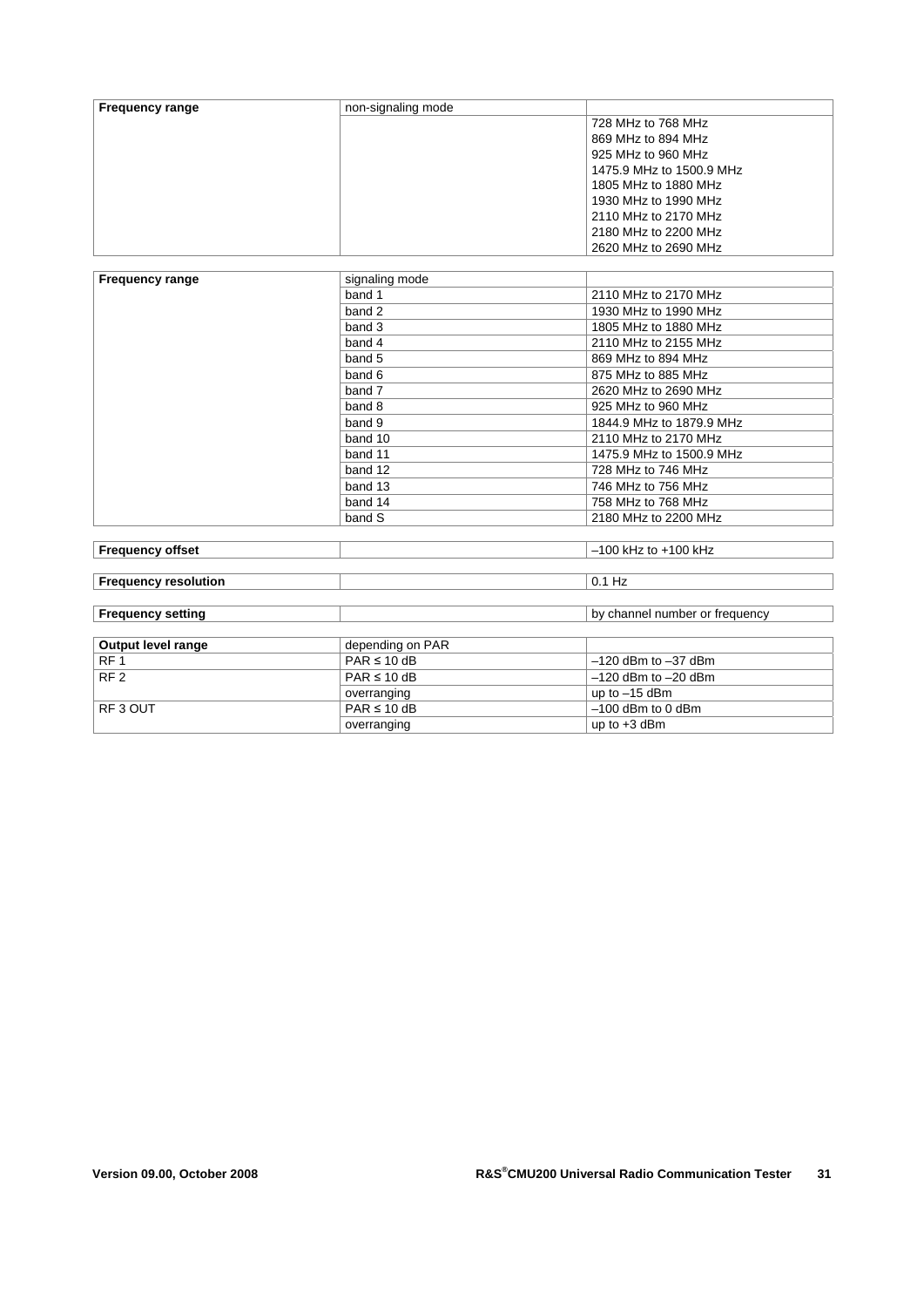| <b>Frequency range</b> | non-signaling mode |                          |
|------------------------|--------------------|--------------------------|
|                        |                    | 728 MHz to 768 MHz       |
|                        |                    | 869 MHz to 894 MHz       |
|                        |                    | 925 MHz to 960 MHz       |
|                        |                    | 1475.9 MHz to 1500.9 MHz |
|                        |                    | 1805 MHz to 1880 MHz     |
|                        |                    | 1930 MHz to 1990 MHz     |
|                        |                    | 2110 MHz to 2170 MHz     |
|                        |                    | 2180 MHz to 2200 MHz     |
|                        |                    | 2620 MHz to 2690 MHz     |

| <b>Frequency range</b>                                                                                                                                                                                                        | signaling mode |                          |
|-------------------------------------------------------------------------------------------------------------------------------------------------------------------------------------------------------------------------------|----------------|--------------------------|
|                                                                                                                                                                                                                               | band 1         | 2110 MHz to 2170 MHz     |
|                                                                                                                                                                                                                               | band 2         | 1930 MHz to 1990 MHz     |
|                                                                                                                                                                                                                               | band 3         | 1805 MHz to 1880 MHz     |
|                                                                                                                                                                                                                               | band 4         | 2110 MHz to 2155 MHz     |
|                                                                                                                                                                                                                               | band 5         | 869 MHz to 894 MHz       |
|                                                                                                                                                                                                                               | band 6         | 875 MHz to 885 MHz       |
|                                                                                                                                                                                                                               | band 7         | 2620 MHz to 2690 MHz     |
|                                                                                                                                                                                                                               | band 8         | 925 MHz to 960 MHz       |
|                                                                                                                                                                                                                               | band 9         | 1844.9 MHz to 1879.9 MHz |
|                                                                                                                                                                                                                               | band 10        | 2110 MHz to 2170 MHz     |
|                                                                                                                                                                                                                               | band 11        | 1475.9 MHz to 1500.9 MHz |
|                                                                                                                                                                                                                               | band 12        | 728 MHz to 746 MHz       |
|                                                                                                                                                                                                                               | band 13        | 746 MHz to 756 MHz       |
|                                                                                                                                                                                                                               | band 14        | 758 MHz to 768 MHz       |
|                                                                                                                                                                                                                               | band S         | 2180 MHz to 2200 MHz     |
|                                                                                                                                                                                                                               |                |                          |
| For a company of the state of the state of the state of the state of the state of the state of the state of the state of the state of the state of the state of the state of the state of the state of the state of the state |                | $100111 - 1.$ $100111 -$ |

| <b>Frequency offset</b>     |                  | $-100$ kHz to $+100$ kHz       |
|-----------------------------|------------------|--------------------------------|
|                             |                  |                                |
| <b>Frequency resolution</b> |                  | $0.1$ Hz                       |
|                             |                  |                                |
| <b>Frequency setting</b>    |                  | by channel number or frequency |
|                             |                  |                                |
| Output level range          | depending on PAR |                                |
| RF <sub>1</sub>             | $PAR \leq 10$ dB | $-120$ dBm to $-37$ dBm        |
| RF <sub>2</sub>             | $PAR \leq 10$ dB | $-120$ dBm to $-20$ dBm        |
|                             | overranging      | up to $-15$ dBm                |
| RF3 OUT                     | $PAR \leq 10$ dB | $-100$ dBm to 0 dBm            |
|                             | overranging      | up to $+3$ dBm                 |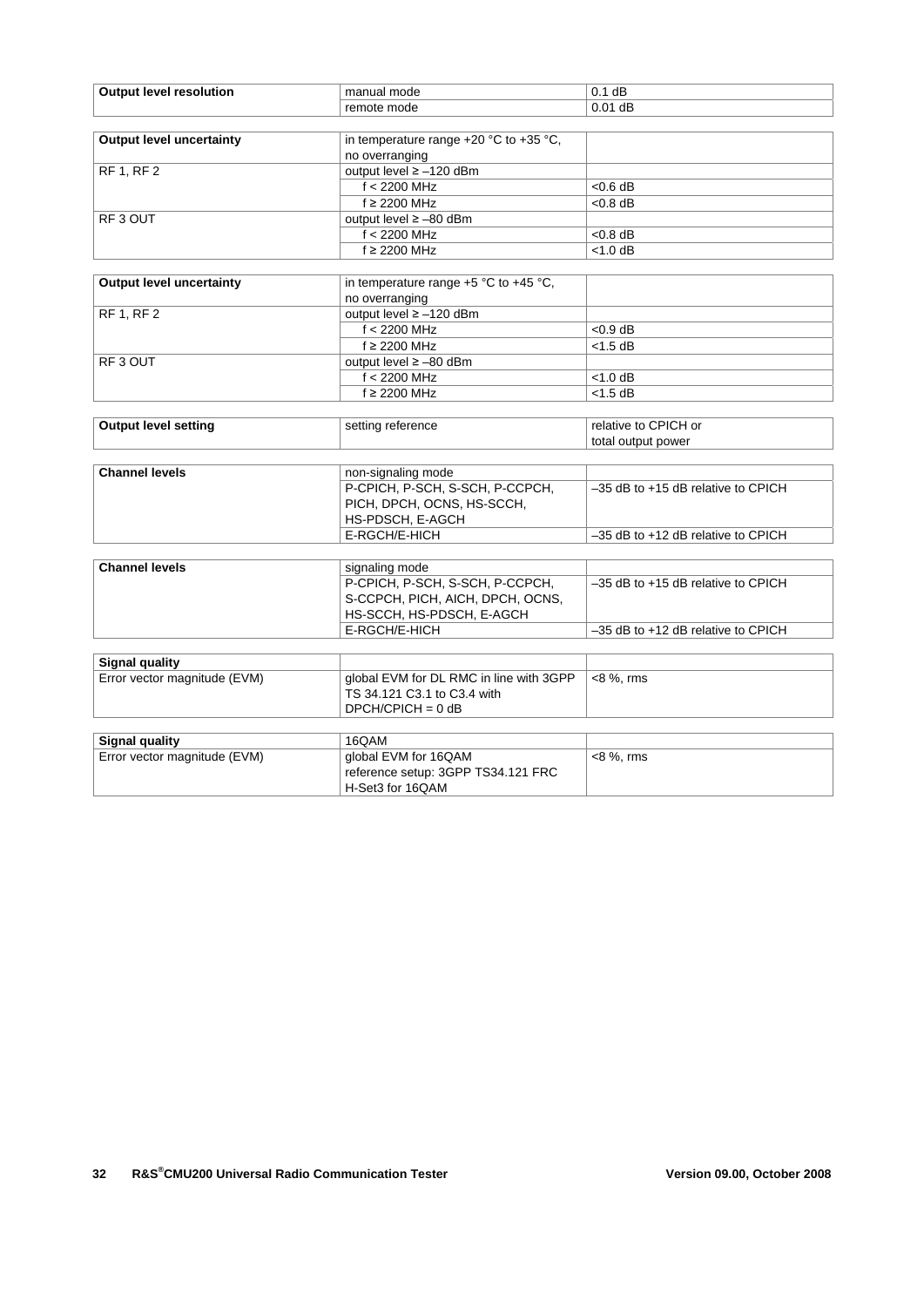| <b>Output level resolution</b>  | manual mode                                | $0.1$ dB                               |
|---------------------------------|--------------------------------------------|----------------------------------------|
|                                 | remote mode                                | $0.01$ dB                              |
|                                 |                                            |                                        |
| <b>Output level uncertainty</b> | in temperature range $+20$ °C to $+35$ °C, |                                        |
|                                 | no overranging                             |                                        |
| <b>RF 1, RF 2</b>               | output level ≥ -120 dBm                    |                                        |
|                                 | $f < 2200$ MHz                             | $< 0.6$ dB                             |
|                                 | $f \geq 2200$ MHz                          | $< 0.8$ dB                             |
| RF3 OUT                         | output level $\ge -80$ dBm                 |                                        |
|                                 | $f < 2200$ MHz                             | $< 0.8$ dB                             |
|                                 | $f \geq 2200$ MHz                          | $<$ 1.0 dB                             |
|                                 |                                            |                                        |
| <b>Output level uncertainty</b> | in temperature range +5 °C to +45 °C,      |                                        |
|                                 | no overranging                             |                                        |
| <b>RF 1, RF 2</b>               | output level ≥ -120 dBm                    |                                        |
|                                 | $f < 2200$ MHz                             | $< 0.9$ dB                             |
|                                 | f ≥ 2200 MHz                               | $<$ 1.5 dB                             |
| RF <sub>3</sub> OUT             | output level ≥ -80 dBm                     |                                        |
|                                 | $f < 2200$ MHz                             | $<$ 1.0 dB                             |
|                                 | f ≥ 2200 MHz                               | $<$ 1.5 dB                             |
|                                 |                                            |                                        |
| <b>Output level setting</b>     | setting reference                          | relative to CPICH or                   |
|                                 |                                            | total output power                     |
|                                 |                                            |                                        |
| <b>Channel levels</b>           | non-signaling mode                         |                                        |
|                                 | P-CPICH, P-SCH, S-SCH, P-CCPCH,            | -35 dB to +15 dB relative to CPICH     |
|                                 | PICH, DPCH, OCNS, HS-SCCH,                 |                                        |
|                                 | HS-PDSCH, E-AGCH                           |                                        |
|                                 | E-RGCH/E-HICH                              | -35 dB to +12 dB relative to CPICH     |
|                                 |                                            |                                        |
| <b>Channel levels</b>           | signaling mode                             |                                        |
|                                 | P-CPICH, P-SCH, S-SCH, P-CCPCH,            | $-35$ dB to $+15$ dB relative to CPICH |
|                                 | S-CCPCH, PICH, AICH, DPCH, OCNS,           |                                        |
|                                 | HS-SCCH, HS-PDSCH, E-AGCH                  |                                        |
|                                 | E-RGCH/E-HICH                              | -35 dB to +12 dB relative to CPICH     |
|                                 |                                            |                                        |
| <b>Signal quality</b>           |                                            |                                        |
| Error vector magnitude (EVM)    | global EVM for DL RMC in line with 3GPP    | <8 %, rms                              |
|                                 | TS 34.121 C3.1 to C3.4 with                |                                        |
|                                 | $DPCH/CPICH = 0 dB$                        |                                        |
|                                 |                                            |                                        |
| <b>Signal quality</b>           | 16QAM                                      |                                        |
| Error vector magnitude (EVM)    | global EVM for 16QAM                       | <8 %, rms                              |
|                                 | reference setup: 3GPP TS34.121 FRC         |                                        |
|                                 | H-Set3 for 16QAM                           |                                        |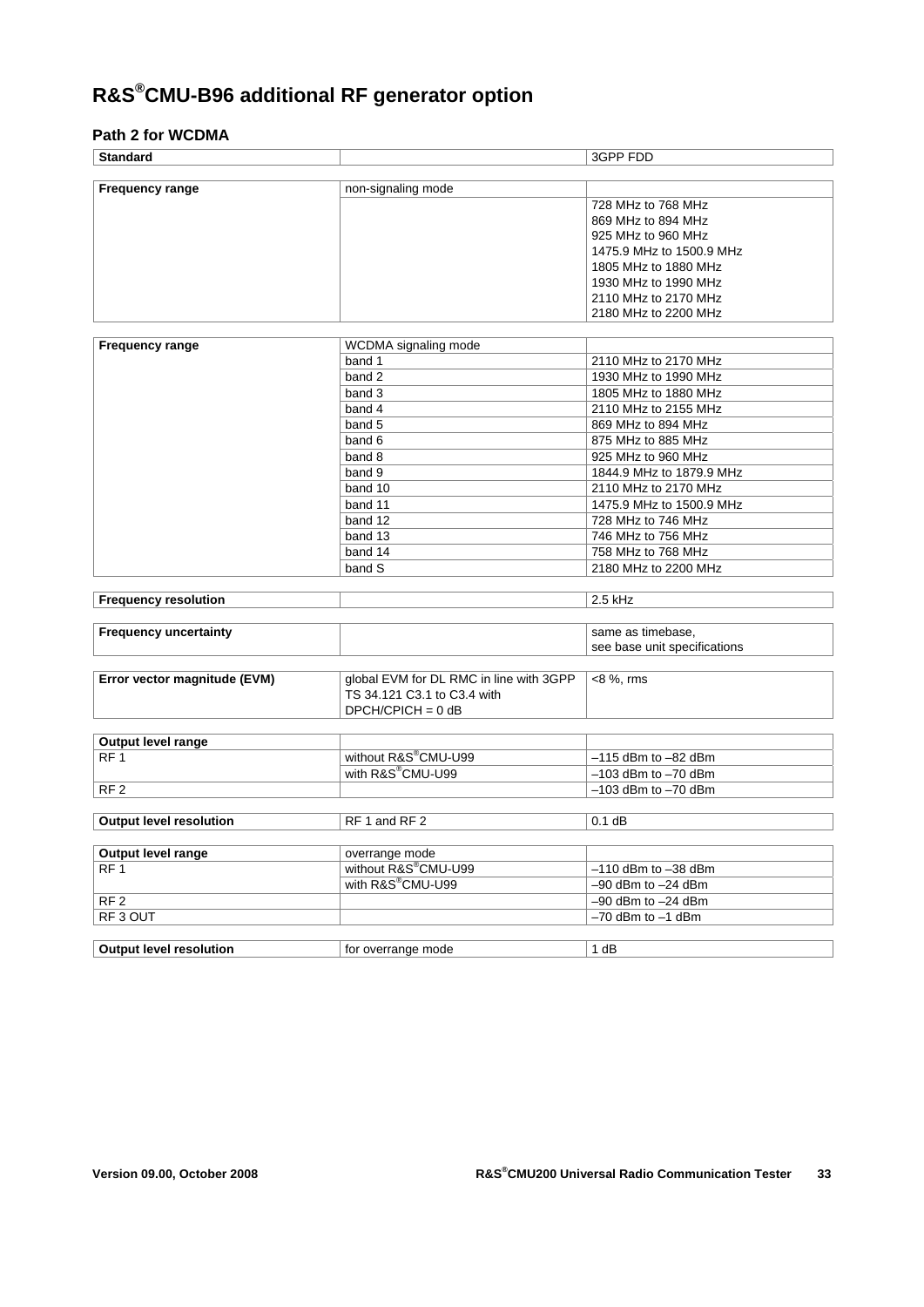# **R&S®CMU-B96 additional RF generator option**

### **Path 2 for WCDMA**

| <b>Standard</b>                |                                         | 3GPP FDD                     |  |
|--------------------------------|-----------------------------------------|------------------------------|--|
|                                |                                         |                              |  |
| <b>Frequency range</b>         | non-signaling mode                      |                              |  |
|                                |                                         | 728 MHz to 768 MHz           |  |
|                                |                                         | 869 MHz to 894 MHz           |  |
|                                |                                         | 925 MHz to 960 MHz           |  |
|                                |                                         | 1475.9 MHz to 1500.9 MHz     |  |
|                                |                                         | 1805 MHz to 1880 MHz         |  |
|                                |                                         | 1930 MHz to 1990 MHz         |  |
|                                |                                         | 2110 MHz to 2170 MHz         |  |
|                                |                                         | 2180 MHz to 2200 MHz         |  |
|                                |                                         |                              |  |
| <b>Frequency range</b>         | WCDMA signaling mode                    |                              |  |
|                                | band 1                                  | 2110 MHz to 2170 MHz         |  |
|                                | band 2                                  | 1930 MHz to 1990 MHz         |  |
|                                | band 3                                  | 1805 MHz to 1880 MHz         |  |
|                                | band 4                                  | 2110 MHz to 2155 MHz         |  |
|                                | band 5                                  | 869 MHz to 894 MHz           |  |
|                                | band 6                                  | 875 MHz to 885 MHz           |  |
|                                | band 8                                  | 925 MHz to 960 MHz           |  |
|                                | band 9                                  | 1844.9 MHz to 1879.9 MHz     |  |
|                                | band 10                                 | 2110 MHz to 2170 MHz         |  |
|                                | band 11                                 | 1475.9 MHz to 1500.9 MHz     |  |
|                                | band 12                                 | 728 MHz to 746 MHz           |  |
|                                | band 13                                 | 746 MHz to 756 MHz           |  |
|                                | band 14                                 | 758 MHz to 768 MHz           |  |
|                                | band S                                  | 2180 MHz to 2200 MHz         |  |
|                                |                                         |                              |  |
| <b>Frequency resolution</b>    |                                         | $2.5$ kHz                    |  |
|                                |                                         |                              |  |
| <b>Frequency uncertainty</b>   |                                         | same as timebase,            |  |
|                                |                                         | see base unit specifications |  |
|                                |                                         |                              |  |
| Error vector magnitude (EVM)   | global EVM for DL RMC in line with 3GPP | $<8%$ , rms                  |  |
|                                | TS 34.121 C3.1 to C3.4 with             |                              |  |
|                                | $DPCH/CPICH = 0 dB$                     |                              |  |
|                                |                                         |                              |  |
| Output level range             |                                         |                              |  |
| RF <sub>1</sub>                | without R&S®CMU-U99                     | $-115$ dBm to $-82$ dBm      |  |
|                                | with R&S <sup>®</sup> CMU-U99           | $-103$ dBm to $-70$ dBm      |  |
| RF <sub>2</sub>                |                                         | $-103$ dBm to $-70$ dBm      |  |
|                                |                                         |                              |  |
| <b>Output level resolution</b> | RF 1 and RF 2                           | $0.1$ dB                     |  |
|                                |                                         |                              |  |
| Output level range             | overrange mode                          |                              |  |
| RF <sub>1</sub>                | without R&S®CMU-U99                     | $-110$ dBm to $-38$ dBm      |  |
|                                | with R&S®CMU-U99                        | $-90$ dBm to $-24$ dBm       |  |
| RF <sub>2</sub>                |                                         | $-90$ dBm to $-24$ dBm       |  |
| RF <sub>3</sub> OUT            |                                         | $-70$ dBm to $-1$ dBm        |  |
|                                |                                         |                              |  |
| <b>Output level resolution</b> | for overrange mode                      | 1 dB                         |  |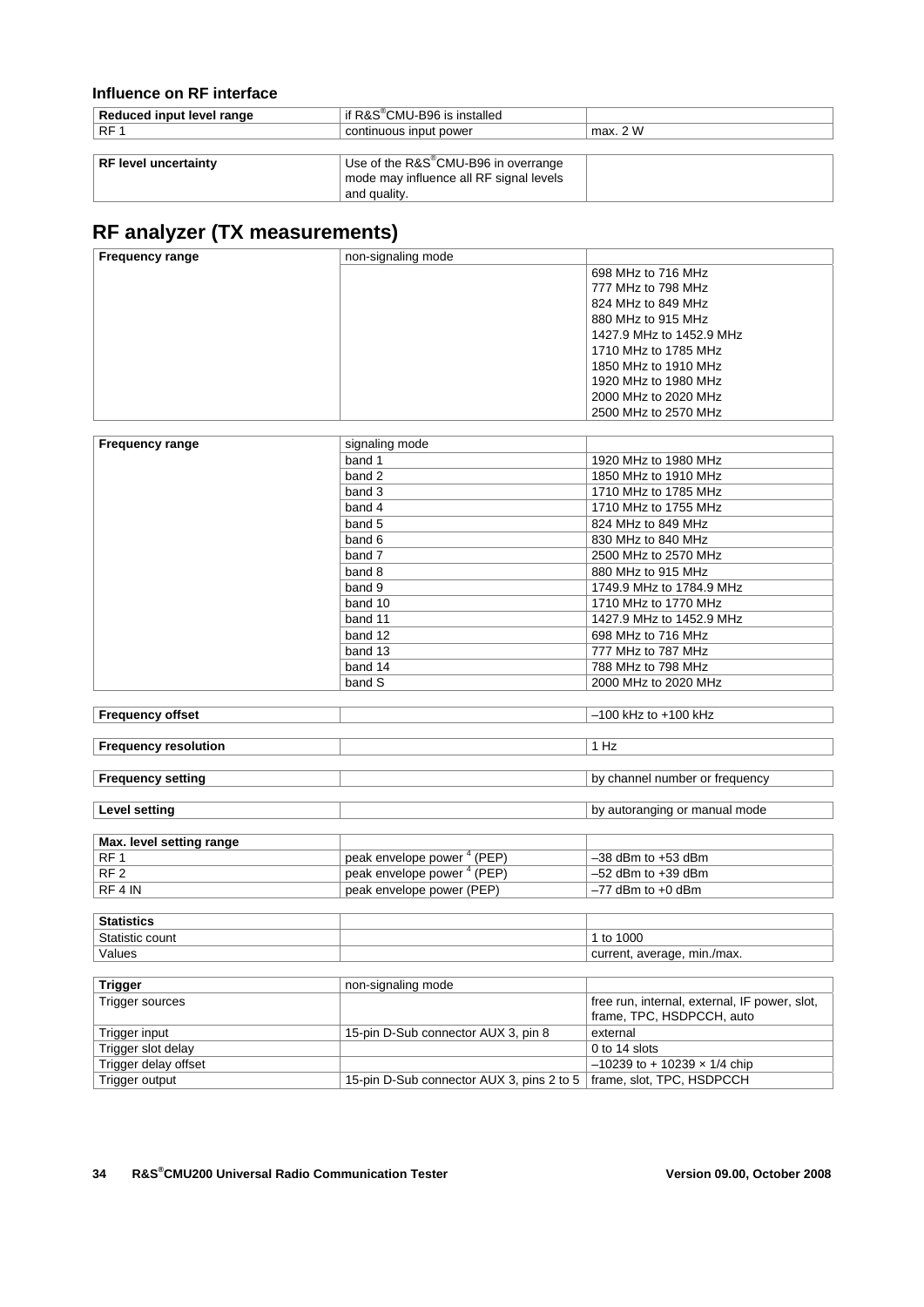### **Influence on RF interface**

| Reduced input level range   | if $R\&S^\circledast$ CMU-B96 is installed       |          |
|-----------------------------|--------------------------------------------------|----------|
| RF <sub>1</sub>             | continuous input power                           | max. 2 W |
|                             |                                                  |          |
| <b>RF level uncertainty</b> | Use of the R&S <sup>®</sup> CMU-B96 in overrange |          |
|                             | mode may influence all RF signal levels          |          |
|                             | and quality.                                     |          |

### **RF analyzer (TX measurements)**

| non-signaling mode<br><b>Frequency range</b> |                          |
|----------------------------------------------|--------------------------|
|                                              | 698 MHz to 716 MHz       |
|                                              | 777 MHz to 798 MHz       |
|                                              | 824 MHz to 849 MHz       |
|                                              | 880 MHz to 915 MHz       |
|                                              | 1427.9 MHz to 1452.9 MHz |
|                                              | 1710 MHz to 1785 MHz     |
|                                              | 1850 MHz to 1910 MHz     |
|                                              | 1920 MHz to 1980 MHz     |
|                                              | 2000 MHz to 2020 MHz     |
|                                              | 2500 MHz to 2570 MHz     |
|                                              |                          |

| <b>Frequency range</b> | signaling mode |                          |
|------------------------|----------------|--------------------------|
|                        | band 1         | 1920 MHz to 1980 MHz     |
|                        | band 2         | 1850 MHz to 1910 MHz     |
|                        | band 3         | 1710 MHz to 1785 MHz     |
|                        | band 4         | 1710 MHz to 1755 MHz     |
|                        | band 5         | 824 MHz to 849 MHz       |
|                        | band 6         | 830 MHz to 840 MHz       |
|                        | band 7         | 2500 MHz to 2570 MHz     |
|                        | band 8         | 880 MHz to 915 MHz       |
|                        | band 9         | 1749.9 MHz to 1784.9 MHz |
|                        | band 10        | 1710 MHz to 1770 MHz     |
|                        | band 11        | 1427.9 MHz to 1452.9 MHz |
|                        | band 12        | 698 MHz to 716 MHz       |
|                        | band 13        | 777 MHz to 787 MHz       |
|                        | band 14        | 788 MHz to 798 MHz       |
|                        | band S         | 2000 MHz to 2020 MHz     |

| <b>Frequency offset</b>     | $-100$ kHz to $+100$ kHz       |
|-----------------------------|--------------------------------|
|                             |                                |
| <b>Frequency resolution</b> | 1 Hz                           |
|                             |                                |
| <b>Frequency setting</b>    | by channel number or frequency |
|                             |                                |
| Level setting               | by autoranging or manual mode  |

| Max. level setting range |                                        |                        |
|--------------------------|----------------------------------------|------------------------|
| RF <sub>1</sub>          | peak envelope power <sup>4</sup> (PEP) | $-38$ dBm to $+53$ dBm |
| RF <sub>2</sub>          | peak envelope power <sup>+</sup> (PEP) | $-52$ dBm to $+39$ dBm |
| RF 4 IN                  | peak envelope power (PEP)              | ∣ –77 dBm to +0 dBm    |

| <b>Statistics</b> |                             |
|-------------------|-----------------------------|
| $C+$<br>count     | 1000<br>to                  |
| Values            | current, average, min./max. |

| <b>Trigger</b>       | non-signaling mode                                                    |                                               |
|----------------------|-----------------------------------------------------------------------|-----------------------------------------------|
| Trigger sources      |                                                                       | free run, internal, external, IF power, slot, |
|                      |                                                                       | frame, TPC, HSDPCCH, auto                     |
| Trigger input        | 15-pin D-Sub connector AUX 3, pin 8                                   | external                                      |
| Trigger slot delay   |                                                                       | $0$ to 14 slots                               |
| Trigger delay offset |                                                                       | $-10239$ to + 10239 x 1/4 chip                |
| Trigger output       | 15-pin D-Sub connector AUX 3, pins 2 to 5   frame, slot, TPC, HSDPCCH |                                               |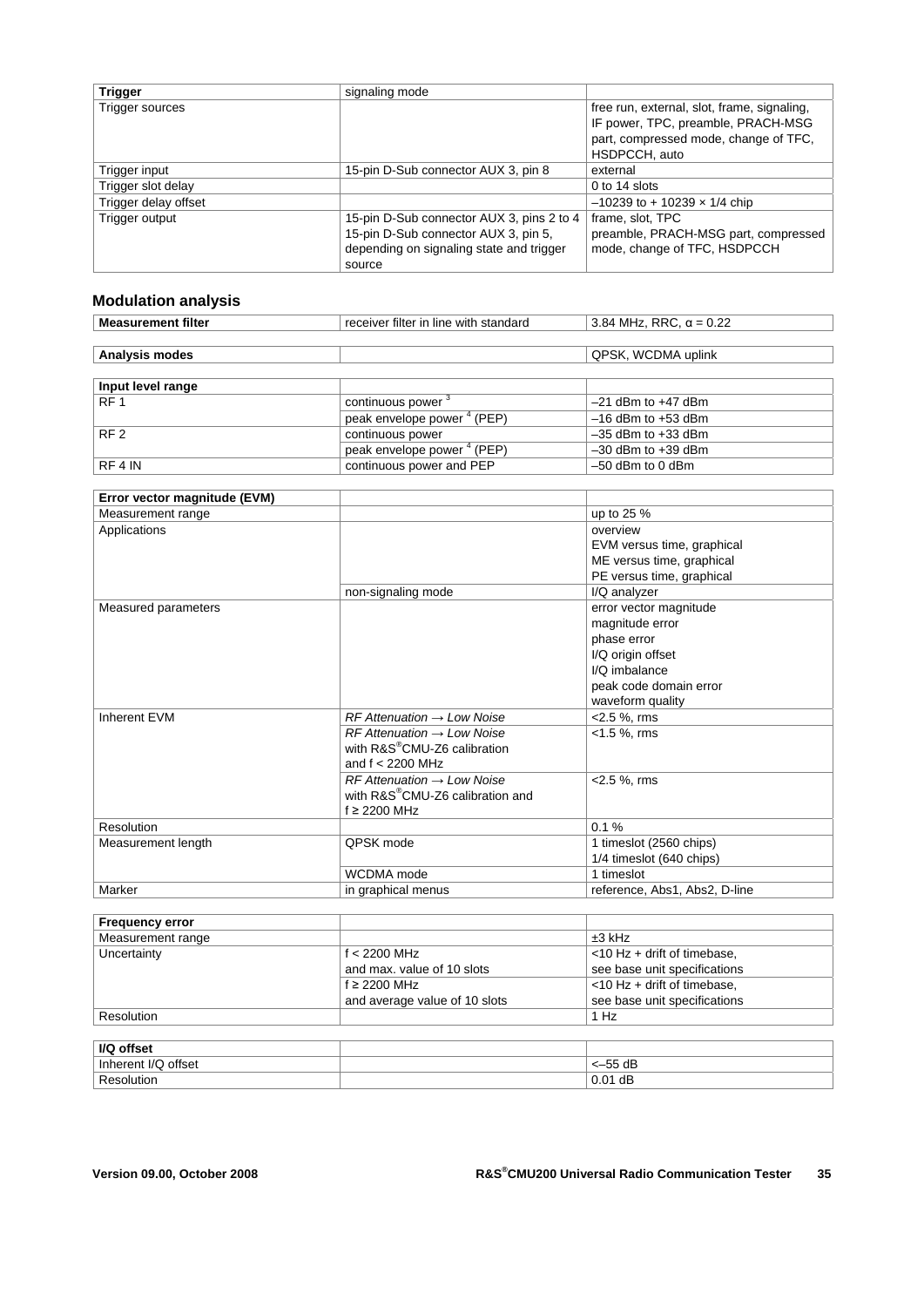| <b>Trigger</b>       | signaling mode                                                                                                                          |                                                                                                                                             |
|----------------------|-----------------------------------------------------------------------------------------------------------------------------------------|---------------------------------------------------------------------------------------------------------------------------------------------|
| Trigger sources      |                                                                                                                                         | free run, external, slot, frame, signaling,<br>IF power, TPC, preamble, PRACH-MSG<br>part, compressed mode, change of TFC,<br>HSDPCCH, auto |
| Trigger input        | 15-pin D-Sub connector AUX 3, pin 8                                                                                                     | external                                                                                                                                    |
| Trigger slot delay   |                                                                                                                                         | 0 to 14 slots                                                                                                                               |
| Trigger delay offset |                                                                                                                                         | $-10239$ to + 10239 x 1/4 chip                                                                                                              |
| Trigger output       | 15-pin D-Sub connector AUX 3, pins 2 to 4<br>15-pin D-Sub connector AUX 3, pin 5,<br>depending on signaling state and trigger<br>source | frame, slot, TPC<br>preamble, PRACH-MSG part, compressed<br>mode, change of TFC, HSDPCCH                                                    |

### **Modulation analysis**

| <b>Measurement filter</b> | receiver filter in line with standard  | 3.84 MHz, RRC, $\alpha = 0.22$ |
|---------------------------|----------------------------------------|--------------------------------|
|                           |                                        |                                |
| <b>Analysis modes</b>     |                                        | QPSK, WCDMA uplink             |
|                           |                                        |                                |
| Input level range         |                                        |                                |
| RF <sub>1</sub>           | continuous power <sup>3</sup>          | $-21$ dBm to $+47$ dBm         |
|                           | peak envelope power <sup>4</sup> (PEP) | $-16$ dBm to $+53$ dBm         |
| RF <sub>2</sub>           | continuous power                       | $-35$ dBm to $+33$ dBm         |
|                           | peak envelope power <sup>4</sup> (PEP) | $-30$ dBm to $+39$ dBm         |
| RF 4 IN                   | continuous power and PEP               | $-50$ dBm to 0 dBm             |

| Error vector magnitude (EVM) |                                                                                                            |                                                                                                                                              |
|------------------------------|------------------------------------------------------------------------------------------------------------|----------------------------------------------------------------------------------------------------------------------------------------------|
| Measurement range            |                                                                                                            | up to 25 %                                                                                                                                   |
| Applications                 |                                                                                                            | overview<br>EVM versus time, graphical<br>ME versus time, graphical<br>PE versus time, graphical                                             |
|                              | non-signaling mode                                                                                         | I/Q analyzer                                                                                                                                 |
| Measured parameters          |                                                                                                            | error vector magnitude<br>magnitude error<br>phase error<br>I/Q origin offset<br>I/Q imbalance<br>peak code domain error<br>waveform quality |
| Inherent EVM                 | $RF$ Attenuation $\rightarrow$ Low Noise                                                                   | <2.5 %, rms                                                                                                                                  |
|                              | $RF$ Attenuation $\rightarrow$ Low Noise<br>with R&S <sup>®</sup> CMU-Z6 calibration<br>and $f < 2200$ MHz | $< 1.5 %$ , rms                                                                                                                              |
|                              | $RF$ Attenuation $\rightarrow$ Low Noise<br>with R&S®CMU-Z6 calibration and<br>f ≥ 2200 MHz                | $<$ 2.5 %, rms                                                                                                                               |
| Resolution                   |                                                                                                            | 0.1%                                                                                                                                         |
| Measurement length           | QPSK mode                                                                                                  | 1 timeslot (2560 chips)<br>1/4 timeslot (640 chips)                                                                                          |
|                              | WCDMA mode                                                                                                 | 1 timeslot                                                                                                                                   |
| Marker                       | in graphical menus                                                                                         | reference, Abs1, Abs2, D-line                                                                                                                |

| <b>Frequency error</b> |                               |                                |
|------------------------|-------------------------------|--------------------------------|
| Measurement range      |                               | $±3$ kHz                       |
| Uncertainty            | f $<$ 2200 MHz                | $<$ 10 Hz + drift of timebase, |
|                        | and max, value of 10 slots    | see base unit specifications   |
|                        | $f \geq 2200$ MHz             | $<$ 10 Hz + drift of timebase, |
|                        | and average value of 10 slots | see base unit specifications   |
| Resolution             |                               | 1 Hz                           |
|                        |                               |                                |

| I/Q<br>offset            |           |
|--------------------------|-----------|
| erent I/Q offset<br>Inhe | $<-55$ dB |
| ۱۱،۰۰۰٬۰۰                | $0.01$ dB |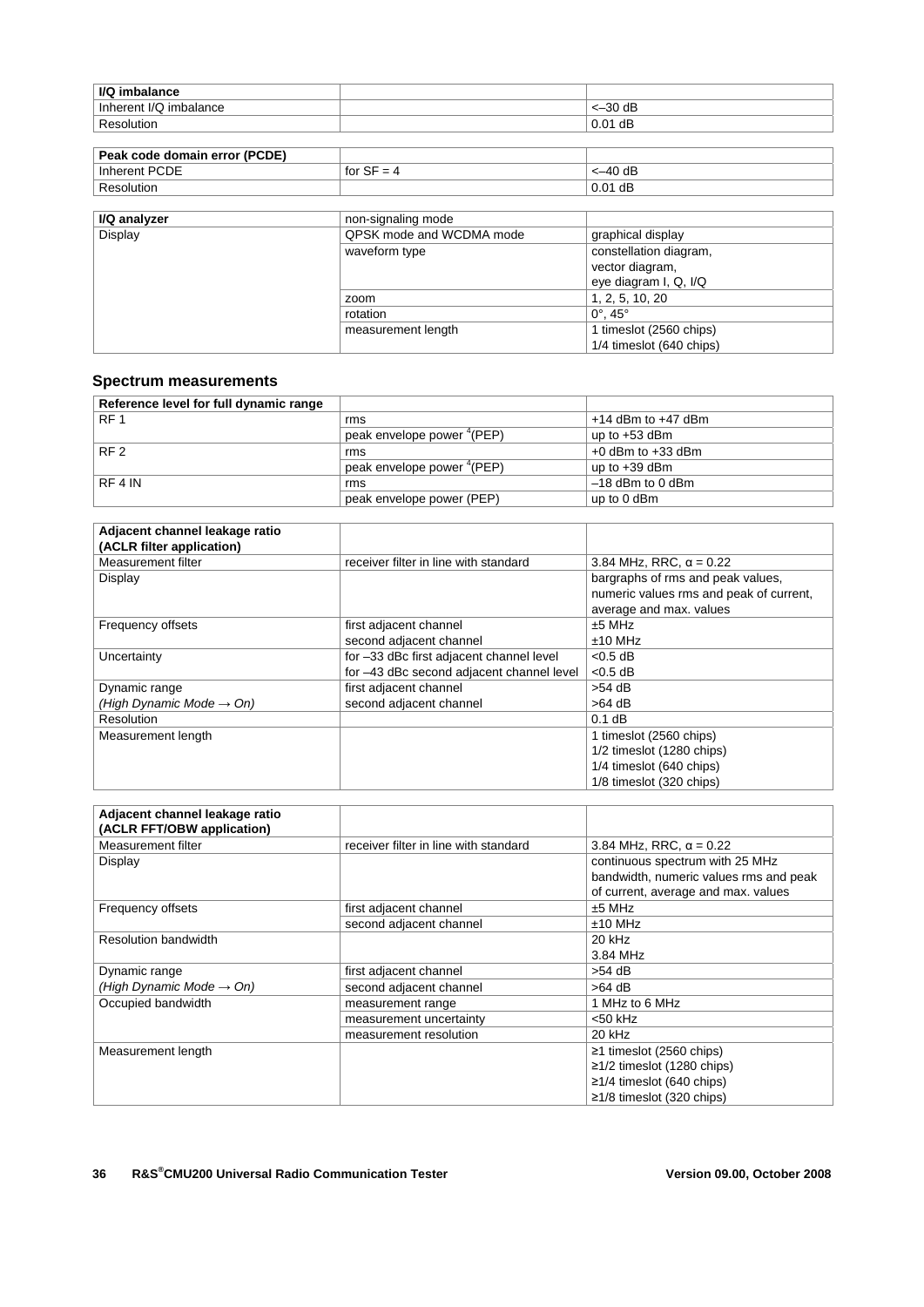| $<-30$ dB<br>Inherent I/Q<br>. imbalance               |  |
|--------------------------------------------------------|--|
| dB<br>0.01<br>$D_{\alpha\alpha\alpha}$<br>۱۱ ۱ + ۱ د ۱ |  |

| Peak code domain error (PCDE) |                                        |           |
|-------------------------------|----------------------------------------|-----------|
| <b>PCDE</b><br>Inherent       | $\frac{1}{2}$ for $\frac{1}{2}$<br>$=$ | <–40 dB   |
| Resolution                    |                                        | $0.01$ dB |

| I/Q analyzer | non-signaling mode       |                                                                    |
|--------------|--------------------------|--------------------------------------------------------------------|
| Display      | QPSK mode and WCDMA mode | graphical display                                                  |
|              | waveform type            | constellation diagram,<br>vector diagram,<br>eye diagram I, Q, I/Q |
|              | zoom                     | 1, 2, 5, 10, 20                                                    |
|              | rotation                 | $0^{\circ}$ . 45 $^{\circ}$                                        |
|              | measurement length       | 1 timeslot (2560 chips)                                            |
|              |                          | 1/4 timeslot (640 chips)                                           |

#### **Spectrum measurements**

| Reference level for full dynamic range |                                        |                        |
|----------------------------------------|----------------------------------------|------------------------|
| RF <sub>1</sub>                        | rms                                    | $+14$ dBm to $+47$ dBm |
|                                        | peak envelope power "(PEP)             | up to $+53$ dBm        |
| RF <sub>2</sub>                        | rms                                    | $+0$ dBm to $+33$ dBm  |
|                                        | peak envelope power <sup>4</sup> (PEP) | up to $+39$ dBm        |
| RF 4 IN                                | rms                                    | $-18$ dBm to 0 dBm     |
|                                        | peak envelope power (PEP)              | up to 0 dBm            |

| Adjacent channel leakage ratio       |                                           |                                         |
|--------------------------------------|-------------------------------------------|-----------------------------------------|
| (ACLR filter application)            |                                           |                                         |
| Measurement filter                   | receiver filter in line with standard     | 3.84 MHz, RRC, $\alpha$ = 0.22          |
| Display                              |                                           | bargraphs of rms and peak values,       |
|                                      |                                           | numeric values rms and peak of current, |
|                                      |                                           | average and max. values                 |
| Frequency offsets                    | first adjacent channel                    | $±5$ MHz                                |
|                                      | second adjacent channel                   | $±10$ MHz                               |
| Uncertainty                          | for -33 dBc first adjacent channel level  | $< 0.5$ dB                              |
|                                      | for -43 dBc second adjacent channel level | $< 0.5$ dB                              |
| Dynamic range                        | first adjacent channel                    | $>54$ dB                                |
| (High Dynamic Mode $\rightarrow$ On) | second adjacent channel                   | $>64$ dB                                |
| <b>Resolution</b>                    |                                           | $0.1$ dB                                |
| Measurement length                   |                                           | 1 timeslot (2560 chips)                 |
|                                      |                                           | 1/2 timeslot (1280 chips)               |
|                                      |                                           | 1/4 timeslot (640 chips)                |
|                                      |                                           | 1/8 timeslot (320 chips)                |

| Adjacent channel leakage ratio<br>(ACLR FFT/OBW application) |                                       |                                        |
|--------------------------------------------------------------|---------------------------------------|----------------------------------------|
| Measurement filter                                           | receiver filter in line with standard | 3.84 MHz, RRC, $\alpha = 0.22$         |
| Display                                                      |                                       | continuous spectrum with 25 MHz        |
|                                                              |                                       | bandwidth, numeric values rms and peak |
|                                                              |                                       | of current, average and max. values    |
| Frequency offsets                                            | first adjacent channel                | $±5$ MHz                               |
|                                                              | second adjacent channel               | $±10$ MHz                              |
| <b>Resolution bandwidth</b>                                  |                                       | 20 kHz                                 |
|                                                              |                                       | 3.84 MHz                               |
| Dynamic range                                                | first adjacent channel                | $>54$ dB                               |
| (High Dynamic Mode $\rightarrow$ On)                         | second adjacent channel               | $>64$ dB                               |
| Occupied bandwidth                                           | measurement range                     | 1 MHz to 6 MHz                         |
|                                                              | measurement uncertainty               | $<$ 50 kHz                             |
|                                                              | measurement resolution                | 20 kHz                                 |
| Measurement length                                           |                                       | $\geq$ 1 timeslot (2560 chips)         |
|                                                              |                                       | $≥1/2$ timeslot (1280 chips)           |
|                                                              |                                       | $≥1/4$ timeslot (640 chips)            |
|                                                              |                                       | $≥1/8$ timeslot (320 chips)            |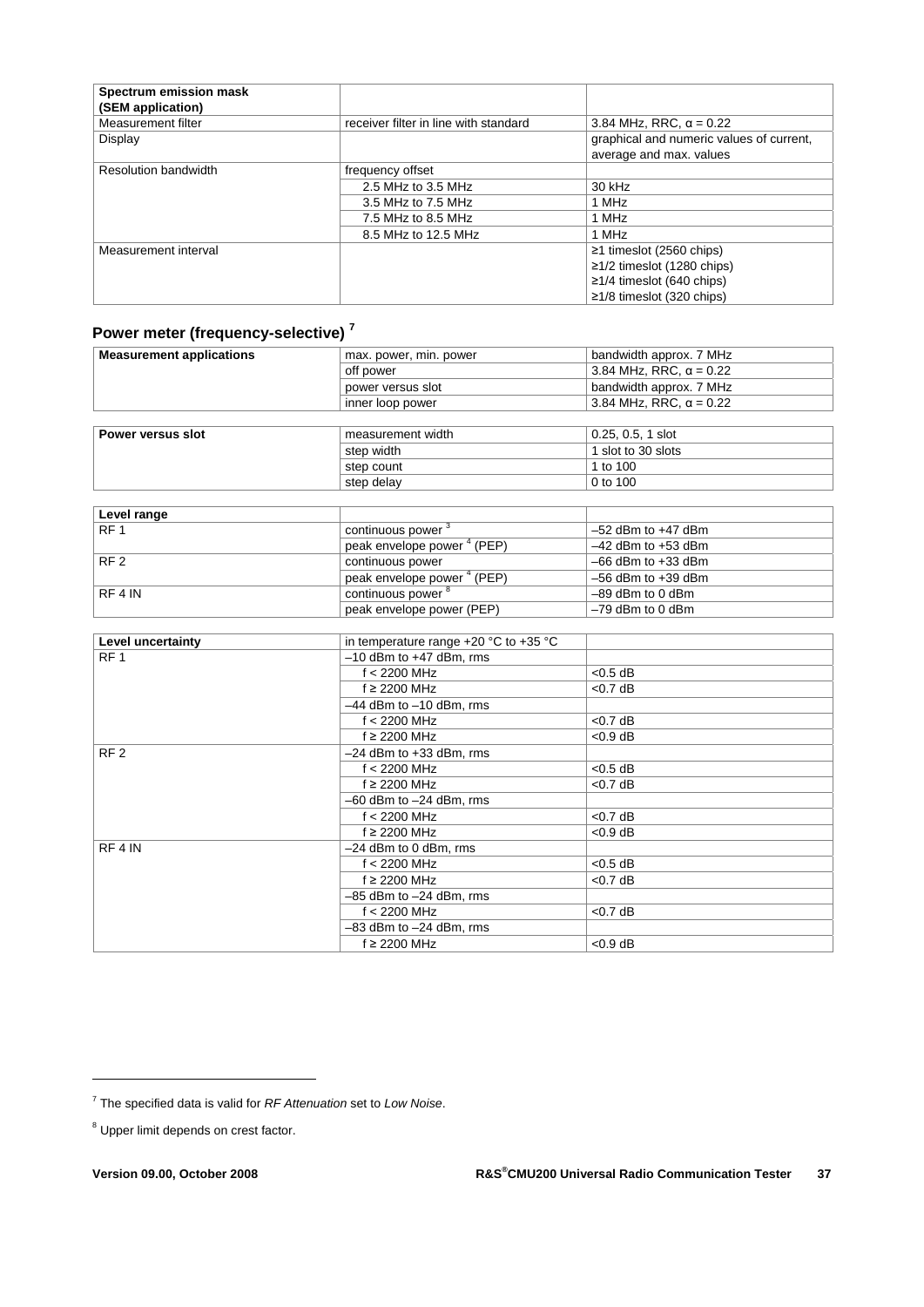| Spectrum emission mask<br>(SEM application) |                                       |                                          |
|---------------------------------------------|---------------------------------------|------------------------------------------|
| Measurement filter                          | receiver filter in line with standard | 3.84 MHz, RRC, $\alpha = 0.22$           |
| Display                                     |                                       | graphical and numeric values of current, |
|                                             |                                       | average and max. values                  |
| <b>Resolution bandwidth</b>                 | frequency offset                      |                                          |
|                                             | 2.5 MHz to 3.5 MHz                    | 30 kHz                                   |
|                                             | 3.5 MHz to 7.5 MHz                    | 1 MHz                                    |
|                                             | 7.5 MHz to 8.5 MHz                    | 1 MHz                                    |
|                                             | 8.5 MHz to 12.5 MHz                   | 1 MHz                                    |
| Measurement interval                        |                                       | $≥1$ timeslot (2560 chips)               |
|                                             |                                       | $≥1/2$ timeslot (1280 chips)             |
|                                             |                                       | $\geq$ 1/4 timeslot (640 chips)          |
|                                             |                                       | $\geq$ 1/8 timeslot (320 chips)          |

### **Power meter (frequency-selective) <sup>7</sup>**

| <b>Measurement applications</b> | max. power, min. power | bandwidth approx. 7 MHz        |
|---------------------------------|------------------------|--------------------------------|
|                                 | off power              | 3.84 MHz, RRC, $\alpha$ = 0.22 |
|                                 | power versus slot      | bandwidth approx. 7 MHz        |
|                                 | inner loop power       | 3.84 MHz, RRC, $\alpha = 0.22$ |
|                                 |                        |                                |
| Power versus slot               | measurement width      | $0.25, 0.5, 1$ slot            |
|                                 | step width             | 1 slot to 30 slots             |
|                                 | step count             | 1 to 100                       |
|                                 | step delay             | 0 to 100                       |
|                                 |                        |                                |

| Level range     |                                           |                        |
|-----------------|-------------------------------------------|------------------------|
| RF <sub>1</sub> | continuous power                          | $-52$ dBm to $+47$ dBm |
|                 | (PEP)<br>peak envelope power <sup>4</sup> | $-42$ dBm to $+53$ dBm |
| RF <sub>2</sub> | continuous power                          | $-66$ dBm to $+33$ dBm |
|                 | peak envelope power <sup>4</sup> (PEP)    | $-56$ dBm to $+39$ dBm |
| RF4 IN          | continuous power <sup>8</sup>             | $-89$ dBm to 0 dBm     |
|                 | peak envelope power (PEP)                 | $-79$ dBm to 0 dBm     |

| Level uncertainty  | in temperature range $+20$ °C to $+35$ °C |            |
|--------------------|-------------------------------------------|------------|
| RF <sub>1</sub>    | $-10$ dBm to $+47$ dBm, rms               |            |
|                    | $f < 2200$ MHz                            | $< 0.5$ dB |
|                    | $f \geq 2200$ MHz                         | $<$ 0.7 dB |
|                    | $-44$ dBm to $-10$ dBm, rms               |            |
|                    | $f < 2200$ MHz                            | $<$ 0.7 dB |
|                    | $f \geq 2200$ MHz                         | $< 0.9$ dB |
| RF <sub>2</sub>    | $-24$ dBm to $+33$ dBm, rms               |            |
|                    | $f < 2200$ MHz                            | $< 0.5$ dB |
|                    | $f \geq 2200$ MHz                         | $<$ 0.7 dB |
|                    | $-60$ dBm to $-24$ dBm, rms               |            |
|                    | $f < 2200$ MHz                            | $<$ 0.7 dB |
|                    | $f \geq 2200$ MHz                         | $< 0.9$ dB |
| RF <sub>4</sub> IN | -24 dBm to 0 dBm, rms                     |            |
|                    | $f < 2200$ MHz                            | $< 0.5$ dB |
|                    | $f \geq 2200$ MHz                         | $<$ 0.7 dB |
|                    | $-85$ dBm to $-24$ dBm, rms               |            |
|                    | $f < 2200$ MHz                            | $<$ 0.7 dB |
|                    | $-83$ dBm to $-24$ dBm, rms               |            |
|                    | $f \geq 2200$ MHz                         | $< 0.9$ dB |

<u>.</u>

<sup>7</sup> The specified data is valid for *RF Attenuation* set to *Low Noise*.

<sup>&</sup>lt;sup>8</sup> Upper limit depends on crest factor.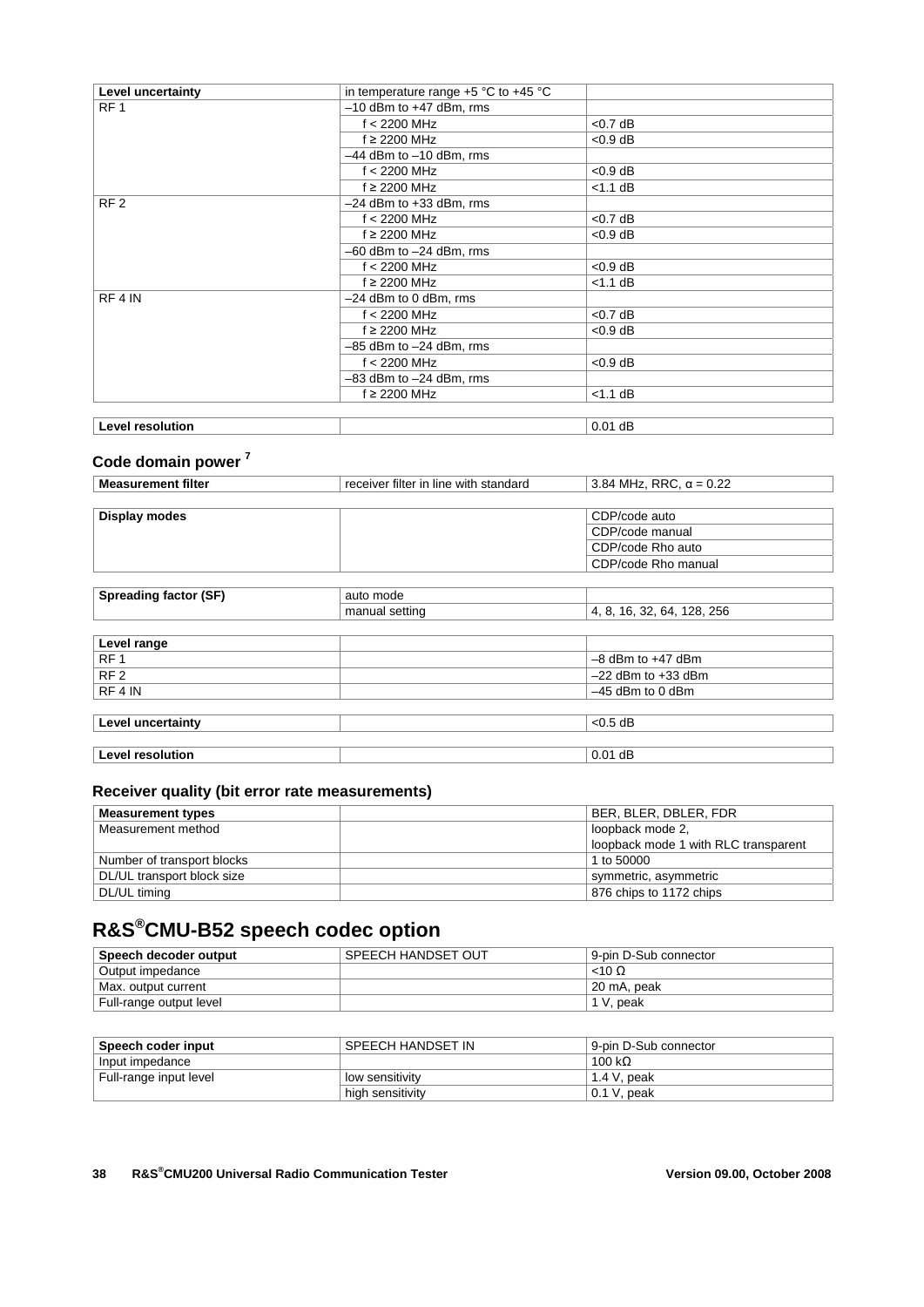| Level uncertainty  | in temperature range $+5$ °C to $+45$ °C |            |
|--------------------|------------------------------------------|------------|
| RF <sub>1</sub>    | $-10$ dBm to $+47$ dBm, rms              |            |
|                    | $f < 2200$ MHz                           | $<$ 0.7 dB |
|                    | $f \geq 2200$ MHz                        | $< 0.9$ dB |
|                    | $-44$ dBm to $-10$ dBm, rms              |            |
|                    | $f < 2200$ MHz                           | $< 0.9$ dB |
|                    | $f \geq 2200$ MHz                        | $<$ 1.1 dB |
| RF <sub>2</sub>    | $-24$ dBm to $+33$ dBm, rms              |            |
|                    | $f < 2200$ MHz                           | $<$ 0.7 dB |
|                    | $f \geq 2200$ MHz                        | $< 0.9$ dB |
|                    | $-60$ dBm to $-24$ dBm, rms              |            |
|                    | $f < 2200$ MHz                           | $< 0.9$ dB |
|                    | $f \geq 2200$ MHz                        | $<$ 1.1 dB |
| RF <sub>4</sub> IN | $-24$ dBm to 0 dBm, rms                  |            |
|                    | $f < 2200$ MHz                           | $<$ 0.7 dB |
|                    | $f \geq 2200$ MHz                        | $< 0.9$ dB |
|                    | $-85$ dBm to $-24$ dBm, rms              |            |
|                    | $f < 2200$ MHz                           | $< 0.9$ dB |
|                    | $-83$ dBm to $-24$ dBm, rms              |            |
|                    | $f \geq 2200$ MHz                        | $<$ 1.1 dB |
|                    |                                          |            |
| Level resolution   |                                          | $0.01$ dB  |

### **Code domain power 7**

| <b>Measurement filter</b>    | receiver filter in line with standard | 3.84 MHz, RRC, $\alpha$ = 0.22 |
|------------------------------|---------------------------------------|--------------------------------|
|                              |                                       |                                |
| Display modes                |                                       | CDP/code auto                  |
|                              |                                       | CDP/code manual                |
|                              |                                       | CDP/code Rho auto              |
|                              |                                       | CDP/code Rho manual            |
|                              |                                       |                                |
| <b>Spreading factor (SF)</b> | auto mode                             |                                |
|                              | manual setting                        | 4, 8, 16, 32, 64, 128, 256     |
|                              |                                       |                                |
| Level range                  |                                       |                                |
| RF <sub>1</sub>              |                                       | $-8$ dBm to $+47$ dBm          |
| RF <sub>2</sub>              |                                       | $-22$ dBm to $+33$ dBm         |
| RF 4 IN                      |                                       | $-45$ dBm to 0 dBm             |
|                              |                                       |                                |
| Level uncertainty            |                                       | $< 0.5$ dB                     |
|                              |                                       |                                |
| <b>Level resolution</b>      |                                       | $0.01$ dB                      |

### **Receiver quality (bit error rate measurements)**

| <b>Measurement types</b>   | BER, BLER, DBLER, FDR                |
|----------------------------|--------------------------------------|
| Measurement method         | loopback mode 2,                     |
|                            | loopback mode 1 with RLC transparent |
| Number of transport blocks | 1 to 50000                           |
| DL/UL transport block size | symmetric, asymmetric                |
| DL/UL timing               | 876 chips to 1172 chips              |

# **R&S®CMU-B52 speech codec option**

| Speech decoder output   | SPEECH HANDSET OUT | 9-pin D-Sub connector |
|-------------------------|--------------------|-----------------------|
| Output impedance        |                    | $<$ 10 $\Omega$       |
| Max. output current     |                    | 20 mA, peak           |
| Full-range output level |                    | 1 V. peak             |

| Speech coder input     | SPEECH HANDSET IN | 9-pin D-Sub connector |
|------------------------|-------------------|-----------------------|
| Input impedance        |                   | 100 k $\Omega$        |
| Full-range input level | low sensitivity   | 1.4 V, peak           |
|                        | high sensitivity  | $0.1$ V, peak         |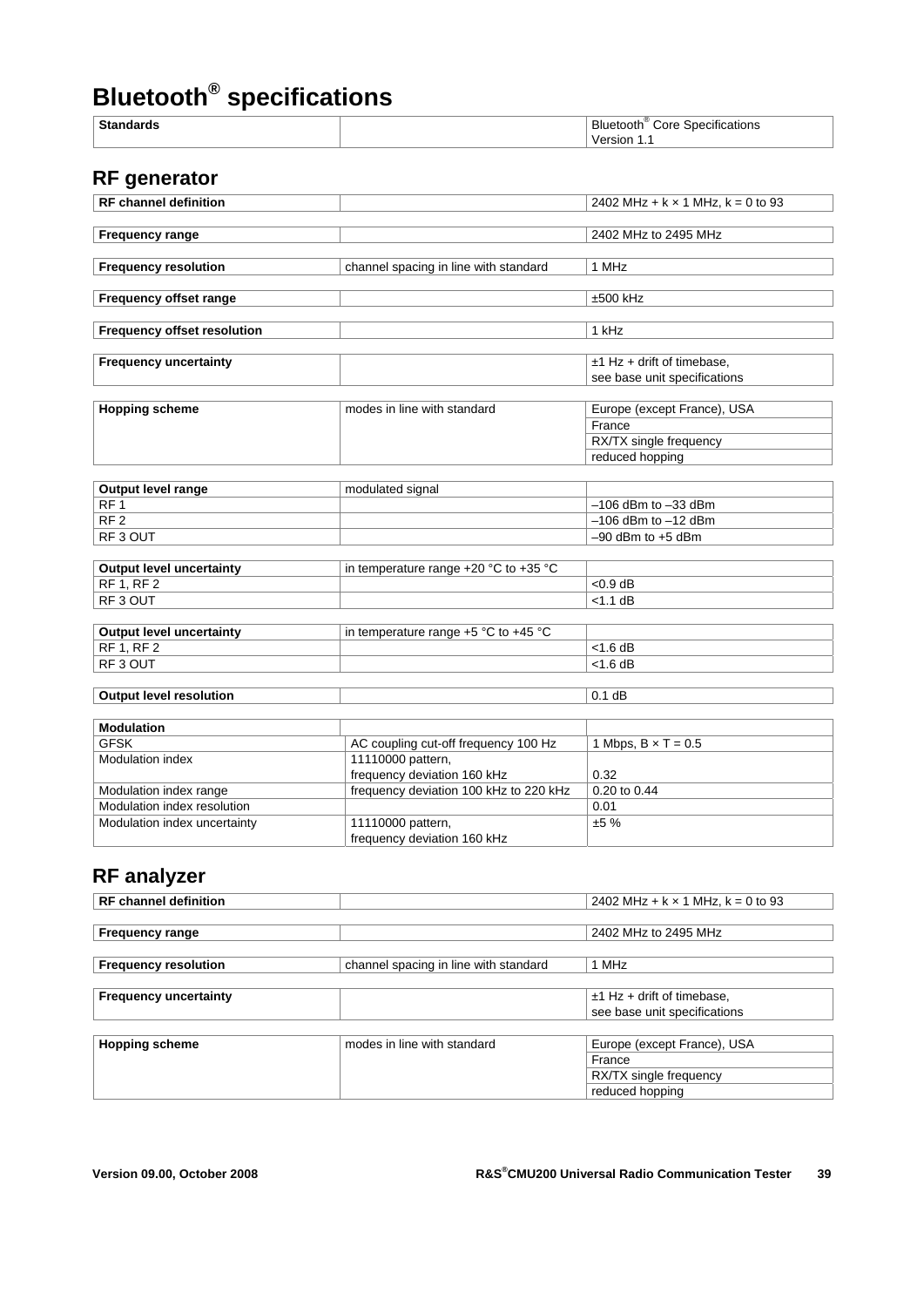# **Bluetooth® specifications**

| $C_{+}$ | יים.<br>---<br>∴∩r∈<br>ы<br>төөт<br>ons<br>י<br>$\sim$<br>.<br>. |
|---------|------------------------------------------------------------------|
|         |                                                                  |
|         |                                                                  |

# **RF generator**

| <b>RF</b> channel definition       |                                       | 2402 MHz + $k \times 1$ MHz, $k = 0$ to 93 |
|------------------------------------|---------------------------------------|--------------------------------------------|
|                                    |                                       |                                            |
| <b>Frequency range</b>             |                                       | 2402 MHz to 2495 MHz                       |
|                                    |                                       |                                            |
| <b>Frequency resolution</b>        | channel spacing in line with standard | 1 MHz                                      |
|                                    |                                       |                                            |
| Frequency offset range             |                                       | $±500$ kHz                                 |
|                                    |                                       |                                            |
| <b>Frequency offset resolution</b> |                                       | 1 kHz                                      |
|                                    |                                       |                                            |
| <b>Frequency uncertainty</b>       |                                       | $±1$ Hz + drift of timebase,               |
|                                    |                                       | see base unit specifications               |
|                                    |                                       |                                            |
| <b>Hopping scheme</b>              | modes in line with standard           | Europe (except France), USA                |
|                                    |                                       | France                                     |
|                                    |                                       | RX/TX single frequency                     |
|                                    |                                       | reduced hopping                            |
|                                    |                                       |                                            |
| <b>Output level range</b>          | modulated signal                      |                                            |
| RF <sub>1</sub>                    |                                       | $-106$ dBm to $-33$ dBm                    |

| <b>Output IGVGI Tanya</b> | mouulalou algnar |                         |
|---------------------------|------------------|-------------------------|
| RF                        |                  | $-106$ dBm to $-33$ dBm |
| RF <sub>2</sub>           |                  | ⊢–106 dBm to –12 dBm    |
| RF3 OUT                   |                  | $-90$ dBm to $+5$ dBm   |
|                           |                  |                         |

| Output level uncertainty | in temperature range $+20$ °C to $+35$ °C |            |
|--------------------------|-------------------------------------------|------------|
| RF1, RF2                 |                                           | $< 0.9$ dB |
| RF3 OUT                  |                                           | $<$ 1.1 dB |
|                          |                                           |            |

| <b>Output level uncertainty</b> | in temperature range $+5$ °C to $+45$ °C |            |
|---------------------------------|------------------------------------------|------------|
| RF 1. RF 2                      |                                          | $<$ 1.6 dB |
| RF3 OUT                         |                                          | $<$ 1.6 dB |
|                                 |                                          |            |
| <b>Output level resolution</b>  |                                          | $0.1$ dB   |

| <b>Modulation</b>            |                                        |                            |
|------------------------------|----------------------------------------|----------------------------|
| <b>GFSK</b>                  | AC coupling cut-off frequency 100 Hz   | 1 Mbps, $B \times T = 0.5$ |
| <b>Modulation index</b>      | 11110000 pattern,                      |                            |
|                              | frequency deviation 160 kHz            | 0.32                       |
| Modulation index range       | frequency deviation 100 kHz to 220 kHz | 0.20 to 0.44               |
| Modulation index resolution  |                                        | 0.01                       |
| Modulation index uncertainty | 11110000 pattern,                      | ±5%                        |
|                              | frequency deviation 160 kHz            |                            |

# **RF analyzer**

| <b>RF</b> channel definition |                                       | 2402 MHz + $k \times 1$ MHz, $k = 0$ to 93 |
|------------------------------|---------------------------------------|--------------------------------------------|
|                              |                                       |                                            |
| <b>Frequency range</b>       |                                       | 2402 MHz to 2495 MHz                       |
|                              |                                       |                                            |
| <b>Frequency resolution</b>  | channel spacing in line with standard | 1 MHz                                      |
|                              |                                       |                                            |
| <b>Frequency uncertainty</b> |                                       | $±1$ Hz + drift of timebase,               |
|                              |                                       | see base unit specifications               |
|                              |                                       |                                            |
| <b>Hopping scheme</b>        | modes in line with standard           | Europe (except France), USA                |
|                              |                                       | France                                     |
|                              |                                       | RX/TX single frequency                     |
|                              |                                       | reduced hopping                            |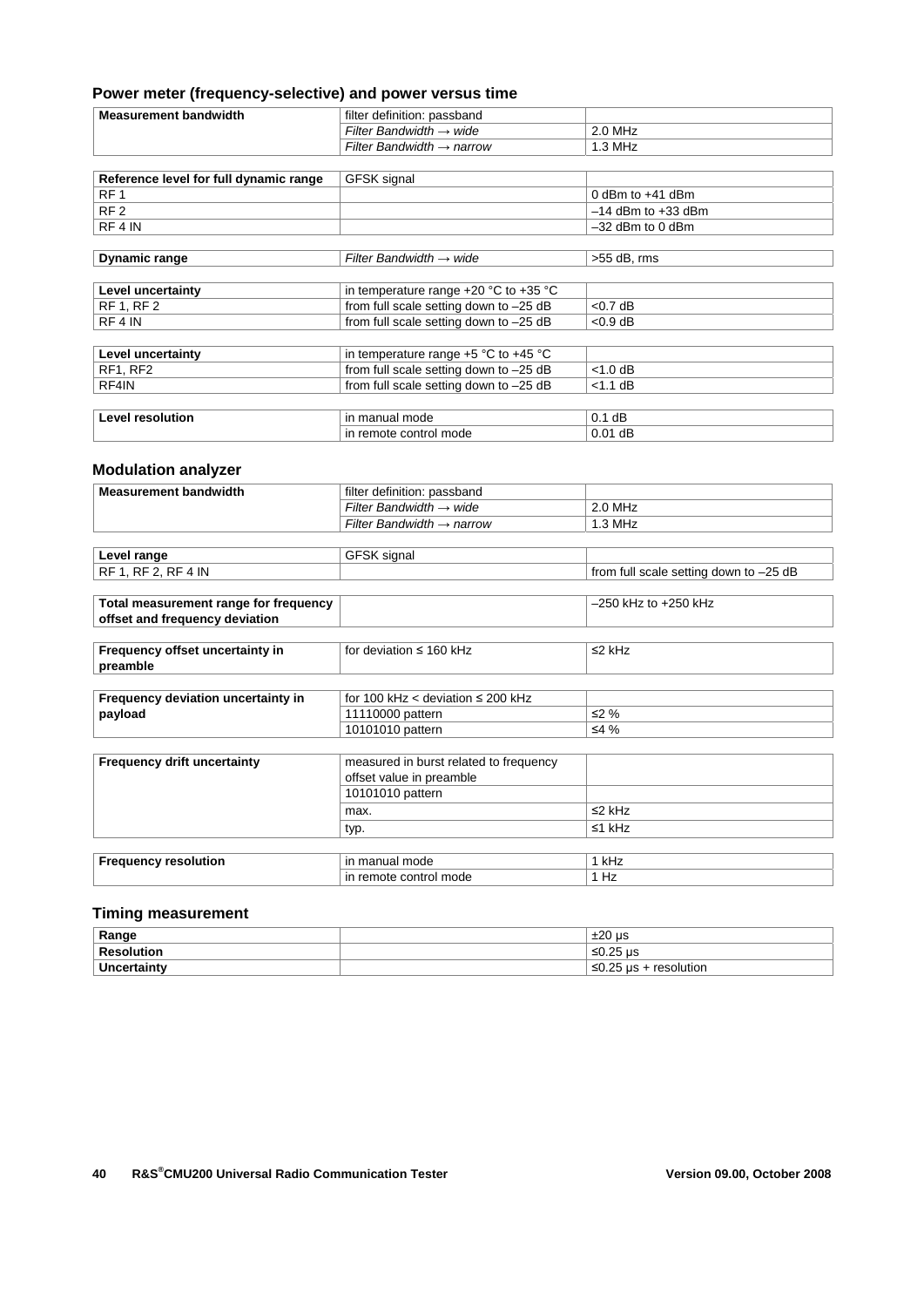#### **Power meter (frequency-selective) and power versus time**

| <b>Measurement bandwidth</b>           | filter definition: passband           |                                                                      |
|----------------------------------------|---------------------------------------|----------------------------------------------------------------------|
|                                        | Filter Bandwidth $\rightarrow$ wide   | $2.0$ MHz                                                            |
|                                        | Filter Bandwidth $\rightarrow$ narrow | $1.3 \text{ MHz}$                                                    |
|                                        |                                       |                                                                      |
| Reference level for full dynamic range | GFSK signal                           |                                                                      |
| DE 1                                   |                                       | $0$ d <sub>D</sub> <sub>m</sub> to $144$ d <sub>D</sub> <sub>m</sub> |

| RF 1                    |                                           | $0$ abin to $+4$ i abin |
|-------------------------|-------------------------------------------|-------------------------|
| RF <sub>2</sub>         |                                           | $-14$ dBm to $+33$ dBm  |
| RF 4 IN                 |                                           | $-32$ dBm to 0 dBm      |
|                         |                                           |                         |
| <b>Dynamic range</b>    | Filter Bandwidth $\rightarrow$ wide       | $>55$ dB, rms           |
|                         |                                           |                         |
| Level uncertainty       | in temperature range $+20$ °C to $+35$ °C |                         |
| <b>RF 1, RF 2</b>       | from full scale setting down to -25 dB    | $< 0.7$ dB              |
| RF 4 IN                 | from full scale setting down to -25 dB    | $< 0.9$ dB              |
|                         |                                           |                         |
| Level uncertainty       | in temperature range $+5$ °C to $+45$ °C  |                         |
| RF1, RF2                | from full scale setting down to -25 dB    | $<$ 1.0 dB              |
| RF4IN                   | from full scale setting down to -25 dB    | $<$ 1.1 dB              |
|                         |                                           |                         |
| <b>Level resolution</b> | in manual mode                            | $0.1$ dB                |
|                         | in remote control mode                    | $0.01$ dB               |

#### **Modulation analyzer**

| <b>Measurement bandwidth</b>                | filter definition: passband            |                                        |
|---------------------------------------------|----------------------------------------|----------------------------------------|
|                                             | Filter Bandwidth $\rightarrow$ wide    | $2.0$ MHz                              |
|                                             | Filter Bandwidth $\rightarrow$ narrow  | $1.3$ MHz                              |
|                                             |                                        |                                        |
| Level range                                 | <b>GFSK</b> signal                     |                                        |
| RF 1, RF 2, RF 4 IN                         |                                        | from full scale setting down to -25 dB |
|                                             |                                        |                                        |
| Total measurement range for frequency       |                                        | $-250$ kHz to $+250$ kHz               |
| offset and frequency deviation              |                                        |                                        |
|                                             |                                        |                                        |
| Frequency offset uncertainty in<br>preamble | for deviation $\leq$ 160 kHz           | $\leq$ 2 kHz                           |
|                                             |                                        |                                        |
| Frequency deviation uncertainty in          | for 100 kHz < deviation $\leq$ 200 kHz |                                        |
| payload                                     | 11110000 pattern                       | $\leq$ 2%                              |
|                                             | 10101010 pattern                       | $\leq 4 \%$                            |
|                                             |                                        |                                        |
| <b>Frequency drift uncertainty</b>          | measured in burst related to frequency |                                        |
|                                             | offset value in preamble               |                                        |
|                                             | 10101010 pattern                       |                                        |
|                                             | max.                                   | $\leq$ 2 kHz                           |
|                                             | typ.                                   | $≤1$ kHz                               |
|                                             |                                        |                                        |
| <b>Frequency resolution</b>                 | in manual mode                         | 1 kHz                                  |
|                                             | in remote control mode                 | 1 Hz                                   |

#### **Timing measurement**

| Range                    | :20 us<br><b>IZ</b>            |
|--------------------------|--------------------------------|
| <b>Resolution</b>        | $≤0.25$ µs                     |
| <b>∣Unc</b><br>਼੧rtaintv | 25 µs -<br>≤0.25<br>resolution |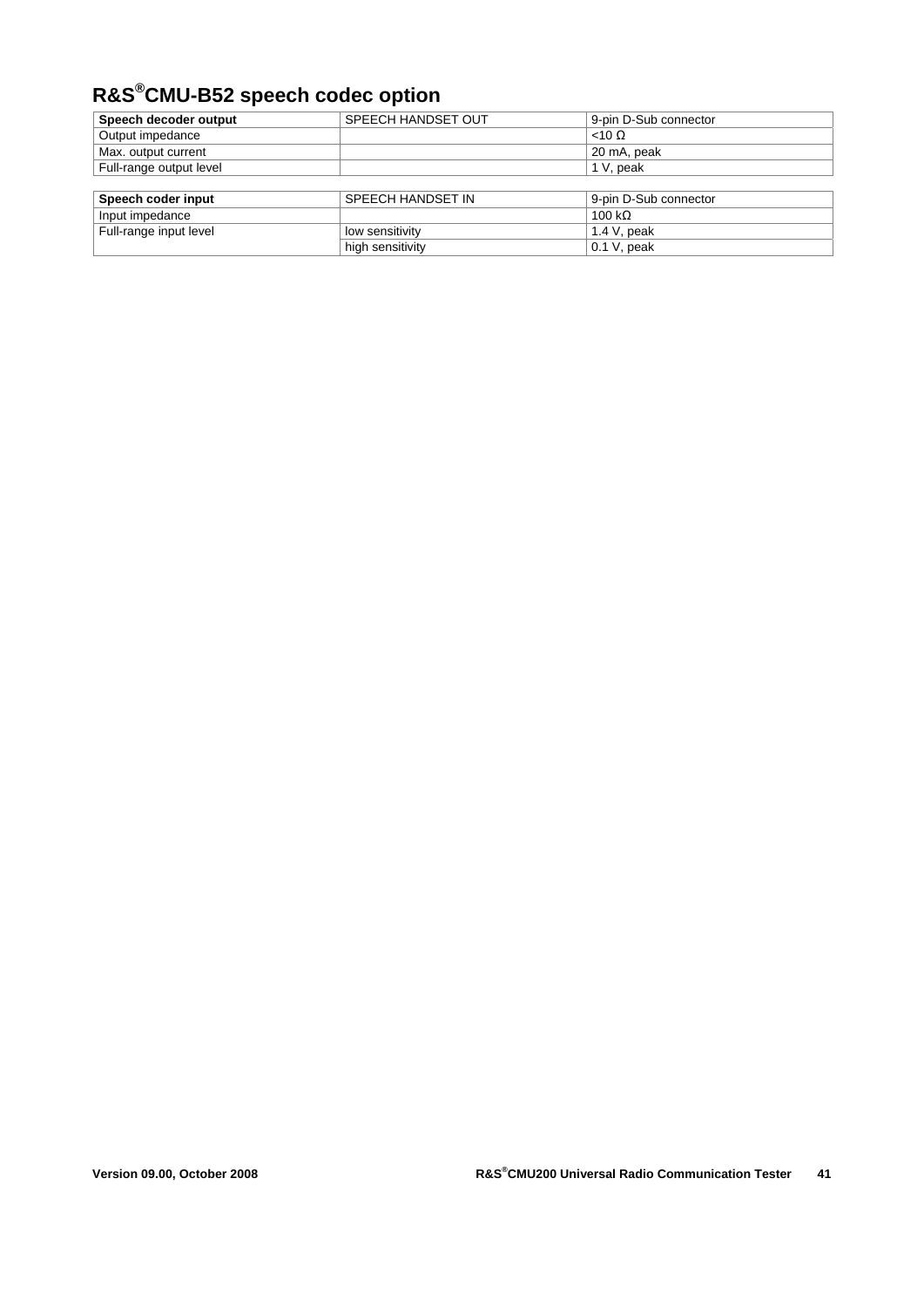# **R&S®CMU-B52 speech codec option**

| Speech decoder output   | SPEECH HANDSET OUT | 9-pin D-Sub connector |
|-------------------------|--------------------|-----------------------|
| Output impedance        |                    | $<$ 10 $\Omega$       |
| Max. output current     |                    | 20 mA, peak           |
| Full-range output level |                    | 1 V, peak             |
|                         |                    |                       |
| Speech coder input      | SPEECH HANDSET IN  | 9-pin D-Sub connector |

| SPEEUR HANDSET IN | 9-DIN D-SUD CONNECTOR |
|-------------------|-----------------------|
|                   | 100 k $\Omega$        |
| low sensitivity   | $1.4$ V. peak         |
| high sensitivity  | 0.1 V, peak           |
|                   |                       |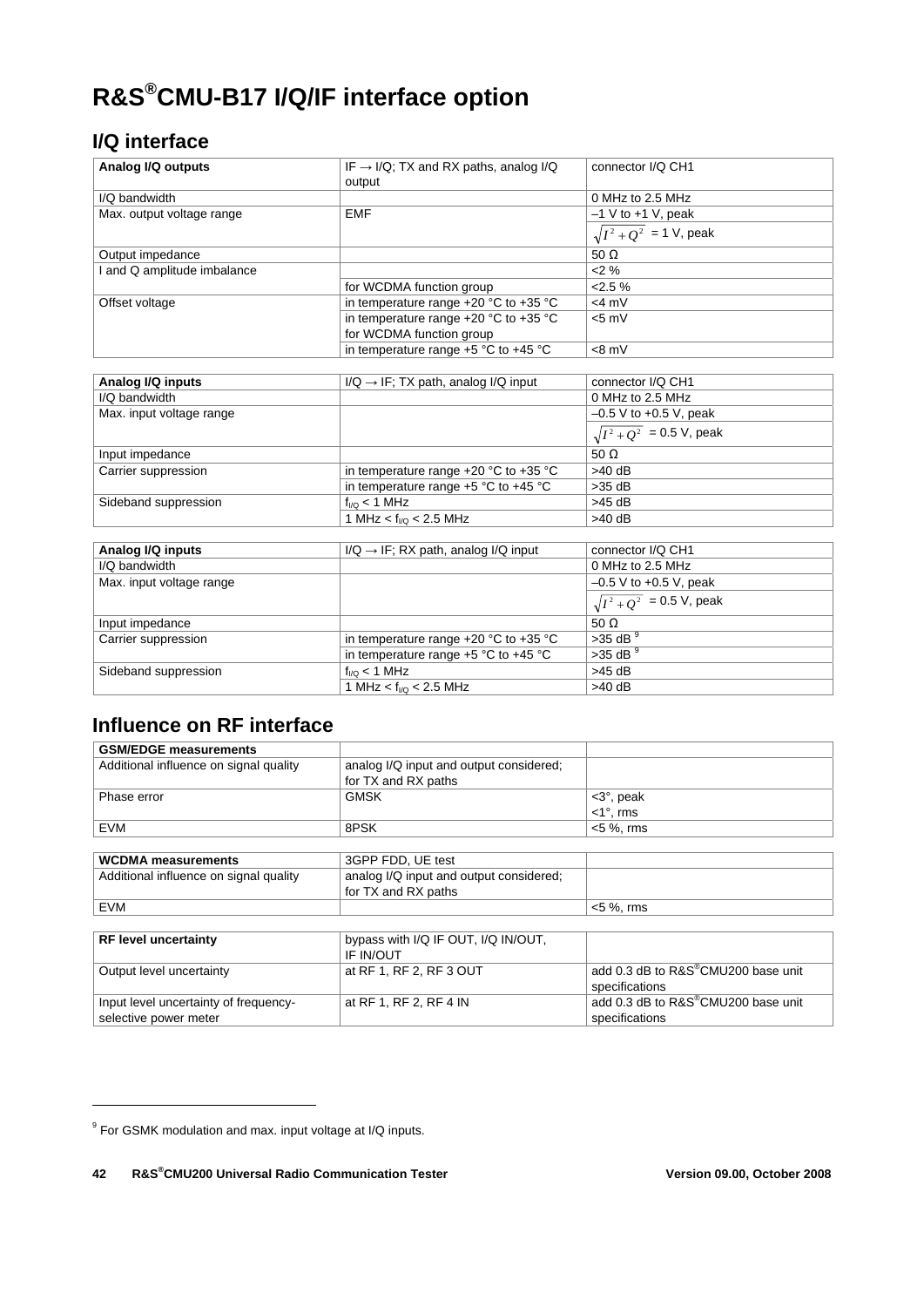# **R&S®CMU-B17 I/Q/IF interface option**

### **I/Q interface**

| Analog I/Q outputs          | IF $\rightarrow$ I/Q; TX and RX paths, analog I/Q<br>output | connector I/Q CH1              |
|-----------------------------|-------------------------------------------------------------|--------------------------------|
| I/Q bandwidth               |                                                             | 0 MHz to 2.5 MHz               |
| Max. output voltage range   | <b>EMF</b>                                                  | $-1$ V to $+1$ V, peak         |
|                             |                                                             | $\sqrt{I^2 + Q^2}$ = 1 V, peak |
| Output impedance            |                                                             | 50 $\Omega$                    |
| I and Q amplitude imbalance |                                                             | 2%                             |
|                             | for WCDMA function group                                    | $2.5\%$                        |
| Offset voltage              | in temperature range $+20$ °C to $+35$ °C                   | $<$ 4 m $V$                    |
|                             | in temperature range $+20$ °C to $+35$ °C                   | $< 5$ mV                       |
|                             | for WCDMA function group                                    |                                |
|                             | in temperature range +5 °C to +45 °C                        | $<8$ mV                        |
|                             |                                                             |                                |
| Analog I/Q inputs           | $I/Q \rightarrow IF$ ; TX path, analog $I/Q$ input          | connector I/Q CH1              |
| I/Q bandwidth               |                                                             | 0 MHz to 2.5 MHz               |
| Max. input voltage range    |                                                             | $-0.5$ V to $+0.5$ V, peak     |
|                             |                                                             | $\sqrt{I^2+Q^2}$ = 0.5 V, peak |
| Input impedance             |                                                             | 50 $\Omega$                    |
| Carrier suppression         | in temperature range +20 °C to +35 °C                       | $>40$ dB                       |
|                             | in temperature range +5 °C to +45 °C                        | $>35$ dB                       |
| Sideband suppression        | $f_{1/2}$ < 1 MHz                                           | $>45$ dB                       |
|                             | 1 MHz < $f_{VQ}$ < 2.5 MHz                                  | $>40$ dB                       |
|                             |                                                             |                                |
| Analog I/Q inputs           | $I/Q \rightarrow IF$ ; RX path, analog $I/Q$ input          | connector I/Q CH1              |
| I/Q bandwidth               |                                                             | 0 MHz to 2.5 MHz               |
| Max. input voltage range    |                                                             | $-0.5$ V to $+0.5$ V, peak     |
|                             |                                                             | $\sqrt{I^2+Q^2}$ = 0.5 V, peak |
| Input impedance             |                                                             | 50 $\Omega$                    |
| Carrier suppression         | in temperature range $+20$ °C to $+35$ °C                   | $>35$ dB $9$                   |
|                             | in temperature range $+5$ °C to $+45$ °C                    | $>35$ dB $9$                   |
| Sideband suppression        | $f_{1/2}$ < 1 MHz                                           | $>45$ dB                       |
|                             | 1 MHz < $f_{VQ}$ < 2.5 MHz                                  | $>40$ dB                       |

### **Influence on RF interface**

| <b>GSM/EDGE measurements</b>           |                                         |                                                 |
|----------------------------------------|-----------------------------------------|-------------------------------------------------|
| Additional influence on signal quality | analog I/Q input and output considered; |                                                 |
|                                        | for TX and RX paths                     |                                                 |
| Phase error                            | <b>GMSK</b>                             | $<$ 3 $^{\circ}$ , peak                         |
|                                        |                                         | $<$ 1 $^{\circ}$ , rms                          |
| EVM                                    | 8PSK                                    | $<$ 5 %, rms                                    |
|                                        |                                         |                                                 |
| <b>WCDMA</b> measurements              | 3GPP FDD, UE test                       |                                                 |
| Additional influence on signal quality | analog I/Q input and output considered; |                                                 |
|                                        | for TX and RX paths                     |                                                 |
| EVM                                    |                                         | $<$ 5 %, rms                                    |
|                                        |                                         |                                                 |
| <b>RF level uncertainty</b>            | bypass with I/Q IF OUT, I/Q IN/OUT,     |                                                 |
|                                        | <b>IF IN/OUT</b>                        |                                                 |
| Output level uncertainty               | at RF 1, RF 2, RF 3 OUT                 | add 0.3 dB to R&S <sup>®</sup> CMU200 base unit |
|                                        |                                         | specifications                                  |
| Input level uncertainty of frequency-  | at RF 1, RF 2, RF 4 IN                  | add 0.3 dB to R&S®CMU200 base unit              |
| selective power meter                  |                                         | specifications                                  |

-

<sup>&</sup>lt;sup>9</sup> For GSMK modulation and max. input voltage at I/Q inputs.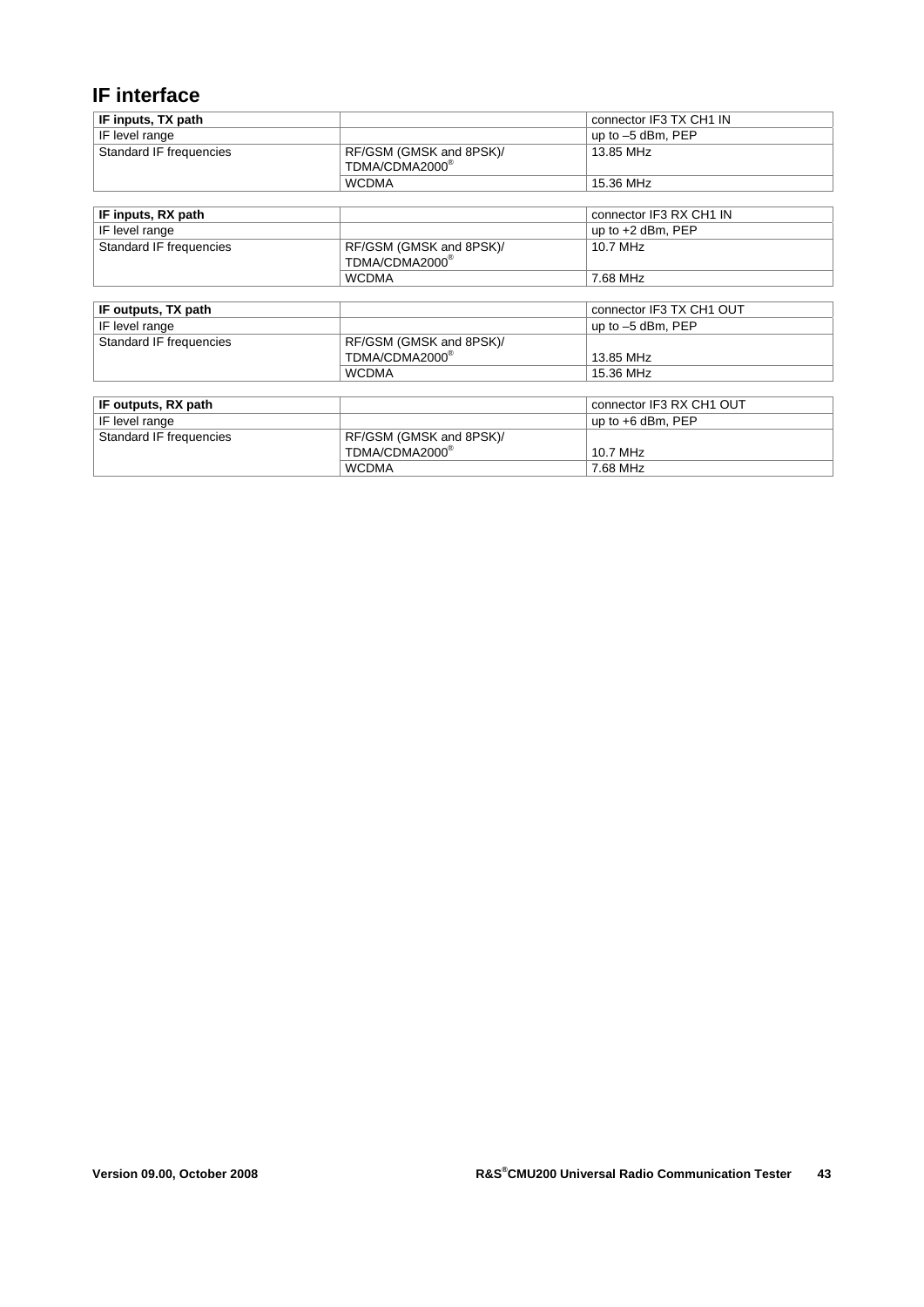### **IF interface**

| IF inputs, TX path      |                            | connector IF3 TX CH1 IN  |
|-------------------------|----------------------------|--------------------------|
| IF level range          |                            | up to -5 dBm, PEP        |
| Standard IF frequencies | RF/GSM (GMSK and 8PSK)/    | 13.85 MHz                |
|                         | TDMA/CDMA2000®             |                          |
|                         | <b>WCDMA</b>               | 15.36 MHz                |
|                         |                            |                          |
| IF inputs, RX path      |                            | connector IF3 RX CH1 IN  |
| IF level range          |                            | up to $+2$ dBm, PEP      |
| Standard IF frequencies | RF/GSM (GMSK and 8PSK)/    | 10.7 MHz                 |
|                         | TDMA/CDMA2000®             |                          |
|                         | <b>WCDMA</b>               | 7.68 MHz                 |
|                         |                            |                          |
| IF outputs, TX path     |                            | connector IF3 TX CH1 OUT |
| IF level range          |                            | up to $-5$ dBm, PEP      |
| Standard IF frequencies | RF/GSM (GMSK and 8PSK)/    |                          |
|                         | TDMA/CDMA2000®             | 13.85 MHz                |
|                         | <b>WCDMA</b>               | 15.36 MHz                |
|                         |                            |                          |
| IF outputs, RX path     |                            | connector IF3 RX CH1 OUT |
| IF level range          |                            | up to $+6$ dBm, PEP      |
| Standard IF frequencies | RF/GSM (GMSK and 8PSK)/    |                          |
|                         | TDMA/CDMA2000 <sup>®</sup> | 10.7 MHz                 |
|                         | <b>WCDMA</b>               | 7.68 MHz                 |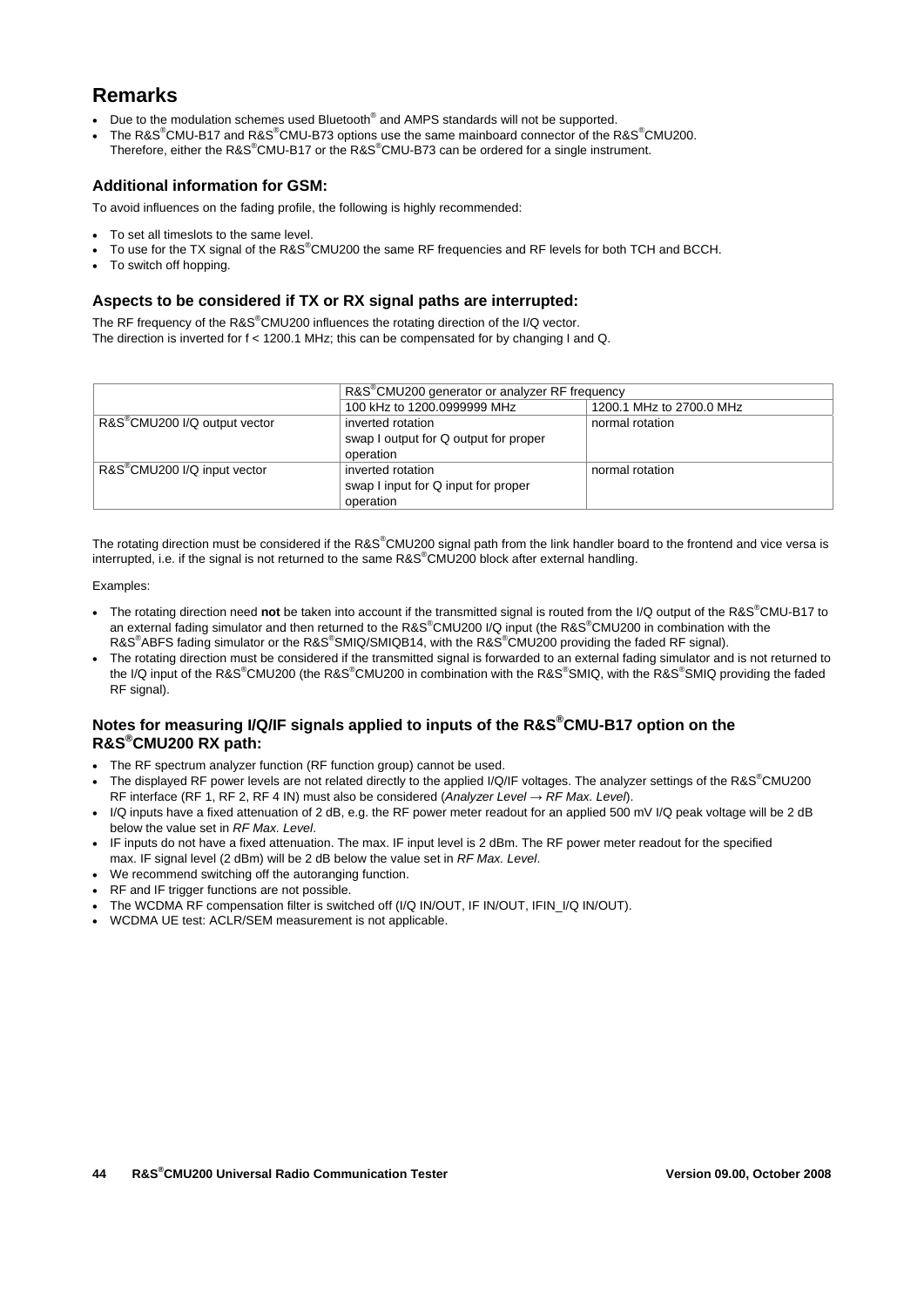### **Remarks**

- Due to the modulation schemes used Bluetooth<sup>®</sup> and AMPS standards will not be supported.
- The R&S<sup>®</sup>CMU-B17 and R&S<sup>®</sup>CMU-B73 options use the same mainboard connector of the R&S<sup>®</sup>CMU200. Therefore, either the R&S<sup>®</sup>CMU-B17 or the R&S<sup>®</sup>CMU-B73 can be ordered for a single instrument.

#### **Additional information for GSM:**

To avoid influences on the fading profile, the following is highly recommended:

- To set all timeslots to the same level.
- To use for the TX signal of the R&S®CMU200 the same RF frequencies and RF levels for both TCH and BCCH.
- To switch off hopping.

#### **Aspects to be considered if TX or RX signal paths are interrupted:**

The RF frequency of the R&S®CMU200 influences the rotating direction of the I/Q vector. The direction is inverted for f < 1200.1 MHz; this can be compensated for by changing I and Q.

|                                           | R&S <sup>®</sup> CMU200 generator or analyzer RF frequency              |                          |
|-------------------------------------------|-------------------------------------------------------------------------|--------------------------|
|                                           | 100 kHz to 1200.0999999 MHz                                             | 1200.1 MHz to 2700.0 MHz |
| R&S <sup>®</sup> CMU200 I/Q output vector | inverted rotation<br>swap I output for Q output for proper<br>operation | normal rotation          |
| R&S <sup>®</sup> CMU200 I/Q input vector  | inverted rotation<br>swap I input for Q input for proper<br>operation   | normal rotation          |

The rotating direction must be considered if the R&S®CMU200 signal path from the link handler board to the frontend and vice versa is interrupted, i.e. if the signal is not returned to the same R&S®CMU200 block after external handling.

Examples:

- The rotating direction need **not** be taken into account if the transmitted signal is routed from the I/Q output of the R&S® CMU-B17 to an external fading simulator and then returned to the R&S®CMU200 I/Q input (the R&S®CMU200 in combination with the R&S<sup>®</sup>ABFS fading simulator or the R&S<sup>®</sup>SMIQ/SMIQB14, with the R&S<sup>®</sup>CMU200 providing the faded RF signal).
- The rotating direction must be considered if the transmitted signal is forwarded to an external fading simulator and is not returned to the I/Q input of the R&S®CMU200 (the R&S®CMU200 in combination with the R&S®SMIQ, with the R&S®SMIQ providing the faded RF signal).

#### **Notes for measuring I/Q/IF signals applied to inputs of the R&S® CMU-B17 option on the R&S® CMU200 RX path:**

- The RF spectrum analyzer function (RF function group) cannot be used.
- The displayed RF power levels are not related directly to the applied I/Q/IF voltages. The analyzer settings of the R&S<sup>®</sup>CMU200 RF interface (RF 1, RF 2, RF 4 IN) must also be considered (*Analyzer Level → RF Max. Level*).
- I/Q inputs have a fixed attenuation of 2 dB, e.g. the RF power meter readout for an applied 500 mV I/Q peak voltage will be 2 dB below the value set in *RF Max. Level*.
- IF inputs do not have a fixed attenuation. The max. IF input level is 2 dBm. The RF power meter readout for the specified max. IF signal level (2 dBm) will be 2 dB below the value set in *RF Max. Level*.
- We recommend switching off the autoranging function.
- RF and IF trigger functions are not possible.
- . The WCDMA RF compensation filter is switched off (I/Q IN/OUT, IF IN/OUT, IFIN\_I/Q IN/OUT).
- WCDMA UE test: ACLR/SEM measurement is not applicable.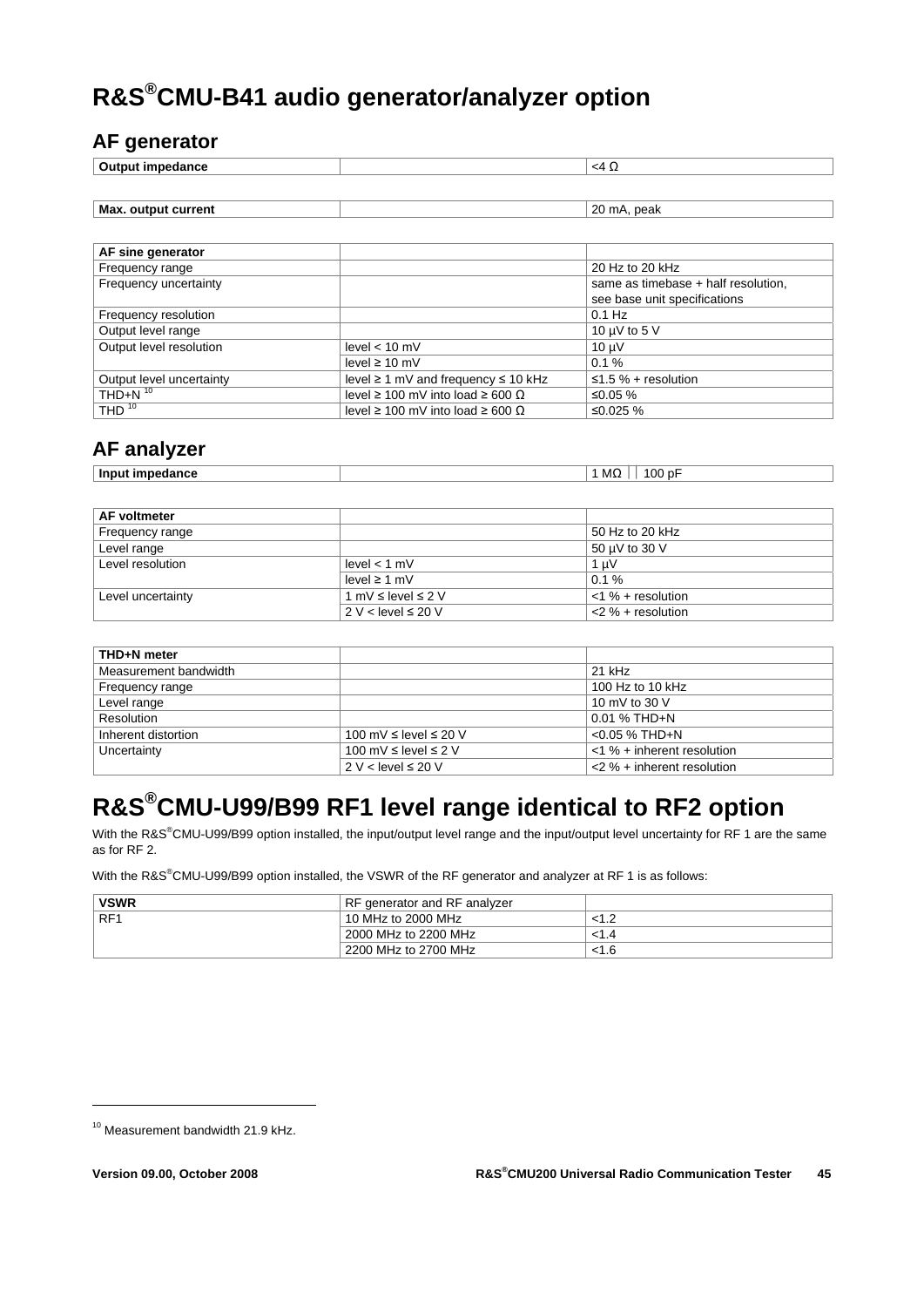# **R&S®CMU-B41 audio generator/analyzer option**

### **AF generator**

| Outi<br>---<br>aance | $\sim$<br>. . |
|----------------------|---------------|
|                      |               |

| Max. output current | 20<br>peak<br>`mA. |
|---------------------|--------------------|
|                     |                    |

| AF sine generator        |                                                 |                                     |
|--------------------------|-------------------------------------------------|-------------------------------------|
| Frequency range          |                                                 | 20 Hz to 20 kHz                     |
| Frequency uncertainty    |                                                 | same as timebase + half resolution, |
|                          |                                                 | see base unit specifications        |
| Frequency resolution     |                                                 | $0.1$ Hz                            |
| Output level range       |                                                 | 10 $\mu$ V to 5 V                   |
| Output level resolution  | level $< 10$ mV                                 | $10 \mu V$                          |
|                          | level $\geq 10$ mV                              | $0.1 \%$                            |
| Output level uncertainty | level $\geq 1$ mV and frequency $\leq 10$ kHz   | $\leq$ 1.5 % + resolution           |
| THD+N $10$               | level $\geq 100$ mV into load $\geq 600 \Omega$ | ≤0.05 $%$                           |
| THD $10$                 | level $\geq 100$ mV into load $\geq 600 \Omega$ | ≤0.025 %                            |

### **AF analyzer**

| Input impedance | 100 pF<br>MC. |
|-----------------|---------------|

| AF voltmeter      |                              |                      |
|-------------------|------------------------------|----------------------|
| Frequency range   |                              | 50 Hz to 20 kHz      |
| Level range       |                              | 50 µV to 30 V        |
| Level resolution  | level < 1 mV                 | 1 uV                 |
|                   | level ≥ 1 mV                 | $0.1 \%$             |
| Level uncertainty | 1 mV $\leq$ level $\leq$ 2 V | $<$ 1 % + resolution |
|                   | $2 V <$ level $\leq 20 V$    | $<$ 2 % + resolution |

| THD+N meter           |                                 |                               |
|-----------------------|---------------------------------|-------------------------------|
| Measurement bandwidth |                                 | $21$ kHz                      |
| Frequency range       |                                 | 100 Hz to 10 kHz              |
| Level range           |                                 | 10 mV to 30 V                 |
| Resolution            |                                 | $0.01 \%$ THD+N               |
| Inherent distortion   | 100 mV $\leq$ level $\leq$ 20 V | $< 0.05$ % THD+N              |
| Uncertainty           | 100 mV $\leq$ level $\leq$ 2 V  | $<$ 1 % + inherent resolution |
|                       | $2 V <$ level $\leq 20 V$       | $<$ 2 % + inherent resolution |

# **R&S®CMU-U99/B99 RF1 level range identical to RF2 option**

With the R&S<sup>®</sup>CMU-U99/B99 option installed, the input/output level range and the input/output level uncertainty for RF 1 are the same as for RF 2.

With the R&S<sup>®</sup>CMU-U99/B99 option installed, the VSWR of the RF generator and analyzer at RF 1 is as follows:

| <b>VSWR</b>     | RF generator and RF analyzer |       |
|-----------------|------------------------------|-------|
| RF <sub>1</sub> | 10 MHz to 2000 MHz           |       |
|                 | 2000 MHz to 2200 MHz         | < 1.4 |
|                 | 2200 MHz to 2700 MHz         | <1.6  |

-

<sup>10</sup> Measurement bandwidth 21.9 kHz.